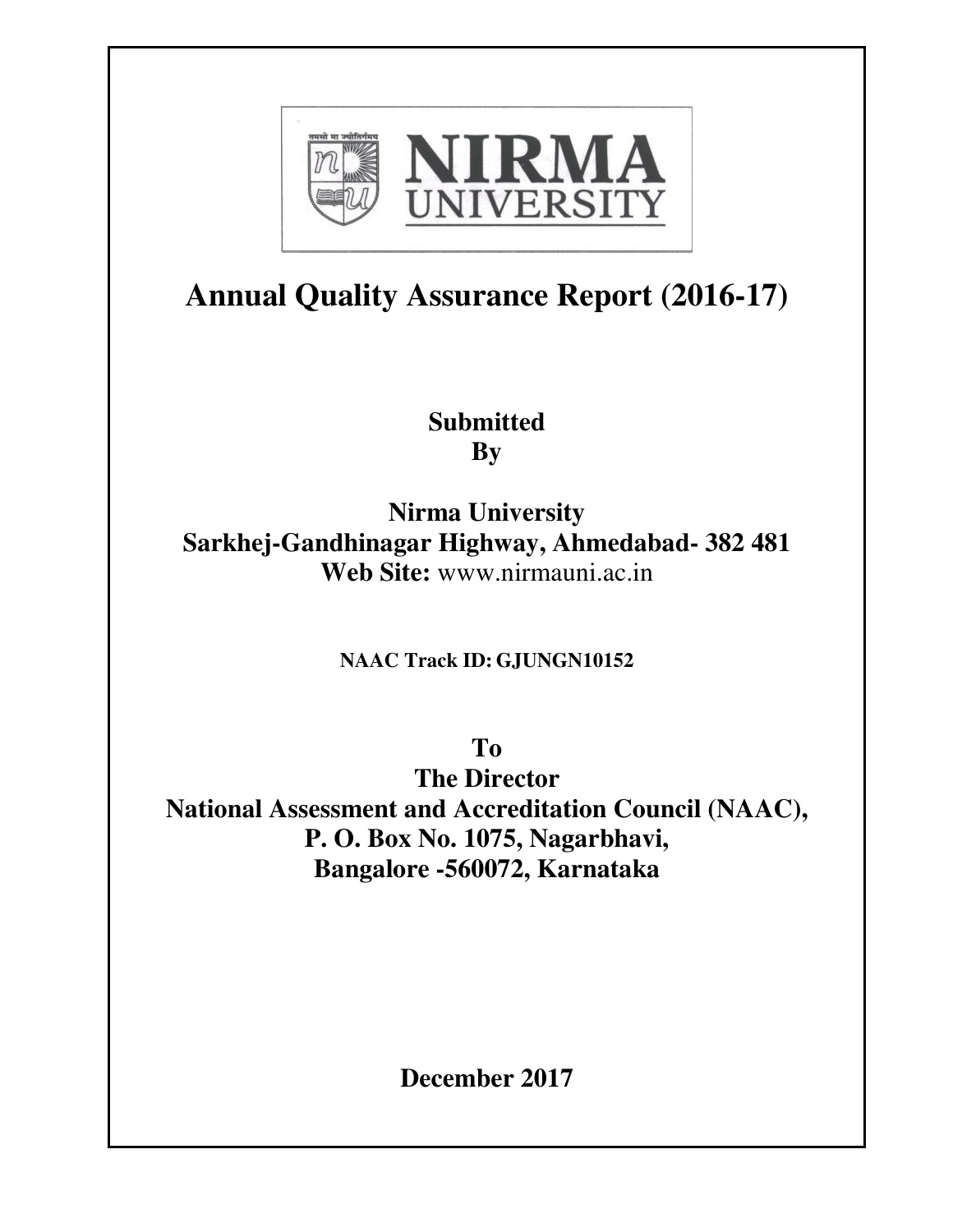

# **Annual Quality Assurance Report (2016-17)**

# **Submitted By**

**Nirma University Sarkhej-Gandhinagar Highway, Ahmedabad- 382 481 Web Site:** www.nirmauni.ac.in

**NAAC Track ID: GJUNGN10152** 

**To** 

**The Director National Assessment and Accreditation Council (NAAC), P. O. Box No. 1075, Nagarbhavi, Bangalore -560072, Karnataka** 

**December 2017**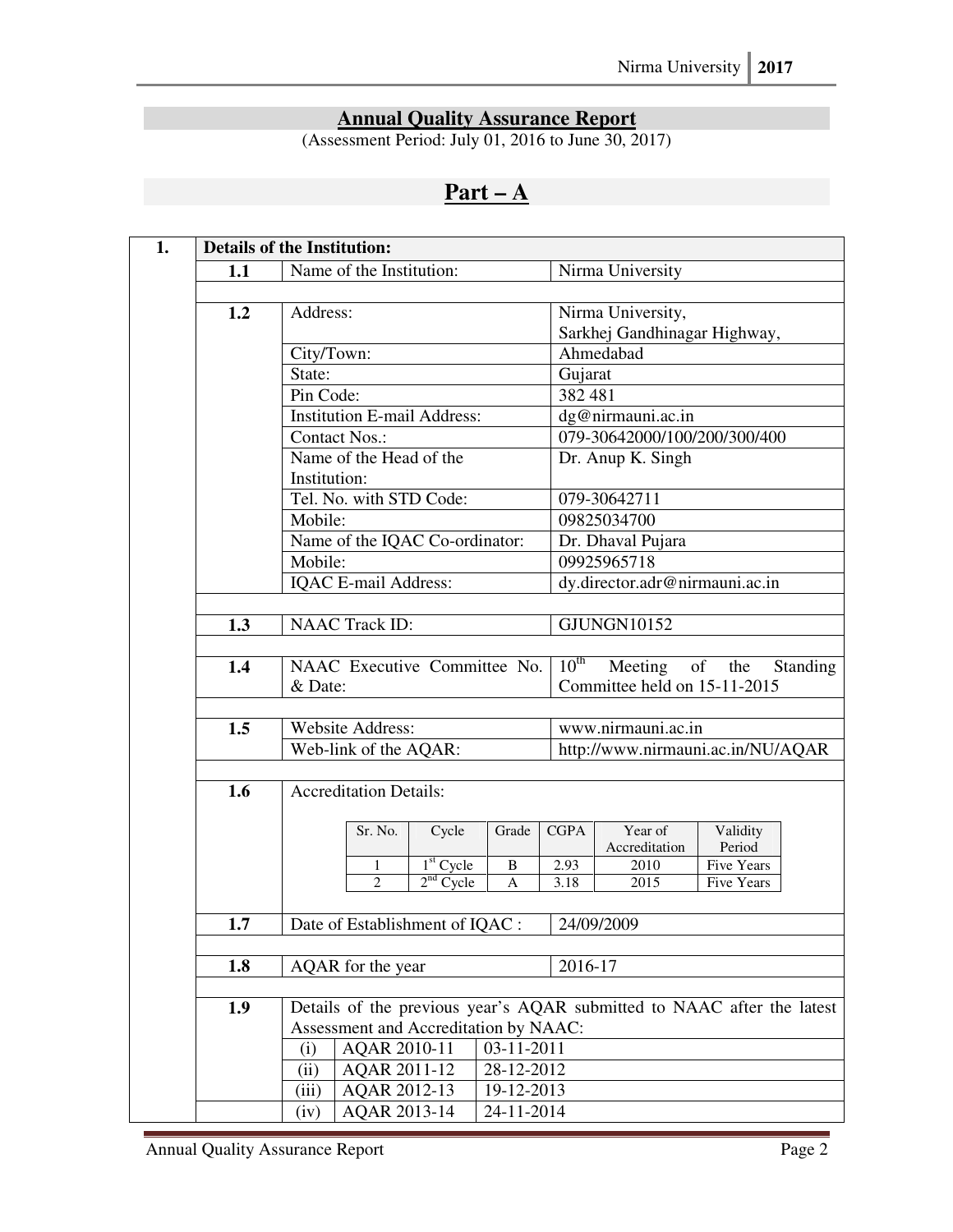# **Annual Quality Assurance Report**

(Assessment Period: July 01, 2016 to June 30, 2017)

# **Part – A**

|     | <b>Details of the Institution:</b>                                     |                    |                                   |                                                |                      |  |
|-----|------------------------------------------------------------------------|--------------------|-----------------------------------|------------------------------------------------|----------------------|--|
| 1.1 | Name of the Institution:                                               |                    |                                   | Nirma University                               |                      |  |
|     |                                                                        |                    |                                   |                                                |                      |  |
| 1.2 | Address:                                                               |                    |                                   | Nirma University,                              |                      |  |
|     |                                                                        |                    |                                   | Sarkhej Gandhinagar Highway,                   |                      |  |
|     | City/Town:                                                             |                    |                                   | Ahmedabad                                      |                      |  |
|     | State:                                                                 |                    | Gujarat                           |                                                |                      |  |
|     | Pin Code:                                                              |                    | 382 481                           |                                                |                      |  |
|     | <b>Institution E-mail Address:</b>                                     |                    |                                   | dg@nirmauni.ac.in                              |                      |  |
|     | <b>Contact Nos.:</b>                                                   |                    |                                   | 079-30642000/100/200/300/400                   |                      |  |
|     | Name of the Head of the                                                |                    |                                   | Dr. Anup K. Singh                              |                      |  |
|     | Institution:                                                           |                    |                                   |                                                |                      |  |
|     | Tel. No. with STD Code:                                                |                    | 079-30642711                      |                                                |                      |  |
|     | Mobile:                                                                |                    | 09825034700                       |                                                |                      |  |
|     | Name of the IQAC Co-ordinator:                                         |                    |                                   | Dr. Dhaval Pujara                              |                      |  |
|     | Mobile:                                                                |                    |                                   | 09925965718                                    |                      |  |
|     | IQAC E-mail Address:                                                   |                    |                                   | dy.director.adr@nirmauni.ac.in                 |                      |  |
|     |                                                                        |                    |                                   |                                                |                      |  |
| 1.3 | <b>NAAC Track ID:</b>                                                  | <b>GJUNGN10152</b> |                                   |                                                |                      |  |
|     |                                                                        |                    |                                   |                                                |                      |  |
| 1.4 | NAAC Executive Committee No.                                           |                    |                                   | $10^{\text{th}}$<br>Meeting of the<br>Standing |                      |  |
|     | & Date:                                                                |                    |                                   | Committee held on 15-11-2015                   |                      |  |
|     |                                                                        |                    |                                   |                                                |                      |  |
| 1.5 | <b>Website Address:</b>                                                |                    |                                   | www.nirmauni.ac.in                             |                      |  |
|     | Web-link of the AQAR:                                                  |                    | http://www.nirmauni.ac.in/NU/AQAR |                                                |                      |  |
|     |                                                                        |                    |                                   |                                                |                      |  |
| 1.6 | <b>Accreditation Details:</b>                                          |                    |                                   |                                                |                      |  |
|     |                                                                        |                    |                                   |                                                |                      |  |
|     | Cycle<br>Sr. No.                                                       | Grade              | <b>CGPA</b>                       | Year of                                        | Validity             |  |
|     | 1                                                                      | B                  | 2.93                              | Accreditation<br>2010                          | Period<br>Five Years |  |
|     | $\frac{1^{st} \text{Cycle}}{2^{nd} \text{Cycle}}$<br>$\overline{2}$    | $\overline{A}$     | 3.18                              | 2015                                           | Five Years           |  |
|     |                                                                        |                    |                                   |                                                |                      |  |
| 1.7 | Date of Establishment of IQAC :                                        |                    |                                   | 24/09/2009                                     |                      |  |
|     |                                                                        |                    |                                   |                                                |                      |  |
| 1.8 | AQAR for the year                                                      |                    | 2016-17                           |                                                |                      |  |
|     |                                                                        |                    |                                   |                                                |                      |  |
| 1.9 | Details of the previous year's AQAR submitted to NAAC after the latest |                    |                                   |                                                |                      |  |
|     | Assessment and Accreditation by NAAC:                                  |                    |                                   |                                                |                      |  |
|     | AQAR 2010-11<br>(i)                                                    | 03-11-2011         |                                   |                                                |                      |  |
|     | (ii)<br>AQAR 2011-12                                                   | 28-12-2012         |                                   |                                                |                      |  |
|     | AQAR 2012-13<br>(iii)                                                  | 19-12-2013         |                                   |                                                |                      |  |
|     | AQAR 2013-14                                                           | 24-11-2014         |                                   |                                                |                      |  |
|     | (iv)                                                                   |                    |                                   |                                                |                      |  |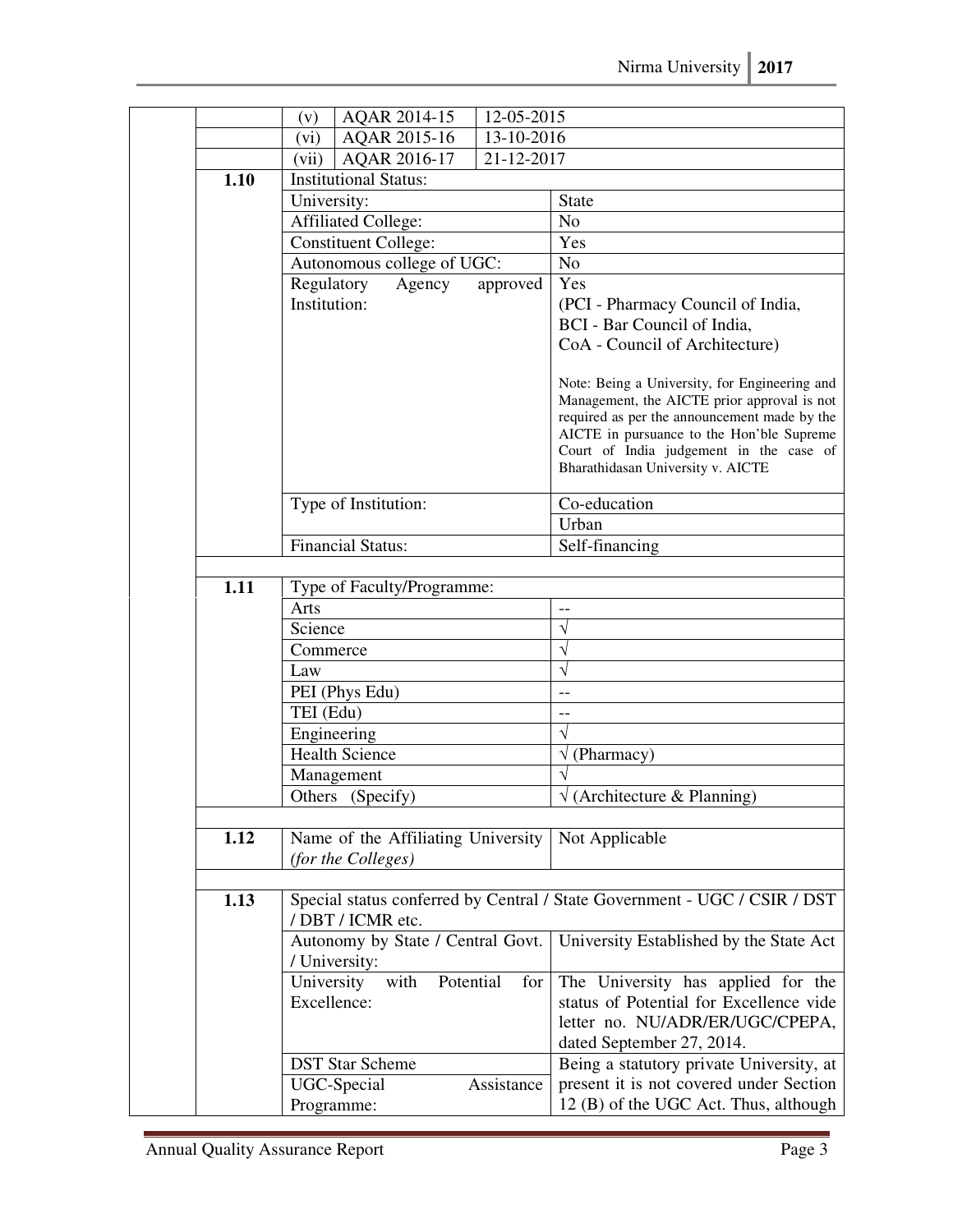|      | AQAR 2014-15<br>12-05-2015<br>(v)      |                                                                                      |
|------|----------------------------------------|--------------------------------------------------------------------------------------|
|      | 13-10-2016<br>AQAR 2015-16<br>(vi)     |                                                                                      |
|      | AQAR 2016-17<br>21-12-2017<br>(vii)    |                                                                                      |
| 1.10 | <b>Institutional Status:</b>           |                                                                                      |
|      | University:                            | <b>State</b>                                                                         |
|      | <b>Affiliated College:</b>             | N <sub>o</sub>                                                                       |
|      | <b>Constituent College:</b>            | Yes                                                                                  |
|      | Autonomous college of UGC:             | N <sub>o</sub>                                                                       |
|      | Regulatory<br>Agency<br>approved       | Yes                                                                                  |
|      | Institution:                           | (PCI - Pharmacy Council of India,                                                    |
|      |                                        | BCI - Bar Council of India,                                                          |
|      |                                        | CoA - Council of Architecture)                                                       |
|      |                                        |                                                                                      |
|      |                                        | Note: Being a University, for Engineering and                                        |
|      |                                        | Management, the AICTE prior approval is not                                          |
|      |                                        | required as per the announcement made by the                                         |
|      |                                        | AICTE in pursuance to the Hon'ble Supreme<br>Court of India judgement in the case of |
|      |                                        | Bharathidasan University v. AICTE                                                    |
|      |                                        |                                                                                      |
|      | Type of Institution:                   | Co-education                                                                         |
|      |                                        | Urban                                                                                |
|      | <b>Financial Status:</b>               | Self-financing                                                                       |
|      |                                        |                                                                                      |
| 1.11 | Type of Faculty/Programme:             |                                                                                      |
|      | Arts                                   |                                                                                      |
|      | Science                                | $\sqrt{}$                                                                            |
|      | Commerce                               | $\sqrt{}$                                                                            |
|      | Law                                    | V                                                                                    |
|      | PEI (Phys Edu)                         | $-$                                                                                  |
|      | TEI (Edu)                              | $-$                                                                                  |
|      | Engineering                            | $\sqrt{}$                                                                            |
|      | <b>Health Science</b>                  | $\sqrt{(Pharmacy)}$                                                                  |
|      |                                        |                                                                                      |
|      | Management                             |                                                                                      |
|      | Others (Specify)                       | $\sqrt{(Architecture \& Planning)}$                                                  |
|      |                                        |                                                                                      |
| 1.12 | Name of the Affiliating University     | Not Applicable                                                                       |
|      | (for the Colleges)                     |                                                                                      |
|      |                                        |                                                                                      |
| 1.13 |                                        | Special status conferred by Central / State Government - UGC / CSIR / DST            |
|      | / DBT / ICMR etc.                      |                                                                                      |
|      | Autonomy by State / Central Govt.      | University Established by the State Act                                              |
|      | / University:                          |                                                                                      |
|      | University<br>Potential<br>with<br>for | The University has applied for the                                                   |
|      | Excellence:                            | status of Potential for Excellence vide                                              |
|      |                                        | letter no. NU/ADR/ER/UGC/CPEPA,                                                      |
|      |                                        | dated September 27, 2014.                                                            |
|      | <b>DST Star Scheme</b>                 | Being a statutory private University, at                                             |
|      | UGC-Special<br>Assistance              | present it is not covered under Section                                              |
|      | Programme:                             | 12 (B) of the UGC Act. Thus, although                                                |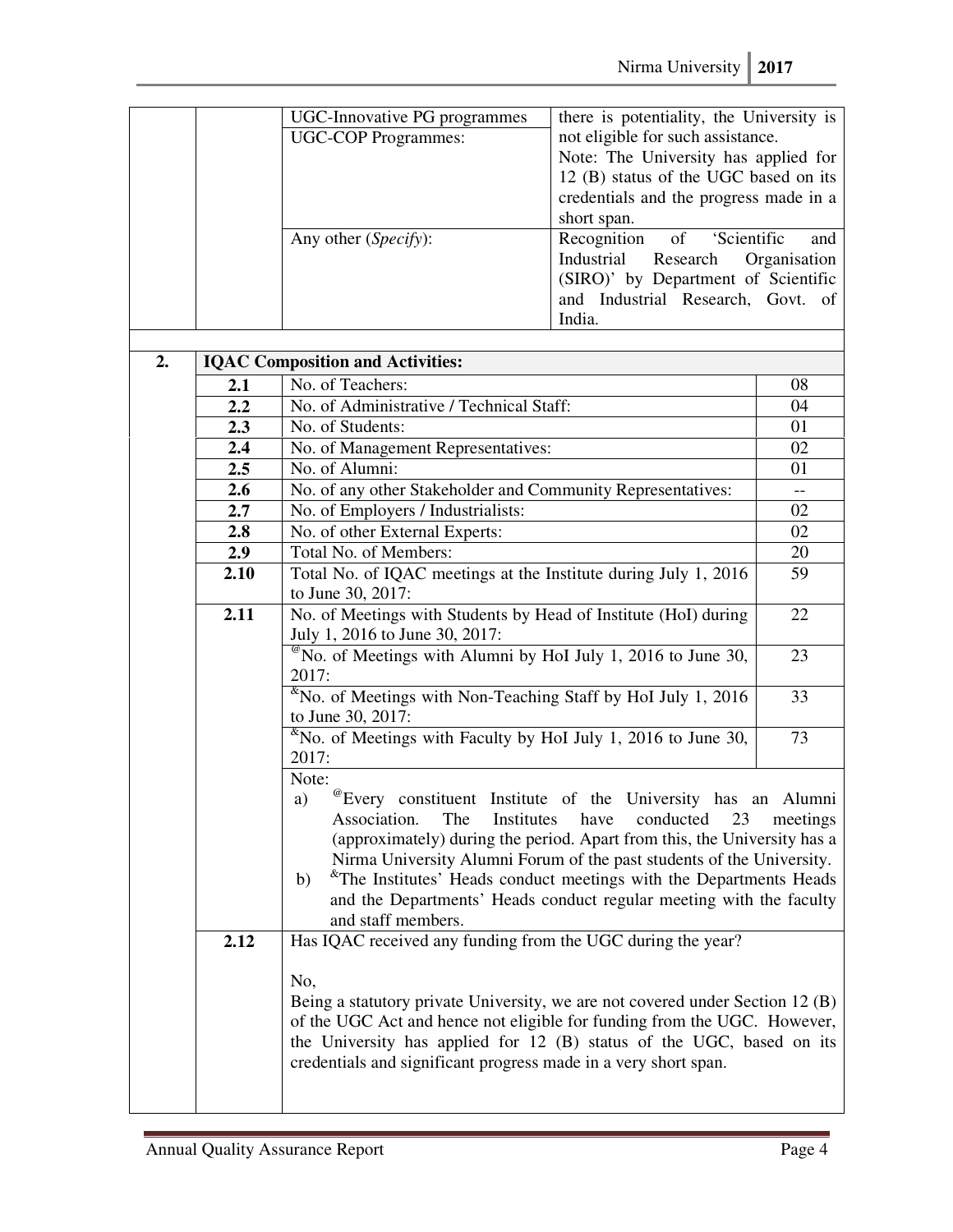|    |      | <b>UGC-Innovative PG programmes</b>                                                      | there is potentiality, the University is |              |  |
|----|------|------------------------------------------------------------------------------------------|------------------------------------------|--------------|--|
|    |      | <b>UGC-COP Programmes:</b>                                                               | not eligible for such assistance.        |              |  |
|    |      |                                                                                          | Note: The University has applied for     |              |  |
|    |      |                                                                                          | 12 (B) status of the UGC based on its    |              |  |
|    |      |                                                                                          | credentials and the progress made in a   |              |  |
|    |      |                                                                                          | short span.                              |              |  |
|    |      | Any other (Specify):                                                                     | 'Scientific<br>Recognition<br>of         | and          |  |
|    |      |                                                                                          | Industrial Research                      | Organisation |  |
|    |      |                                                                                          | (SIRO)' by Department of Scientific      |              |  |
|    |      |                                                                                          | and Industrial Research, Govt. of        |              |  |
|    |      |                                                                                          | India.                                   |              |  |
|    |      |                                                                                          |                                          |              |  |
| 2. |      | <b>IQAC Composition and Activities:</b>                                                  |                                          |              |  |
|    | 2.1  | No. of Teachers:                                                                         |                                          | 08           |  |
|    | 2.2  | No. of Administrative / Technical Staff:                                                 |                                          | 04           |  |
|    | 2.3  | No. of Students:                                                                         |                                          | 01           |  |
|    | 2.4  | No. of Management Representatives:                                                       |                                          | 02           |  |
|    | 2.5  | No. of Alumni:                                                                           |                                          | 01           |  |
|    | 2.6  | No. of any other Stakeholder and Community Representatives:                              |                                          | $-$          |  |
|    | 2.7  | No. of Employers / Industrialists:<br>02                                                 |                                          |              |  |
|    | 2.8  | No. of other External Experts:                                                           |                                          | 02           |  |
|    | 2.9  | Total No. of Members:                                                                    |                                          | 20           |  |
|    | 2.10 | Total No. of IQAC meetings at the Institute during July 1, 2016                          |                                          | 59           |  |
|    |      | to June 30, 2017:                                                                        |                                          |              |  |
|    | 2.11 | No. of Meetings with Students by Head of Institute (HoI) during                          |                                          | 22           |  |
|    |      | July 1, 2016 to June 30, 2017:                                                           |                                          |              |  |
|    |      | $^{\circ\circ}$ No. of Meetings with Alumni by HoI July 1, 2016 to June 30,              |                                          | 23           |  |
|    |      | 2017:                                                                                    |                                          |              |  |
|    |      | <sup>&amp;</sup> No. of Meetings with Non-Teaching Staff by HoI July 1, 2016             |                                          | 33           |  |
|    |      | to June 30, 2017:                                                                        |                                          |              |  |
|    |      | <sup>&amp;</sup> No. of Meetings with Faculty by HoI July 1, 2016 to June 30,            |                                          | 73           |  |
|    |      | 2017:                                                                                    |                                          |              |  |
|    |      | Note:                                                                                    |                                          |              |  |
|    |      | <sup>@</sup> Every constituent Institute of the University has an Alumni<br>a)           |                                          |              |  |
|    |      | Association.<br>The<br>Institutes                                                        | 23<br>have<br>conducted                  | meetings     |  |
|    |      | (approximately) during the period. Apart from this, the University has a                 |                                          |              |  |
|    |      | Nirma University Alumni Forum of the past students of the University.                    |                                          |              |  |
|    |      | <sup>&amp;</sup> The Institutes' Heads conduct meetings with the Departments Heads<br>b) |                                          |              |  |
|    |      | and the Departments' Heads conduct regular meeting with the faculty                      |                                          |              |  |
|    |      | and staff members.                                                                       |                                          |              |  |
|    | 2.12 | Has IQAC received any funding from the UGC during the year?                              |                                          |              |  |
|    |      |                                                                                          |                                          |              |  |
|    |      | No,                                                                                      |                                          |              |  |
|    |      | Being a statutory private University, we are not covered under Section 12 (B)            |                                          |              |  |
|    |      | of the UGC Act and hence not eligible for funding from the UGC. However,                 |                                          |              |  |
|    |      | the University has applied for 12 (B) status of the UGC, based on its                    |                                          |              |  |
|    |      | credentials and significant progress made in a very short span.                          |                                          |              |  |
|    |      |                                                                                          |                                          |              |  |
|    |      |                                                                                          |                                          |              |  |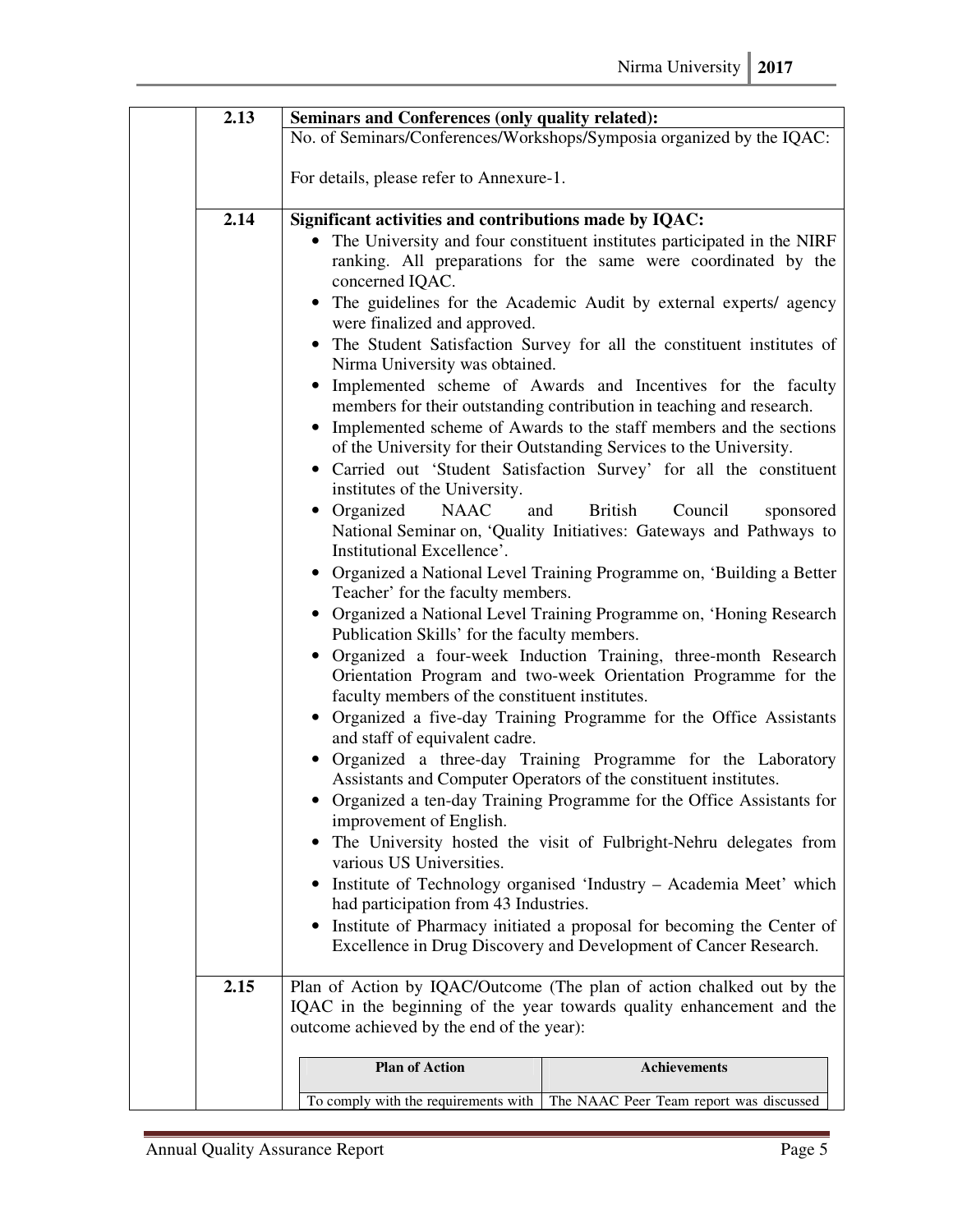| 2.13 | Seminars and Conferences (only quality related):                                                                                                                                                                                                                                                                                                                                                                                                                                                                                                                                                                                                                                                                                                                                                                                                                                                                                                                                                                                                                                                                                                                                                                                                                                                                                                                                                                                                                                                                                                                                                                 |
|------|------------------------------------------------------------------------------------------------------------------------------------------------------------------------------------------------------------------------------------------------------------------------------------------------------------------------------------------------------------------------------------------------------------------------------------------------------------------------------------------------------------------------------------------------------------------------------------------------------------------------------------------------------------------------------------------------------------------------------------------------------------------------------------------------------------------------------------------------------------------------------------------------------------------------------------------------------------------------------------------------------------------------------------------------------------------------------------------------------------------------------------------------------------------------------------------------------------------------------------------------------------------------------------------------------------------------------------------------------------------------------------------------------------------------------------------------------------------------------------------------------------------------------------------------------------------------------------------------------------------|
|      | No. of Seminars/Conferences/Workshops/Symposia organized by the IQAC:                                                                                                                                                                                                                                                                                                                                                                                                                                                                                                                                                                                                                                                                                                                                                                                                                                                                                                                                                                                                                                                                                                                                                                                                                                                                                                                                                                                                                                                                                                                                            |
|      | For details, please refer to Annexure-1.                                                                                                                                                                                                                                                                                                                                                                                                                                                                                                                                                                                                                                                                                                                                                                                                                                                                                                                                                                                                                                                                                                                                                                                                                                                                                                                                                                                                                                                                                                                                                                         |
|      |                                                                                                                                                                                                                                                                                                                                                                                                                                                                                                                                                                                                                                                                                                                                                                                                                                                                                                                                                                                                                                                                                                                                                                                                                                                                                                                                                                                                                                                                                                                                                                                                                  |
| 2.14 | Significant activities and contributions made by IQAC:<br>The University and four constituent institutes participated in the NIRF<br>$\bullet$<br>ranking. All preparations for the same were coordinated by the<br>concerned IQAC.<br>The guidelines for the Academic Audit by external experts/ agency<br>$\bullet$<br>were finalized and approved.<br>• The Student Satisfaction Survey for all the constituent institutes of<br>Nirma University was obtained.<br>Implemented scheme of Awards and Incentives for the faculty<br>members for their outstanding contribution in teaching and research.<br>• Implemented scheme of Awards to the staff members and the sections<br>of the University for their Outstanding Services to the University.<br>· Carried out 'Student Satisfaction Survey' for all the constituent<br>institutes of the University.<br>Organized<br><b>NAAC</b><br>and<br><b>British</b><br>Council<br>sponsored<br>$\bullet$<br>National Seminar on, 'Quality Initiatives: Gateways and Pathways to<br>Institutional Excellence'.<br>• Organized a National Level Training Programme on, 'Building a Better<br>Teacher' for the faculty members.<br>• Organized a National Level Training Programme on, 'Honing Research<br>Publication Skills' for the faculty members.<br>Organized a four-week Induction Training, three-month Research<br>Orientation Program and two-week Orientation Programme for the<br>faculty members of the constituent institutes.<br>Organized a five-day Training Programme for the Office Assistants<br>$\bullet$<br>and staff of equivalent cadre. |
|      | Organized a three-day Training Programme for the Laboratory<br>Assistants and Computer Operators of the constituent institutes.<br>Organized a ten-day Training Programme for the Office Assistants for<br>improvement of English.<br>The University hosted the visit of Fulbright-Nehru delegates from<br>various US Universities.<br>• Institute of Technology organised 'Industry - Academia Meet' which<br>had participation from 43 Industries.<br>Institute of Pharmacy initiated a proposal for becoming the Center of<br>Excellence in Drug Discovery and Development of Cancer Research.                                                                                                                                                                                                                                                                                                                                                                                                                                                                                                                                                                                                                                                                                                                                                                                                                                                                                                                                                                                                                |
| 2.15 | Plan of Action by IQAC/Outcome (The plan of action chalked out by the<br>IQAC in the beginning of the year towards quality enhancement and the<br>outcome achieved by the end of the year):                                                                                                                                                                                                                                                                                                                                                                                                                                                                                                                                                                                                                                                                                                                                                                                                                                                                                                                                                                                                                                                                                                                                                                                                                                                                                                                                                                                                                      |
|      | <b>Plan of Action</b><br><b>Achievements</b>                                                                                                                                                                                                                                                                                                                                                                                                                                                                                                                                                                                                                                                                                                                                                                                                                                                                                                                                                                                                                                                                                                                                                                                                                                                                                                                                                                                                                                                                                                                                                                     |
|      | To comply with the requirements with   The NAAC Peer Team report was discussed                                                                                                                                                                                                                                                                                                                                                                                                                                                                                                                                                                                                                                                                                                                                                                                                                                                                                                                                                                                                                                                                                                                                                                                                                                                                                                                                                                                                                                                                                                                                   |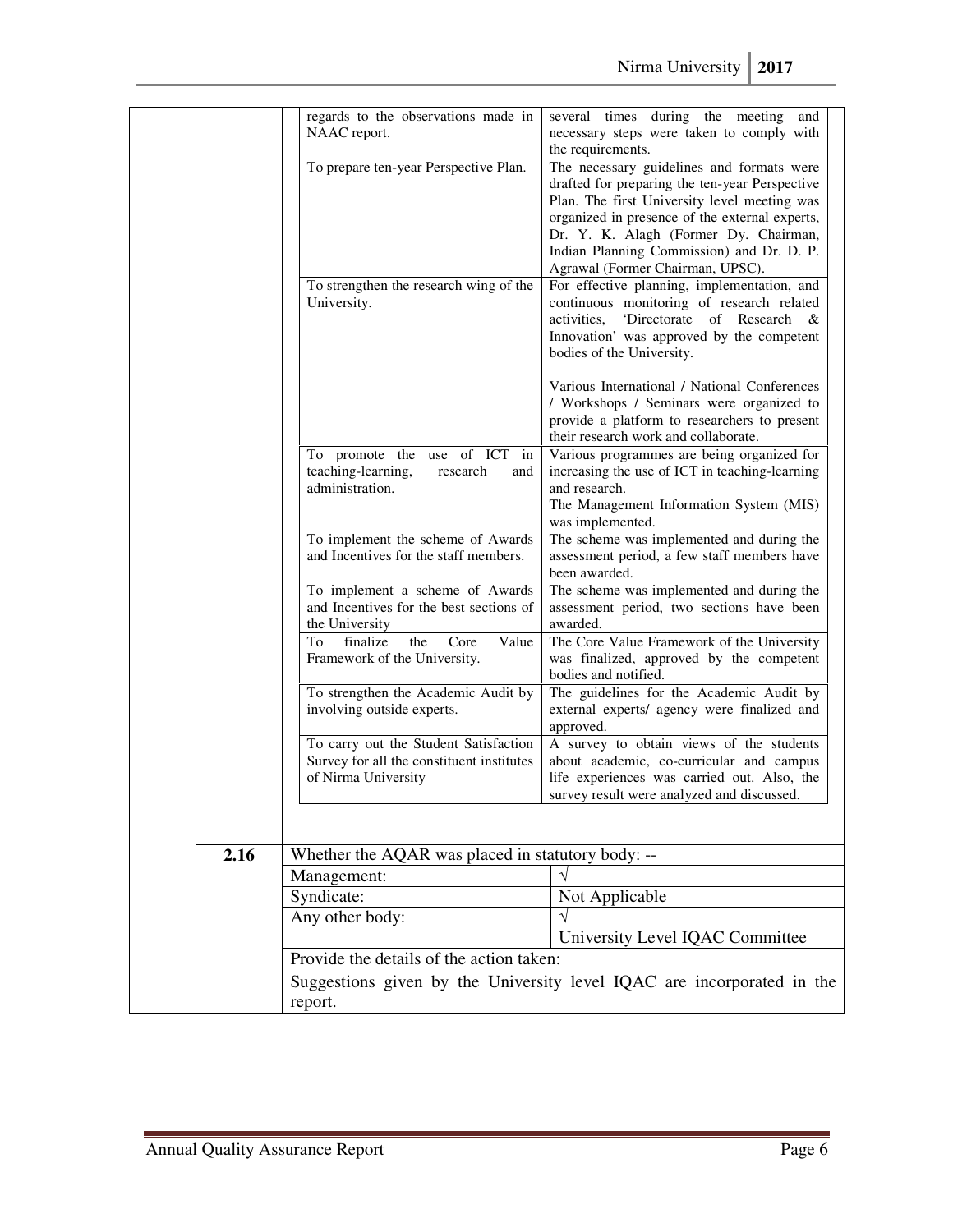|      | regards to the observations made in                              | several times during the meeting and                                                    |
|------|------------------------------------------------------------------|-----------------------------------------------------------------------------------------|
|      | NAAC report.                                                     | necessary steps were taken to comply with<br>the requirements.                          |
|      | To prepare ten-year Perspective Plan.                            | The necessary guidelines and formats were                                               |
|      |                                                                  | drafted for preparing the ten-year Perspective                                          |
|      |                                                                  | Plan. The first University level meeting was                                            |
|      |                                                                  | organized in presence of the external experts,                                          |
|      |                                                                  | Dr. Y. K. Alagh (Former Dy. Chairman,                                                   |
|      |                                                                  | Indian Planning Commission) and Dr. D. P.                                               |
|      |                                                                  | Agrawal (Former Chairman, UPSC).                                                        |
|      | To strengthen the research wing of the                           | For effective planning, implementation, and                                             |
|      | University.                                                      | continuous monitoring of research related<br>'Directorate of Research &<br>activities.  |
|      |                                                                  | Innovation' was approved by the competent                                               |
|      |                                                                  | bodies of the University.                                                               |
|      |                                                                  | Various International / National Conferences                                            |
|      |                                                                  | / Workshops / Seminars were organized to                                                |
|      |                                                                  | provide a platform to researchers to present<br>their research work and collaborate.    |
|      | To promote the use of ICT in                                     | Various programmes are being organized for                                              |
|      | teaching-learning,<br>research<br>and                            | increasing the use of ICT in teaching-learning                                          |
|      | administration.                                                  | and research.<br>The Management Information System (MIS)                                |
|      |                                                                  | was implemented.                                                                        |
|      | To implement the scheme of Awards                                | The scheme was implemented and during the                                               |
|      | and Incentives for the staff members.                            | assessment period, a few staff members have<br>been awarded.                            |
|      | To implement a scheme of Awards                                  | The scheme was implemented and during the                                               |
|      | and Incentives for the best sections of                          | assessment period, two sections have been                                               |
|      | the University                                                   | awarded.                                                                                |
|      | finalize<br>Core<br>To<br>the<br>Value                           | The Core Value Framework of the University                                              |
|      | Framework of the University.                                     | was finalized, approved by the competent<br>bodies and notified.                        |
|      | To strengthen the Academic Audit by                              | The guidelines for the Academic Audit by                                                |
|      | involving outside experts.                                       | external experts/ agency were finalized and                                             |
|      |                                                                  | approved.                                                                               |
|      | To carry out the Student Satisfaction                            | A survey to obtain views of the students                                                |
|      | Survey for all the constituent institutes<br>of Nirma University | about academic, co-curricular and campus<br>life experiences was carried out. Also, the |
|      |                                                                  | survey result were analyzed and discussed.                                              |
|      |                                                                  |                                                                                         |
| 2.16 | Whether the AQAR was placed in statutory body: --                |                                                                                         |
|      | Management:                                                      | $\sqrt{}$                                                                               |
|      | Syndicate:                                                       | Not Applicable                                                                          |
|      | Any other body:                                                  |                                                                                         |
|      |                                                                  | University Level IQAC Committee                                                         |
|      | Provide the details of the action taken:                         |                                                                                         |
|      |                                                                  | Suggestions given by the University level IQAC are incorporated in the                  |
|      | report.                                                          |                                                                                         |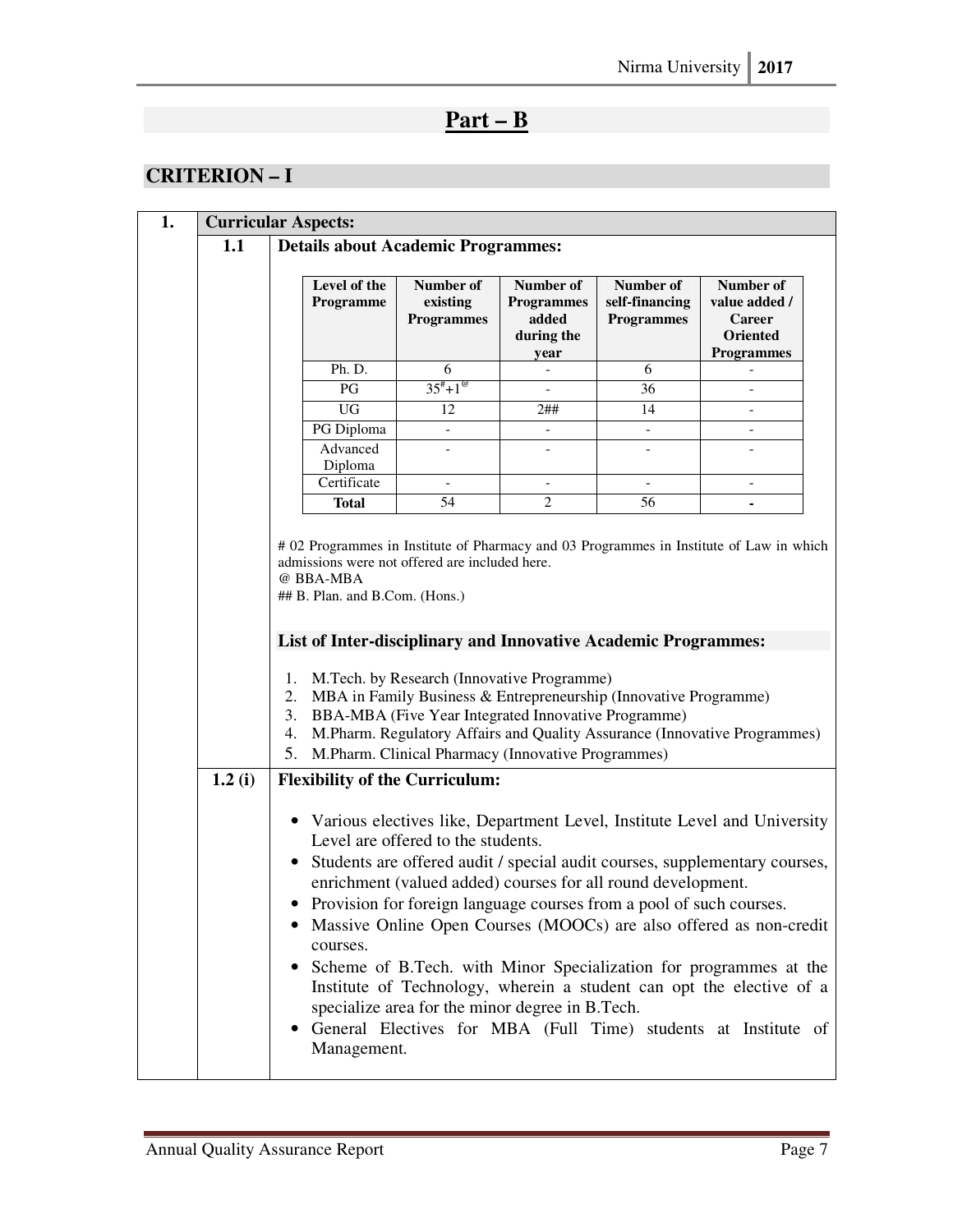# **Part – B**

# **CRITERION – I**

|        | <b>Details about Academic Programmes:</b>                                                                                                                                                                           |                                                    |                                                                      |                                                                                                                                                                                                             |                                                                       |
|--------|---------------------------------------------------------------------------------------------------------------------------------------------------------------------------------------------------------------------|----------------------------------------------------|----------------------------------------------------------------------|-------------------------------------------------------------------------------------------------------------------------------------------------------------------------------------------------------------|-----------------------------------------------------------------------|
|        | Level of the<br>Programme                                                                                                                                                                                           | Number of<br>existing<br><b>Programmes</b>         | <b>Number of</b><br><b>Programmes</b><br>added<br>during the<br>year | Number of<br>self-financing<br><b>Programmes</b>                                                                                                                                                            | Number of<br>value added /<br>Career<br>Oriented<br><b>Programmes</b> |
|        | Ph. D.                                                                                                                                                                                                              | 6                                                  |                                                                      | 6                                                                                                                                                                                                           |                                                                       |
|        | PG                                                                                                                                                                                                                  | $35^{*}+1^{\circ}$                                 |                                                                      | 36                                                                                                                                                                                                          |                                                                       |
|        | <b>UG</b>                                                                                                                                                                                                           | 12                                                 | 2##                                                                  | 14                                                                                                                                                                                                          |                                                                       |
|        | PG Diploma                                                                                                                                                                                                          | $\qquad \qquad -$                                  |                                                                      |                                                                                                                                                                                                             |                                                                       |
|        | Advanced<br>Diploma                                                                                                                                                                                                 | $\overline{a}$                                     |                                                                      |                                                                                                                                                                                                             |                                                                       |
|        | Certificate                                                                                                                                                                                                         |                                                    |                                                                      |                                                                                                                                                                                                             |                                                                       |
|        | <b>Total</b>                                                                                                                                                                                                        | 54                                                 | $\overline{2}$                                                       | 56                                                                                                                                                                                                          |                                                                       |
|        | 1.                                                                                                                                                                                                                  | M.Tech. by Research (Innovative Programme)         |                                                                      |                                                                                                                                                                                                             |                                                                       |
|        | 2. MBA in Family Business & Entrepreneurship (Innovative Programme)<br>3. BBA-MBA (Five Year Integrated Innovative Programme)<br>4. M.Pharm. Regulatory Affairs and Quality Assurance (Innovative Programmes)<br>5. | M.Pharm. Clinical Pharmacy (Innovative Programmes) |                                                                      |                                                                                                                                                                                                             |                                                                       |
| 1.2(i) | <b>Flexibility of the Curriculum:</b>                                                                                                                                                                               |                                                    |                                                                      |                                                                                                                                                                                                             |                                                                       |
|        | $\bullet$                                                                                                                                                                                                           | Level are offered to the students.                 |                                                                      | Various electives like, Department Level, Institute Level and University                                                                                                                                    |                                                                       |
|        | $\bullet$                                                                                                                                                                                                           |                                                    |                                                                      | Students are offered audit / special audit courses, supplementary courses,<br>enrichment (valued added) courses for all round development.                                                                  |                                                                       |
|        | $\bullet$                                                                                                                                                                                                           |                                                    |                                                                      | Provision for foreign language courses from a pool of such courses.                                                                                                                                         |                                                                       |
|        |                                                                                                                                                                                                                     |                                                    |                                                                      | Massive Online Open Courses (MOOCs) are also offered as non-credit                                                                                                                                          |                                                                       |
|        | courses.<br>$\bullet$                                                                                                                                                                                               | specialize area for the minor degree in B.Tech.    |                                                                      | Scheme of B.Tech. with Minor Specialization for programmes at the<br>Institute of Technology, wherein a student can opt the elective of a<br>General Electives for MBA (Full Time) students at Institute of |                                                                       |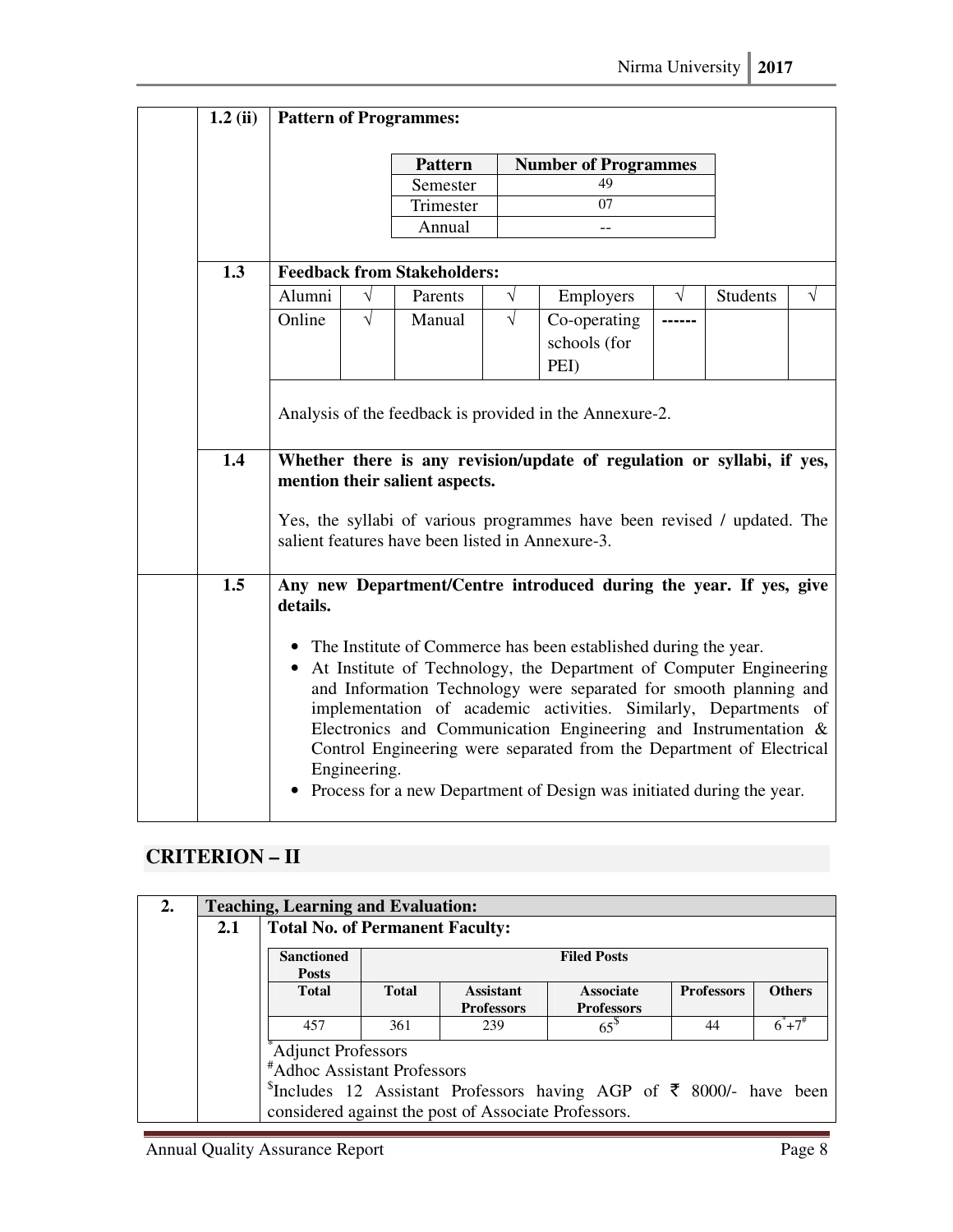| $1.2$ (ii) |                       |              | <b>Pattern of Programmes:</b>                                                      |            |                                                                                                                                                                                                                                                                                                                                                                                                                                                                                                                                                                             |            |                 |   |
|------------|-----------------------|--------------|------------------------------------------------------------------------------------|------------|-----------------------------------------------------------------------------------------------------------------------------------------------------------------------------------------------------------------------------------------------------------------------------------------------------------------------------------------------------------------------------------------------------------------------------------------------------------------------------------------------------------------------------------------------------------------------------|------------|-----------------|---|
|            |                       |              | <b>Pattern</b>                                                                     |            | <b>Number of Programmes</b>                                                                                                                                                                                                                                                                                                                                                                                                                                                                                                                                                 |            |                 |   |
|            |                       |              | Semester                                                                           |            | 49                                                                                                                                                                                                                                                                                                                                                                                                                                                                                                                                                                          |            |                 |   |
|            |                       |              | Trimester                                                                          |            | 07                                                                                                                                                                                                                                                                                                                                                                                                                                                                                                                                                                          |            |                 |   |
|            |                       |              | Annual                                                                             |            | --                                                                                                                                                                                                                                                                                                                                                                                                                                                                                                                                                                          |            |                 |   |
| 1.3        |                       |              | <b>Feedback from Stakeholders:</b>                                                 |            |                                                                                                                                                                                                                                                                                                                                                                                                                                                                                                                                                                             |            |                 |   |
|            | Alumni                | $\sqrt{}$    | Parents                                                                            | $\sqrt{ }$ | Employers                                                                                                                                                                                                                                                                                                                                                                                                                                                                                                                                                                   | $\sqrt{ }$ | <b>Students</b> | V |
|            | Online                | $\sqrt{}$    | Manual                                                                             | $\sqrt{}$  | Co-operating                                                                                                                                                                                                                                                                                                                                                                                                                                                                                                                                                                |            |                 |   |
|            |                       |              |                                                                                    |            | schools (for<br>PEI)                                                                                                                                                                                                                                                                                                                                                                                                                                                                                                                                                        |            |                 |   |
| 1.4        |                       |              | mention their salient aspects.<br>salient features have been listed in Annexure-3. |            | Whether there is any revision/update of regulation or syllabi, if yes,<br>Yes, the syllabi of various programmes have been revised / updated. The                                                                                                                                                                                                                                                                                                                                                                                                                           |            |                 |   |
| 1.5        | details.<br>$\bullet$ | Engineering. |                                                                                    |            | Any new Department/Centre introduced during the year. If yes, give<br>The Institute of Commerce has been established during the year.<br>At Institute of Technology, the Department of Computer Engineering<br>and Information Technology were separated for smooth planning and<br>implementation of academic activities. Similarly, Departments of<br>Electronics and Communication Engineering and Instrumentation $\&$<br>Control Engineering were separated from the Department of Electrical<br>Process for a new Department of Design was initiated during the year. |            |                 |   |

# **CRITERION – II**

| 2. |     | <b>Teaching, Learning and Evaluation:</b> |                                        |                                                      |                                                                                 |                   |               |  |
|----|-----|-------------------------------------------|----------------------------------------|------------------------------------------------------|---------------------------------------------------------------------------------|-------------------|---------------|--|
|    | 2.1 |                                           | <b>Total No. of Permanent Faculty:</b> |                                                      |                                                                                 |                   |               |  |
|    |     | <b>Sanctioned</b><br><b>Posts</b>         |                                        | <b>Filed Posts</b>                                   |                                                                                 |                   |               |  |
|    |     | <b>Total</b>                              | <b>Total</b>                           | <b>Assistant</b><br><b>Professors</b>                | Associate<br><b>Professors</b>                                                  | <b>Professors</b> | <b>Others</b> |  |
|    |     | 457                                       | 361                                    | 239                                                  | $65^{\circ}$                                                                    | 44                | $6^*+7^*$     |  |
|    |     | "Adjunct Professors                       |                                        |                                                      |                                                                                 |                   |               |  |
|    |     | <sup>#</sup> Adhoc Assistant Professors   |                                        |                                                      |                                                                                 |                   |               |  |
|    |     |                                           |                                        |                                                      | <sup>\$</sup> Includes 12 Assistant Professors having AGP of ₹ 8000/- have been |                   |               |  |
|    |     |                                           |                                        | considered against the post of Associate Professors. |                                                                                 |                   |               |  |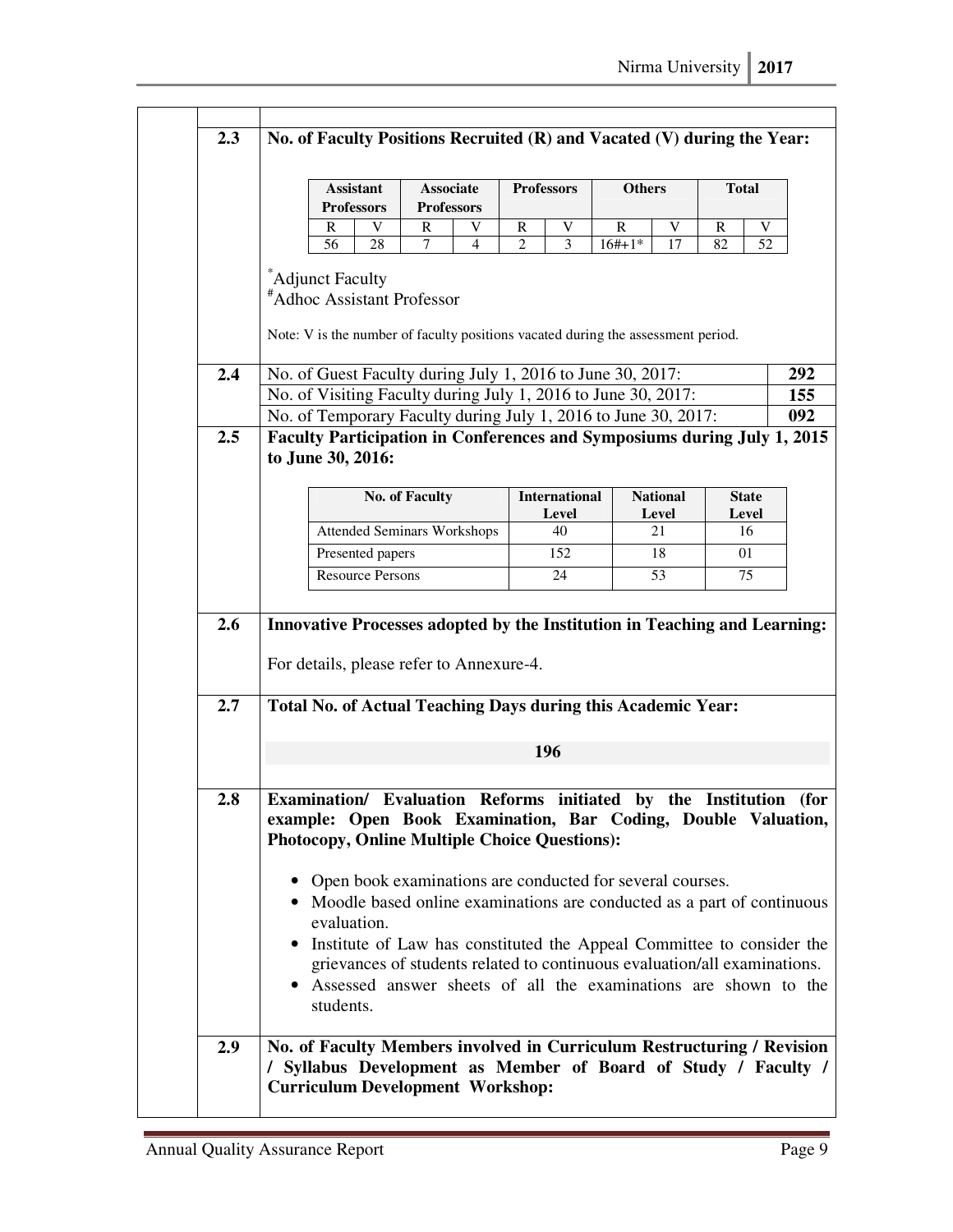|     |                                                                                                                                                                                                                                                                                                                                                                                                  | <b>Assistant</b>                                                                                                                                                                              | <b>Associate</b>       |   |     | <b>Professors</b>             | <b>Others</b> |                          | <b>Total</b>          |  |
|-----|--------------------------------------------------------------------------------------------------------------------------------------------------------------------------------------------------------------------------------------------------------------------------------------------------------------------------------------------------------------------------------------------------|-----------------------------------------------------------------------------------------------------------------------------------------------------------------------------------------------|------------------------|---|-----|-------------------------------|---------------|--------------------------|-----------------------|--|
|     | R                                                                                                                                                                                                                                                                                                                                                                                                | <b>Professors</b><br>V                                                                                                                                                                        | <b>Professors</b><br>R | V | R   | V                             | $\mathbf R$   | V                        | $\mathbb{R}$<br>V     |  |
|     | 56                                                                                                                                                                                                                                                                                                                                                                                               | 28                                                                                                                                                                                            | 7                      | 4 | 2   | 3                             | $16#+1*$      | 17                       | 52<br>82              |  |
|     | Adjunct Faculty<br>#Adhoc Assistant Professor<br>Note: V is the number of faculty positions vacated during the assessment period.                                                                                                                                                                                                                                                                |                                                                                                                                                                                               |                        |   |     |                               |               |                          |                       |  |
| 2.4 | No. of Guest Faculty during July 1, 2016 to June 30, 2017:                                                                                                                                                                                                                                                                                                                                       |                                                                                                                                                                                               |                        |   |     |                               |               |                          |                       |  |
|     | No. of Visiting Faculty during July 1, 2016 to June 30, 2017:                                                                                                                                                                                                                                                                                                                                    |                                                                                                                                                                                               |                        |   |     |                               |               |                          |                       |  |
| 2.5 | No. of Temporary Faculty during July 1, 2016 to June 30, 2017:<br>Faculty Participation in Conferences and Symposiums during July 1, 2015                                                                                                                                                                                                                                                        |                                                                                                                                                                                               |                        |   |     |                               |               |                          |                       |  |
|     |                                                                                                                                                                                                                                                                                                                                                                                                  |                                                                                                                                                                                               | No. of Faculty         |   |     | <b>International</b><br>Level |               | <b>National</b><br>Level | <b>State</b><br>Level |  |
|     |                                                                                                                                                                                                                                                                                                                                                                                                  | <b>Attended Seminars Workshops</b>                                                                                                                                                            |                        |   |     | 40                            |               | 21                       | 16                    |  |
|     | Presented papers                                                                                                                                                                                                                                                                                                                                                                                 |                                                                                                                                                                                               |                        |   | 152 |                               | 18            | 01                       |                       |  |
|     | <b>Resource Persons</b>                                                                                                                                                                                                                                                                                                                                                                          |                                                                                                                                                                                               |                        |   |     | 24                            |               | 53                       | 75                    |  |
| 2.7 | For details, please refer to Annexure-4.<br>Total No. of Actual Teaching Days during this Academic Year:                                                                                                                                                                                                                                                                                         |                                                                                                                                                                                               |                        |   |     |                               |               |                          |                       |  |
|     |                                                                                                                                                                                                                                                                                                                                                                                                  |                                                                                                                                                                                               |                        |   |     | 196                           |               |                          |                       |  |
| 2.8 |                                                                                                                                                                                                                                                                                                                                                                                                  | Examination/ Evaluation Reforms initiated by the Institution<br>(for<br>example: Open Book Examination, Bar Coding, Double Valuation,<br><b>Photocopy, Online Multiple Choice Questions):</b> |                        |   |     |                               |               |                          |                       |  |
|     | • Open book examinations are conducted for several courses.<br>• Moodle based online examinations are conducted as a part of continuous<br>evaluation.<br>• Institute of Law has constituted the Appeal Committee to consider the<br>grievances of students related to continuous evaluation/all examinations.<br>• Assessed answer sheets of all the examinations are shown to the<br>students. |                                                                                                                                                                                               |                        |   |     |                               |               |                          |                       |  |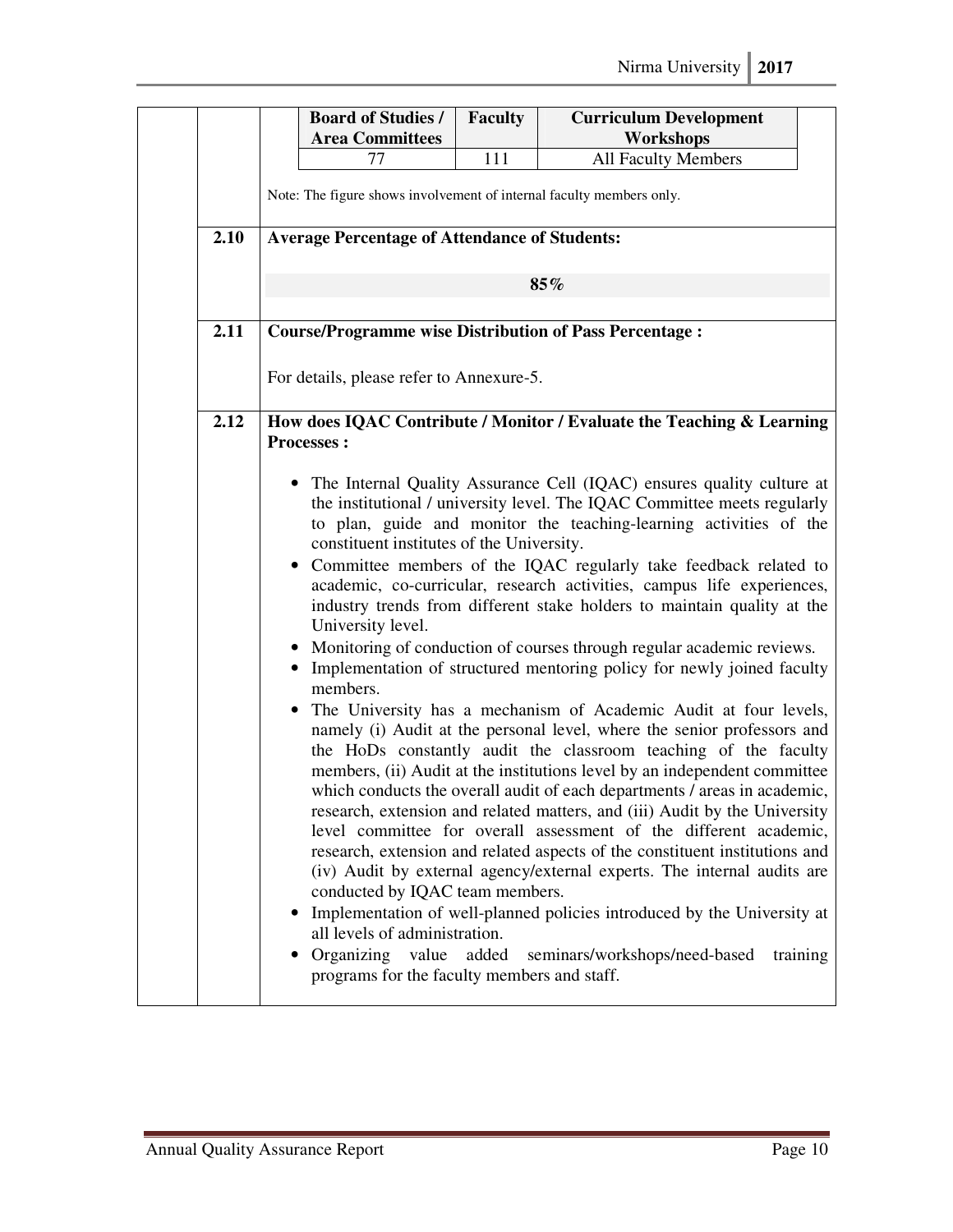|      | <b>Board of Studies /</b><br><b>Area Committees</b>                                                                                                                                                                               | <b>Faculty</b> | <b>Curriculum Development</b><br>Workshops                                                                                                                                                                                                                                                                                                                                                                                                                                                                                                                                                                                                                                                                                                                                                                                                                                                                                                                                                                                                                                                                                                                                                                                                                                                                                                                                                                                   |  |
|------|-----------------------------------------------------------------------------------------------------------------------------------------------------------------------------------------------------------------------------------|----------------|------------------------------------------------------------------------------------------------------------------------------------------------------------------------------------------------------------------------------------------------------------------------------------------------------------------------------------------------------------------------------------------------------------------------------------------------------------------------------------------------------------------------------------------------------------------------------------------------------------------------------------------------------------------------------------------------------------------------------------------------------------------------------------------------------------------------------------------------------------------------------------------------------------------------------------------------------------------------------------------------------------------------------------------------------------------------------------------------------------------------------------------------------------------------------------------------------------------------------------------------------------------------------------------------------------------------------------------------------------------------------------------------------------------------------|--|
|      | 77                                                                                                                                                                                                                                | 111            | <b>All Faculty Members</b>                                                                                                                                                                                                                                                                                                                                                                                                                                                                                                                                                                                                                                                                                                                                                                                                                                                                                                                                                                                                                                                                                                                                                                                                                                                                                                                                                                                                   |  |
|      | Note: The figure shows involvement of internal faculty members only.                                                                                                                                                              |                |                                                                                                                                                                                                                                                                                                                                                                                                                                                                                                                                                                                                                                                                                                                                                                                                                                                                                                                                                                                                                                                                                                                                                                                                                                                                                                                                                                                                                              |  |
| 2.10 | <b>Average Percentage of Attendance of Students:</b>                                                                                                                                                                              |                |                                                                                                                                                                                                                                                                                                                                                                                                                                                                                                                                                                                                                                                                                                                                                                                                                                                                                                                                                                                                                                                                                                                                                                                                                                                                                                                                                                                                                              |  |
|      |                                                                                                                                                                                                                                   |                | 85%                                                                                                                                                                                                                                                                                                                                                                                                                                                                                                                                                                                                                                                                                                                                                                                                                                                                                                                                                                                                                                                                                                                                                                                                                                                                                                                                                                                                                          |  |
| 2.11 | <b>Course/Programme wise Distribution of Pass Percentage:</b>                                                                                                                                                                     |                |                                                                                                                                                                                                                                                                                                                                                                                                                                                                                                                                                                                                                                                                                                                                                                                                                                                                                                                                                                                                                                                                                                                                                                                                                                                                                                                                                                                                                              |  |
|      | For details, please refer to Annexure-5.                                                                                                                                                                                          |                |                                                                                                                                                                                                                                                                                                                                                                                                                                                                                                                                                                                                                                                                                                                                                                                                                                                                                                                                                                                                                                                                                                                                                                                                                                                                                                                                                                                                                              |  |
| 2.12 | <b>Processes:</b>                                                                                                                                                                                                                 |                | How does IQAC Contribute / Monitor / Evaluate the Teaching & Learning                                                                                                                                                                                                                                                                                                                                                                                                                                                                                                                                                                                                                                                                                                                                                                                                                                                                                                                                                                                                                                                                                                                                                                                                                                                                                                                                                        |  |
|      | constituent institutes of the University.<br>University level.<br>$\bullet$<br>members.<br>conducted by IQAC team members.<br>all levels of administration.<br>Organizing<br>value<br>programs for the faculty members and staff. | added          | • The Internal Quality Assurance Cell (IQAC) ensures quality culture at<br>the institutional / university level. The IQAC Committee meets regularly<br>to plan, guide and monitor the teaching-learning activities of the<br>• Committee members of the IQAC regularly take feedback related to<br>academic, co-curricular, research activities, campus life experiences,<br>industry trends from different stake holders to maintain quality at the<br>Monitoring of conduction of courses through regular academic reviews.<br>• Implementation of structured mentoring policy for newly joined faculty<br>• The University has a mechanism of Academic Audit at four levels,<br>namely (i) Audit at the personal level, where the senior professors and<br>the HoDs constantly audit the classroom teaching of the faculty<br>members, (ii) Audit at the institutions level by an independent committee<br>which conducts the overall audit of each departments / areas in academic,<br>research, extension and related matters, and (iii) Audit by the University<br>level committee for overall assessment of the different academic,<br>research, extension and related aspects of the constituent institutions and<br>(iv) Audit by external agency/external experts. The internal audits are<br>Implementation of well-planned policies introduced by the University at<br>seminars/workshops/need-based<br>training |  |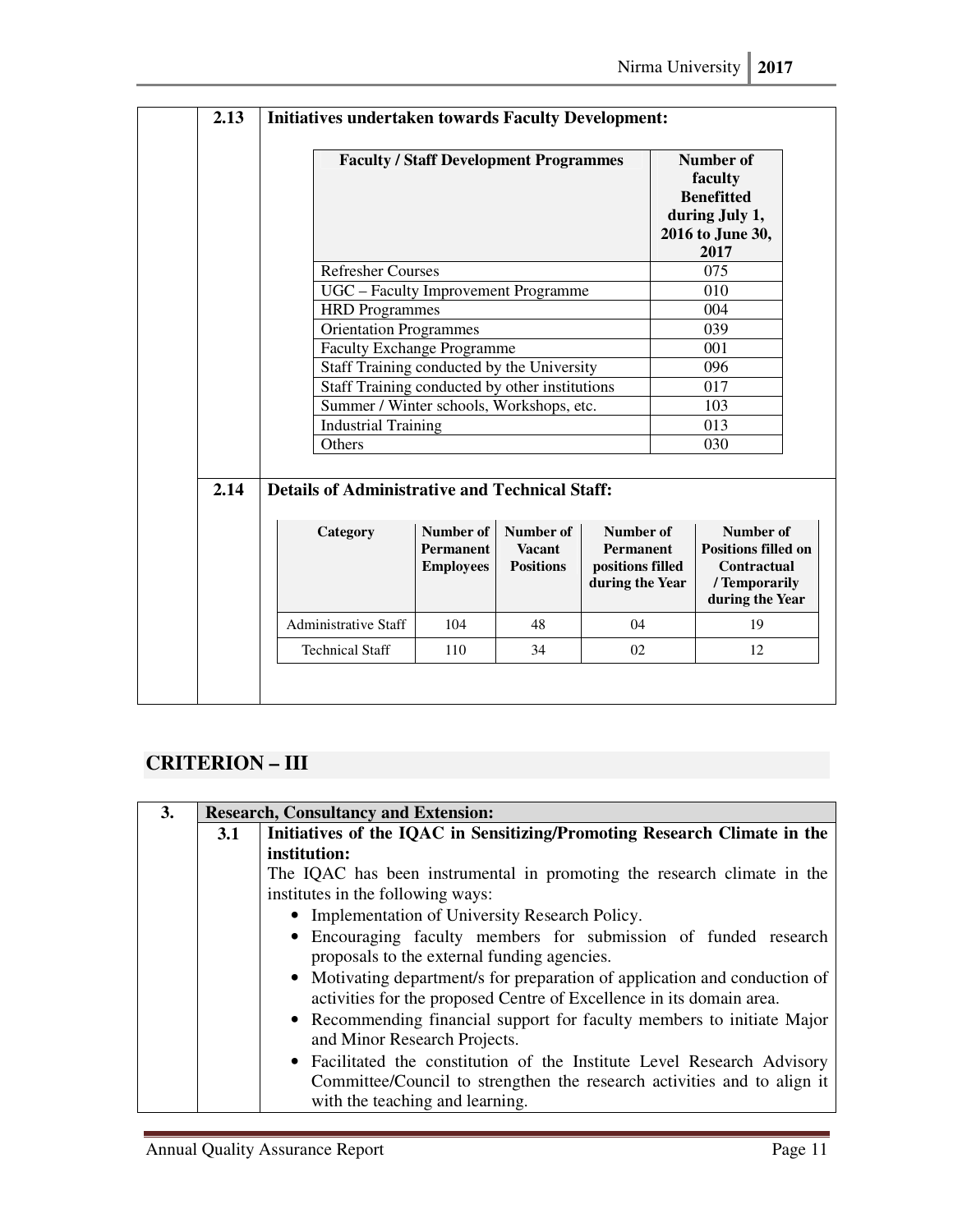|      |                                                                   |                                                          | <b>Faculty / Staff Development Programmes</b>  |                                                                      |            | <b>Number of</b><br>faculty<br><b>Benefitted</b><br>during July 1,<br>2016 to June 30,<br>2017 |
|------|-------------------------------------------------------------------|----------------------------------------------------------|------------------------------------------------|----------------------------------------------------------------------|------------|------------------------------------------------------------------------------------------------|
|      | <b>Refresher Courses</b>                                          |                                                          |                                                |                                                                      |            | 075                                                                                            |
|      | UGC - Faculty Improvement Programme                               |                                                          |                                                |                                                                      |            | 010                                                                                            |
|      | <b>HRD</b> Programmes                                             |                                                          |                                                |                                                                      |            | 004                                                                                            |
|      | <b>Orientation Programmes</b>                                     |                                                          |                                                |                                                                      |            | 039                                                                                            |
|      | <b>Faculty Exchange Programme</b>                                 |                                                          |                                                |                                                                      | 001<br>096 |                                                                                                |
|      |                                                                   | Staff Training conducted by the University               |                                                |                                                                      |            |                                                                                                |
|      |                                                                   | Staff Training conducted by other institutions           |                                                |                                                                      |            |                                                                                                |
|      |                                                                   | Summer / Winter schools, Workshops, etc.                 |                                                |                                                                      |            |                                                                                                |
|      | <b>Industrial Training</b>                                        |                                                          |                                                |                                                                      |            | 013                                                                                            |
|      | Others                                                            |                                                          |                                                |                                                                      |            | 030                                                                                            |
| 2.14 | <b>Details of Administrative and Technical Staff:</b><br>Category | <b>Number of</b><br><b>Permanent</b><br><b>Employees</b> | Number of<br><b>Vacant</b><br><b>Positions</b> | Number of<br><b>Permanent</b><br>positions filled<br>during the Year |            | Number of<br><b>Positions filled on</b><br>Contractual<br>/ Temporarily<br>during the Year     |
|      | Administrative Staff                                              | 104                                                      | 48                                             | 04                                                                   |            | 19                                                                                             |
|      | <b>Technical Staff</b>                                            | 110                                                      | 34                                             | 02                                                                   |            | 12                                                                                             |

# **CRITERION – III**

| 3. |     | <b>Research, Consultancy and Extension:</b>                                                                                                        |
|----|-----|----------------------------------------------------------------------------------------------------------------------------------------------------|
|    | 3.1 | Initiatives of the IQAC in Sensitizing/Promoting Research Climate in the                                                                           |
|    |     | institution:                                                                                                                                       |
|    |     | The IQAC has been instrumental in promoting the research climate in the                                                                            |
|    |     | institutes in the following ways:                                                                                                                  |
|    |     | • Implementation of University Research Policy.                                                                                                    |
|    |     | • Encouraging faculty members for submission of funded research                                                                                    |
|    |     | proposals to the external funding agencies.                                                                                                        |
|    |     | • Motivating department/s for preparation of application and conduction of<br>activities for the proposed Centre of Excellence in its domain area. |
|    |     | • Recommending financial support for faculty members to initiate Major<br>and Minor Research Projects.                                             |
|    |     | • Facilitated the constitution of the Institute Level Research Advisory                                                                            |
|    |     | Committee/Council to strengthen the research activities and to align it                                                                            |
|    |     | with the teaching and learning.                                                                                                                    |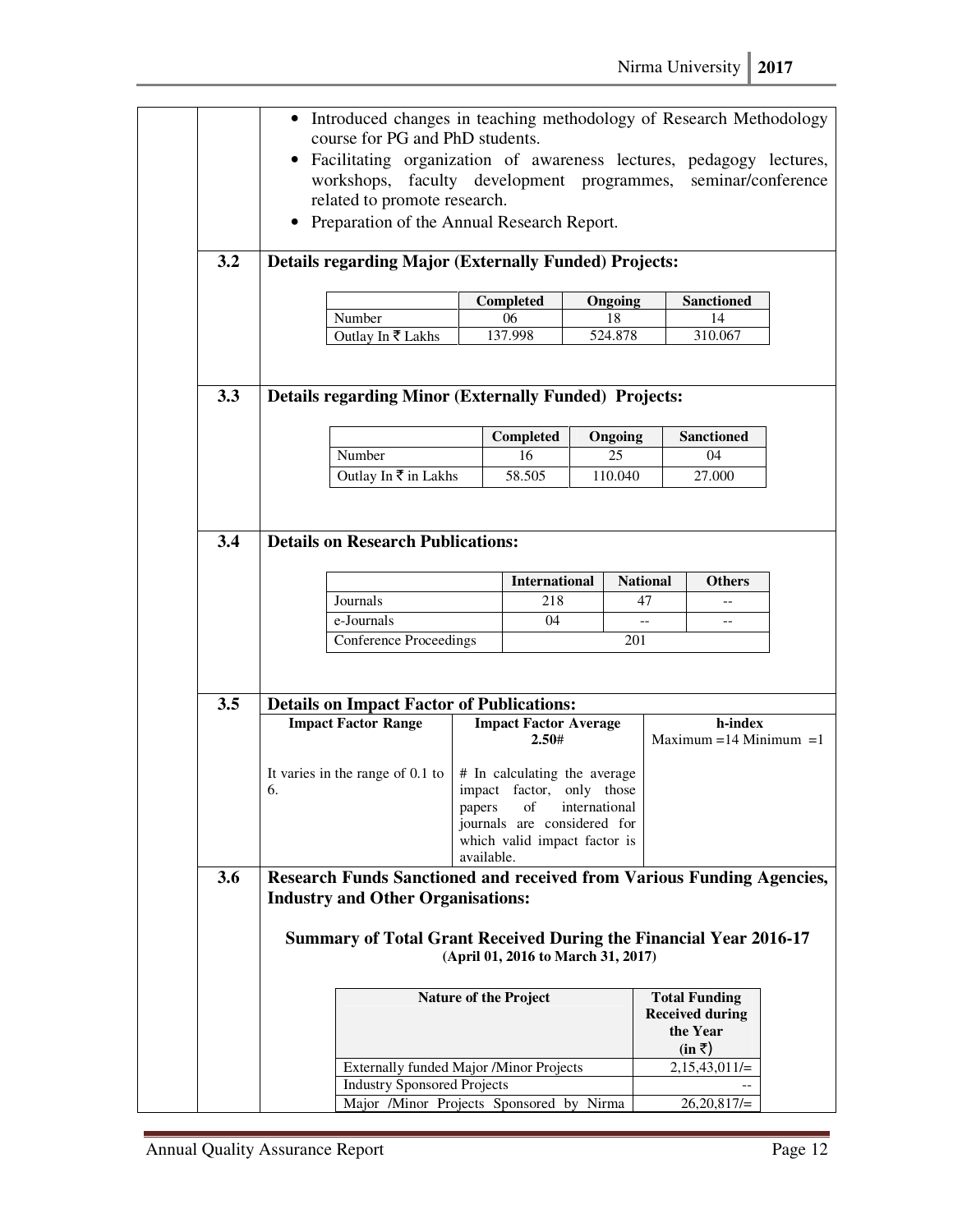|     | • Introduced changes in teaching methodology of Research Methodology<br>course for PG and PhD students.                              |                              |                                                           |               |                 |                            |  |  |  |
|-----|--------------------------------------------------------------------------------------------------------------------------------------|------------------------------|-----------------------------------------------------------|---------------|-----------------|----------------------------|--|--|--|
|     |                                                                                                                                      |                              |                                                           |               |                 |                            |  |  |  |
|     | Facilitating organization of awareness lectures, pedagogy lectures,<br>workshops, faculty development programmes, seminar/conference |                              |                                                           |               |                 |                            |  |  |  |
|     | related to promote research.                                                                                                         |                              |                                                           |               |                 |                            |  |  |  |
|     | • Preparation of the Annual Research Report.                                                                                         |                              |                                                           |               |                 |                            |  |  |  |
|     |                                                                                                                                      |                              |                                                           |               |                 |                            |  |  |  |
| 3.2 | <b>Details regarding Major (Externally Funded) Projects:</b>                                                                         |                              |                                                           |               |                 |                            |  |  |  |
|     |                                                                                                                                      |                              | Completed                                                 | Ongoing       |                 | <b>Sanctioned</b>          |  |  |  |
|     | Number                                                                                                                               |                              | 06                                                        | 18            |                 | 14                         |  |  |  |
|     | Outlay In ₹ Lakhs                                                                                                                    |                              | 137.998                                                   | 524.878       |                 | 310.067                    |  |  |  |
|     |                                                                                                                                      |                              |                                                           |               |                 |                            |  |  |  |
| 3.3 | <b>Details regarding Minor (Externally Funded) Projects:</b>                                                                         |                              |                                                           |               |                 |                            |  |  |  |
|     |                                                                                                                                      |                              |                                                           |               |                 |                            |  |  |  |
|     |                                                                                                                                      |                              | Completed                                                 | Ongoing       |                 | <b>Sanctioned</b>          |  |  |  |
|     | Number                                                                                                                               |                              | 16                                                        | 25            |                 | 04                         |  |  |  |
|     | Outlay In ₹ in Lakhs                                                                                                                 |                              | 58.505                                                    | 110.040       |                 | 27.000                     |  |  |  |
|     |                                                                                                                                      |                              |                                                           |               |                 |                            |  |  |  |
| 3.4 | <b>Details on Research Publications:</b>                                                                                             |                              |                                                           |               |                 |                            |  |  |  |
|     |                                                                                                                                      |                              |                                                           |               |                 |                            |  |  |  |
|     |                                                                                                                                      |                              | <b>International</b>                                      |               | <b>National</b> | <b>Others</b>              |  |  |  |
|     | Journals                                                                                                                             |                              | 218                                                       |               | 47              |                            |  |  |  |
|     | e-Journals                                                                                                                           |                              | 04                                                        |               |                 | $- -$                      |  |  |  |
|     | <b>Conference Proceedings</b>                                                                                                        |                              |                                                           |               | 201             |                            |  |  |  |
|     |                                                                                                                                      |                              |                                                           |               |                 |                            |  |  |  |
| 3.5 |                                                                                                                                      |                              |                                                           |               |                 |                            |  |  |  |
|     | <b>Details on Impact Factor of Publications:</b><br><b>Impact Factor Range</b>                                                       |                              | <b>Impact Factor Average</b>                              |               |                 | h-index                    |  |  |  |
|     |                                                                                                                                      |                              | 2.50#                                                     |               |                 | $Maximum = 14 Minimum = 1$ |  |  |  |
|     |                                                                                                                                      |                              |                                                           |               |                 |                            |  |  |  |
|     | It varies in the range of 0.1 to<br>6.                                                                                               |                              | # In calculating the average<br>impact factor, only those |               |                 |                            |  |  |  |
|     |                                                                                                                                      | papers                       | οf                                                        | international |                 |                            |  |  |  |
|     |                                                                                                                                      |                              | journals are considered for                               |               |                 |                            |  |  |  |
|     |                                                                                                                                      | available.                   | which valid impact factor is                              |               |                 |                            |  |  |  |
| 3.6 | Research Funds Sanctioned and received from Various Funding Agencies,                                                                |                              |                                                           |               |                 |                            |  |  |  |
|     | <b>Industry and Other Organisations:</b>                                                                                             |                              |                                                           |               |                 |                            |  |  |  |
|     |                                                                                                                                      |                              |                                                           |               |                 |                            |  |  |  |
|     | <b>Summary of Total Grant Received During the Financial Year 2016-17</b>                                                             |                              |                                                           |               |                 |                            |  |  |  |
|     |                                                                                                                                      |                              | (April 01, 2016 to March 31, 2017)                        |               |                 |                            |  |  |  |
|     |                                                                                                                                      | <b>Nature of the Project</b> |                                                           |               |                 | <b>Total Funding</b>       |  |  |  |
|     |                                                                                                                                      |                              |                                                           |               |                 | <b>Received during</b>     |  |  |  |
|     |                                                                                                                                      |                              |                                                           |               |                 | the Year                   |  |  |  |
|     |                                                                                                                                      |                              |                                                           |               |                 | $(in \bar{z})$             |  |  |  |
|     | Externally funded Major /Minor Projects<br><b>Industry Sponsored Projects</b>                                                        |                              |                                                           |               |                 | $2,15,43,011/=$            |  |  |  |
|     | Major /Minor Projects Sponsored by Nirma                                                                                             |                              |                                                           |               |                 | $26,20,817/=$              |  |  |  |
|     |                                                                                                                                      |                              |                                                           |               |                 |                            |  |  |  |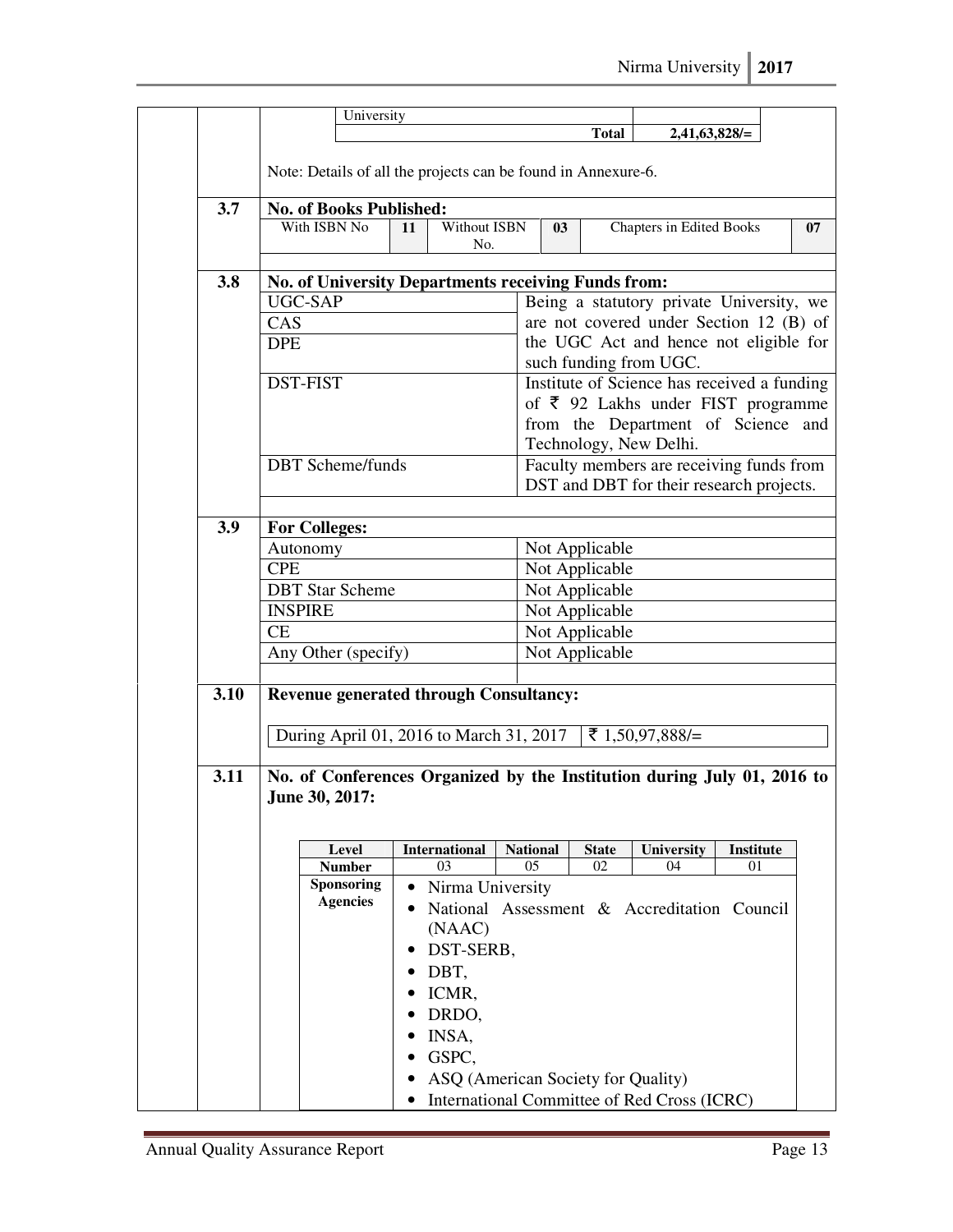|      |                                                               | University                                    |           |                                    |                                       |                                          |                    |                                                                         |                 |  |  |
|------|---------------------------------------------------------------|-----------------------------------------------|-----------|------------------------------------|---------------------------------------|------------------------------------------|--------------------|-------------------------------------------------------------------------|-----------------|--|--|
|      |                                                               |                                               |           |                                    |                                       |                                          | <b>Total</b>       | $2,41,63,828/=$                                                         |                 |  |  |
|      |                                                               |                                               |           |                                    |                                       |                                          |                    |                                                                         |                 |  |  |
|      | Note: Details of all the projects can be found in Annexure-6. |                                               |           |                                    |                                       |                                          |                    |                                                                         |                 |  |  |
| 3.7  |                                                               | <b>No. of Books Published:</b>                |           |                                    |                                       |                                          |                    |                                                                         |                 |  |  |
|      | <b>Without ISBN</b><br>With ISBN No<br>11                     |                                               |           |                                    | <b>Chapters in Edited Books</b><br>03 |                                          |                    |                                                                         | 07              |  |  |
|      |                                                               |                                               |           | No.                                |                                       |                                          |                    |                                                                         |                 |  |  |
| 3.8  | No. of University Departments receiving Funds from:           |                                               |           |                                    |                                       |                                          |                    |                                                                         |                 |  |  |
|      | UGC-SAP                                                       |                                               |           |                                    |                                       | Being a statutory private University, we |                    |                                                                         |                 |  |  |
|      | CAS                                                           |                                               |           |                                    |                                       |                                          |                    | are not covered under Section 12 (B) of                                 |                 |  |  |
|      | <b>DPE</b>                                                    |                                               |           |                                    |                                       |                                          |                    | the UGC Act and hence not eligible for                                  |                 |  |  |
|      |                                                               |                                               |           |                                    |                                       |                                          |                    | such funding from UGC.                                                  |                 |  |  |
|      | <b>DST-FIST</b>                                               |                                               |           |                                    |                                       |                                          |                    | Institute of Science has received a funding                             |                 |  |  |
|      |                                                               |                                               |           |                                    |                                       |                                          |                    | of $\bar{\tau}$ 92 Lakhs under FIST programme                           |                 |  |  |
|      |                                                               |                                               |           |                                    |                                       |                                          |                    | from the Department of Science and                                      |                 |  |  |
|      |                                                               |                                               |           |                                    |                                       |                                          |                    | Technology, New Delhi.                                                  |                 |  |  |
|      |                                                               | <b>DBT</b> Scheme/funds                       |           |                                    |                                       |                                          |                    | Faculty members are receiving funds from                                |                 |  |  |
|      |                                                               |                                               |           |                                    |                                       |                                          |                    | DST and DBT for their research projects.                                |                 |  |  |
|      |                                                               |                                               |           |                                    |                                       |                                          |                    |                                                                         |                 |  |  |
| 3.9  | <b>For Colleges:</b>                                          |                                               |           |                                    |                                       |                                          |                    |                                                                         |                 |  |  |
|      | Autonomy                                                      |                                               |           |                                    |                                       |                                          | Not Applicable     |                                                                         |                 |  |  |
|      | <b>CPE</b>                                                    |                                               |           |                                    |                                       |                                          | Not Applicable     |                                                                         |                 |  |  |
|      |                                                               | <b>DBT</b> Star Scheme                        |           |                                    |                                       |                                          | Not Applicable     |                                                                         |                 |  |  |
|      | <b>INSPIRE</b>                                                |                                               |           |                                    |                                       |                                          | Not Applicable     |                                                                         |                 |  |  |
|      | СE                                                            |                                               |           |                                    |                                       |                                          | Not Applicable     |                                                                         |                 |  |  |
|      |                                                               | Any Other (specify)                           |           |                                    |                                       |                                          | Not Applicable     |                                                                         |                 |  |  |
|      |                                                               |                                               |           |                                    |                                       |                                          |                    |                                                                         |                 |  |  |
| 3.10 |                                                               | <b>Revenue generated through Consultancy:</b> |           |                                    |                                       |                                          |                    |                                                                         |                 |  |  |
|      |                                                               | During April 01, 2016 to March 31, 2017       |           |                                    |                                       |                                          |                    | ₹ 1,50,97,888/ $=$                                                      |                 |  |  |
|      |                                                               |                                               |           |                                    |                                       |                                          |                    |                                                                         |                 |  |  |
| 3.11 |                                                               |                                               |           |                                    |                                       |                                          |                    | No. of Conferences Organized by the Institution during July 01, 2016 to |                 |  |  |
|      |                                                               | June 30, 2017:                                |           |                                    |                                       |                                          |                    |                                                                         |                 |  |  |
|      |                                                               |                                               |           |                                    |                                       |                                          |                    |                                                                         |                 |  |  |
|      |                                                               |                                               |           |                                    |                                       |                                          |                    |                                                                         |                 |  |  |
|      |                                                               | Level<br><b>Number</b>                        |           | <b>International</b><br>03         | <b>National</b><br>05                 |                                          | <b>State</b><br>02 | University<br>04                                                        | Institute<br>01 |  |  |
|      |                                                               | <b>Sponsoring</b>                             | $\bullet$ | Nirma University                   |                                       |                                          |                    |                                                                         |                 |  |  |
|      |                                                               | <b>Agencies</b>                               |           |                                    |                                       |                                          |                    | National Assessment & Accreditation Council                             |                 |  |  |
|      |                                                               |                                               |           | (NAAC)                             |                                       |                                          |                    |                                                                         |                 |  |  |
|      |                                                               |                                               | $\bullet$ | DST-SERB,                          |                                       |                                          |                    |                                                                         |                 |  |  |
|      |                                                               |                                               |           | DBT,                               |                                       |                                          |                    |                                                                         |                 |  |  |
|      |                                                               |                                               | ٠         | ICMR,                              |                                       |                                          |                    |                                                                         |                 |  |  |
|      |                                                               |                                               |           | DRDO,                              |                                       |                                          |                    |                                                                         |                 |  |  |
|      |                                                               |                                               |           | INSA,                              |                                       |                                          |                    |                                                                         |                 |  |  |
|      |                                                               |                                               | $\bullet$ | GSPC,                              |                                       |                                          |                    |                                                                         |                 |  |  |
|      |                                                               |                                               |           | ASQ (American Society for Quality) |                                       |                                          |                    |                                                                         |                 |  |  |
|      |                                                               |                                               |           |                                    |                                       |                                          |                    | International Committee of Red Cross (ICRC)                             |                 |  |  |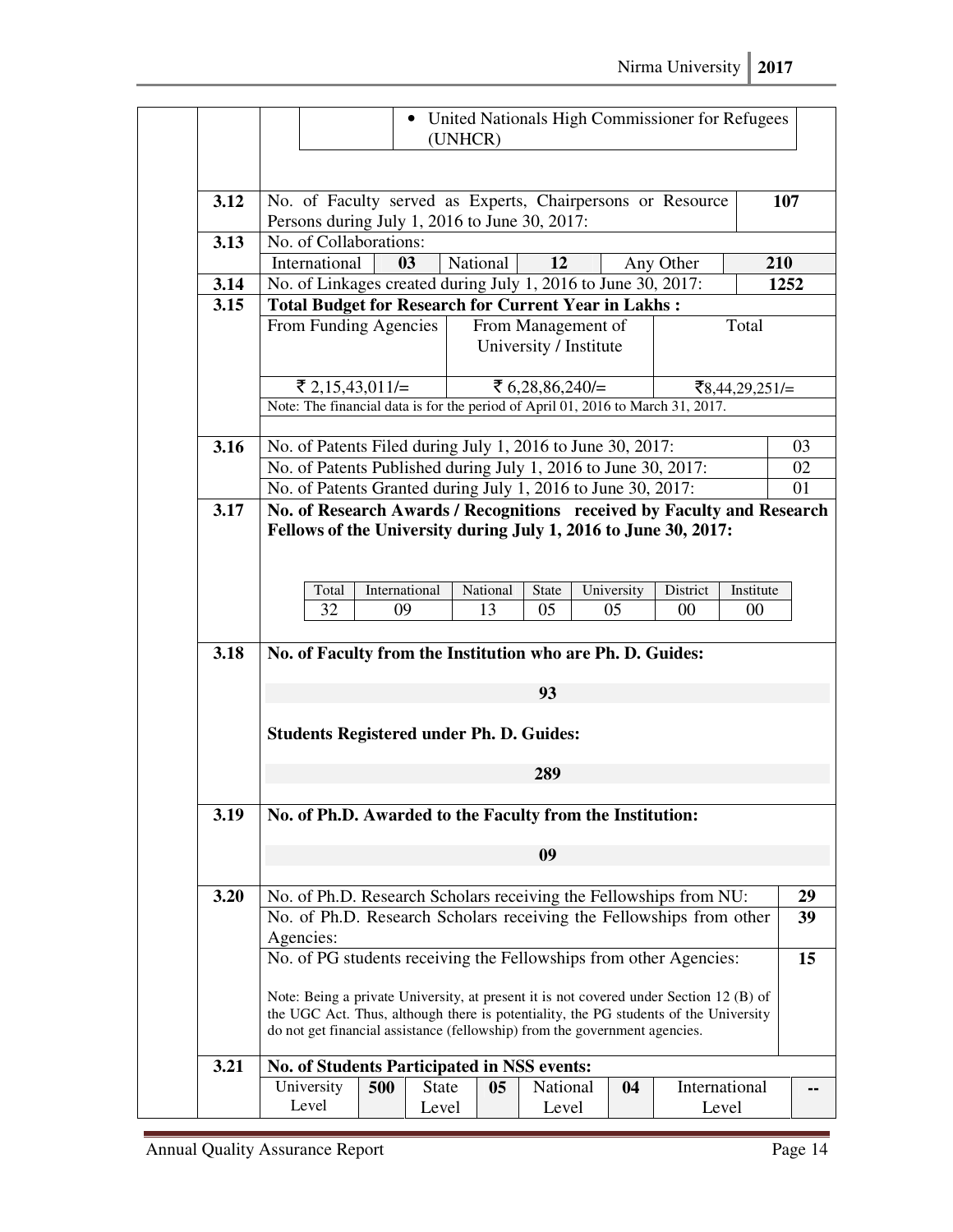|              |                                                                                                                                                                                |                     |                       |                | • United Nationals High Commissioner for Refugees |                  |                        |                             |          |
|--------------|--------------------------------------------------------------------------------------------------------------------------------------------------------------------------------|---------------------|-----------------------|----------------|---------------------------------------------------|------------------|------------------------|-----------------------------|----------|
|              |                                                                                                                                                                                |                     | (UNHCR)               |                |                                                   |                  |                        |                             |          |
| 3.12         |                                                                                                                                                                                |                     |                       |                |                                                   |                  |                        | 107                         |          |
|              | No. of Faculty served as Experts, Chairpersons or Resource<br>Persons during July 1, 2016 to June 30, 2017:                                                                    |                     |                       |                |                                                   |                  |                        |                             |          |
| 3.13         | No. of Collaborations:                                                                                                                                                         |                     |                       |                |                                                   |                  |                        |                             |          |
|              | International                                                                                                                                                                  | 0 <sub>3</sub>      |                       | National       | 12                                                |                  | Any Other              | 210                         |          |
| 3.14<br>3.15 | No. of Linkages created during July 1, 2016 to June 30, 2017:<br>1252<br><b>Total Budget for Research for Current Year in Lakhs:</b>                                           |                     |                       |                |                                                   |                  |                        |                             |          |
|              | From Funding Agencies<br>Total<br>From Management of<br>University / Institute                                                                                                 |                     |                       |                |                                                   |                  |                        |                             |          |
|              | ₹ 2,15,43,011/=                                                                                                                                                                |                     |                       |                | ₹ 6,28,86,240/=                                   |                  |                        | ₹ $8,44,29,251/=$           |          |
|              | Note: The financial data is for the period of April 01, 2016 to March 31, 2017.                                                                                                |                     |                       |                |                                                   |                  |                        |                             |          |
|              |                                                                                                                                                                                |                     |                       |                |                                                   |                  |                        |                             |          |
| 3.16         | No. of Patents Filed during July 1, 2016 to June 30, 2017:                                                                                                                     |                     |                       |                |                                                   |                  |                        |                             | 03<br>02 |
|              | No. of Patents Published during July 1, 2016 to June 30, 2017:<br>No. of Patents Granted during July 1, 2016 to June 30, 2017:                                                 |                     |                       |                |                                                   |                  |                        |                             | 01       |
| 3.17         | No. of Research Awards / Recognitions received by Faculty and Research                                                                                                         |                     |                       |                |                                                   |                  |                        |                             |          |
|              | Fellows of the University during July 1, 2016 to June 30, 2017:<br>Total<br>32                                                                                                 | International<br>09 |                       | National<br>13 | State<br>05                                       | University<br>05 | District<br>00         | Institute<br>0 <sup>0</sup> |          |
| 3.18         | No. of Faculty from the Institution who are Ph. D. Guides:                                                                                                                     |                     |                       |                |                                                   |                  |                        |                             |          |
|              |                                                                                                                                                                                |                     |                       |                | 93                                                |                  |                        |                             |          |
|              | <b>Students Registered under Ph. D. Guides:</b>                                                                                                                                |                     |                       |                |                                                   |                  |                        |                             |          |
|              |                                                                                                                                                                                |                     |                       |                | 289                                               |                  |                        |                             |          |
| 3.19         | No. of Ph.D. Awarded to the Faculty from the Institution:                                                                                                                      |                     |                       |                |                                                   |                  |                        |                             |          |
|              |                                                                                                                                                                                |                     |                       |                | 09                                                |                  |                        |                             |          |
| 3.20         |                                                                                                                                                                                |                     |                       |                |                                                   |                  |                        |                             |          |
|              | No. of Ph.D. Research Scholars receiving the Fellowships from NU:<br>No. of Ph.D. Research Scholars receiving the Fellowships from other                                       |                     |                       |                |                                                   |                  |                        |                             | 29<br>39 |
|              | Agencies:                                                                                                                                                                      |                     |                       |                |                                                   |                  |                        |                             |          |
|              | No. of PG students receiving the Fellowships from other Agencies:                                                                                                              |                     |                       |                |                                                   |                  |                        |                             | 15       |
|              |                                                                                                                                                                                |                     |                       |                |                                                   |                  |                        |                             |          |
|              | Note: Being a private University, at present it is not covered under Section 12 (B) of<br>the UGC Act. Thus, although there is potentiality, the PG students of the University |                     |                       |                |                                                   |                  |                        |                             |          |
|              | do not get financial assistance (fellowship) from the government agencies.                                                                                                     |                     |                       |                |                                                   |                  |                        |                             |          |
| 3.21         | <b>No. of Students Participated in NSS events:</b>                                                                                                                             |                     |                       |                |                                                   |                  |                        |                             |          |
|              | University<br>Level                                                                                                                                                            | 500                 | <b>State</b><br>Level | 05             | National<br>Level                                 | 04               | International<br>Level |                             |          |
|              |                                                                                                                                                                                |                     |                       |                |                                                   |                  |                        |                             |          |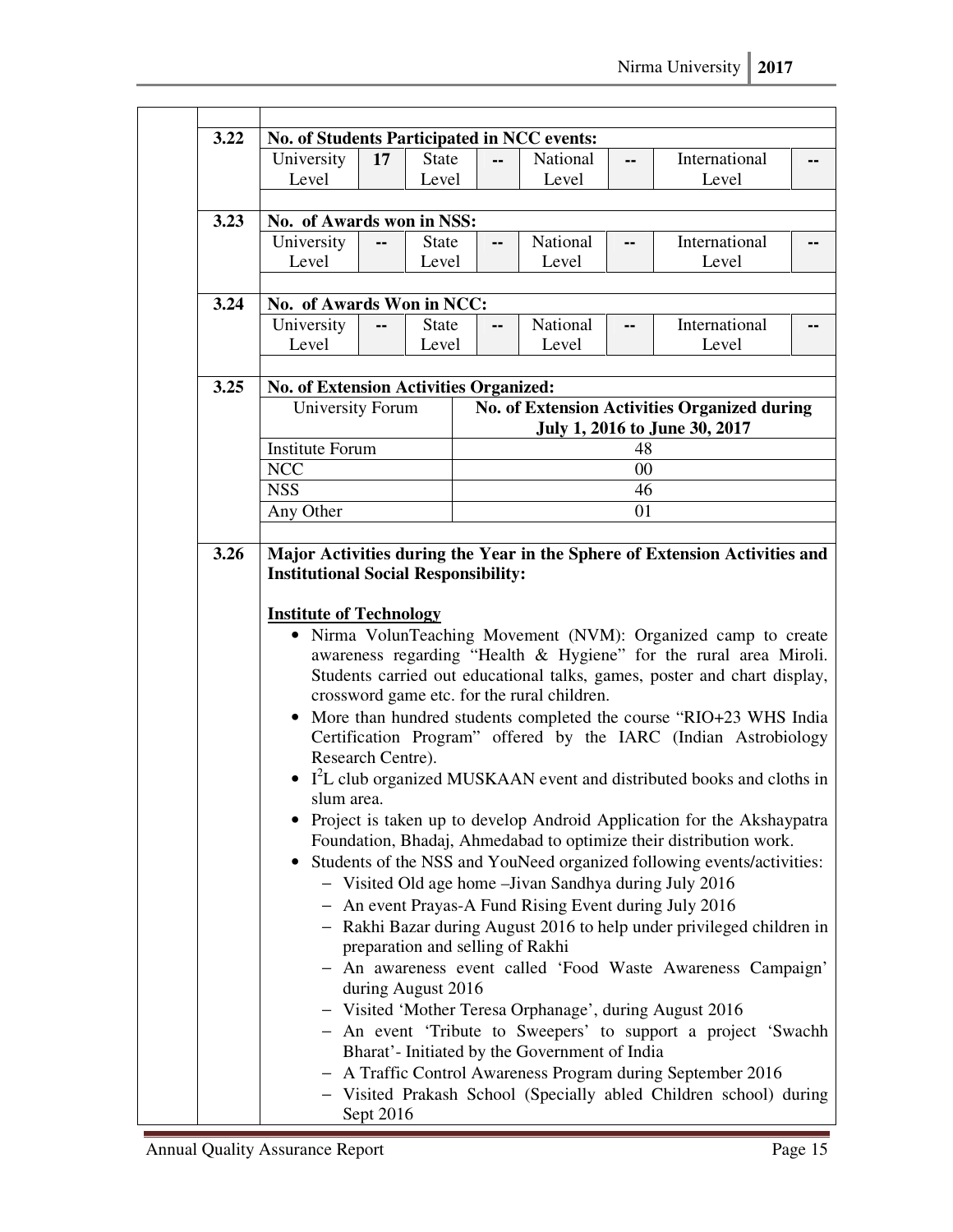| 3.22 | No. of Students Participated in NCC events:<br>University                     | 17 | <b>State</b>                     | ш,                       | National                                                | -- | International                                                                                                                                                                                                            |                                                                            |
|------|-------------------------------------------------------------------------------|----|----------------------------------|--------------------------|---------------------------------------------------------|----|--------------------------------------------------------------------------------------------------------------------------------------------------------------------------------------------------------------------------|----------------------------------------------------------------------------|
|      | Level                                                                         |    | Level                            |                          | Level                                                   |    | Level                                                                                                                                                                                                                    |                                                                            |
|      |                                                                               |    |                                  |                          |                                                         |    |                                                                                                                                                                                                                          |                                                                            |
| 3.23 | No. of Awards won in NSS:                                                     |    |                                  |                          |                                                         |    |                                                                                                                                                                                                                          |                                                                            |
|      | University                                                                    |    | <b>State</b>                     | $\overline{\phantom{a}}$ | National                                                | -- | International                                                                                                                                                                                                            | --                                                                         |
|      | Level                                                                         |    | Level                            |                          | Level                                                   |    | Level                                                                                                                                                                                                                    |                                                                            |
| 3.24 | No. of Awards Won in NCC:                                                     |    |                                  |                          |                                                         |    |                                                                                                                                                                                                                          |                                                                            |
|      | University                                                                    | -- | <b>State</b>                     | $-$                      | National                                                |    | International                                                                                                                                                                                                            |                                                                            |
|      | Level                                                                         |    | Level                            |                          | Level                                                   |    | Level                                                                                                                                                                                                                    |                                                                            |
| 3.25 | No. of Extension Activities Organized:                                        |    |                                  |                          |                                                         |    |                                                                                                                                                                                                                          |                                                                            |
|      | <b>University Forum</b>                                                       |    |                                  |                          |                                                         |    | No. of Extension Activities Organized during                                                                                                                                                                             |                                                                            |
|      |                                                                               |    |                                  |                          |                                                         |    | July 1, 2016 to June 30, 2017                                                                                                                                                                                            |                                                                            |
|      | <b>Institute Forum</b>                                                        |    |                                  |                          |                                                         | 48 |                                                                                                                                                                                                                          |                                                                            |
|      | NCC                                                                           |    |                                  |                          |                                                         | 00 |                                                                                                                                                                                                                          |                                                                            |
|      | <b>NSS</b>                                                                    |    |                                  |                          |                                                         | 46 |                                                                                                                                                                                                                          |                                                                            |
|      | Any Other                                                                     |    |                                  |                          |                                                         | 01 |                                                                                                                                                                                                                          |                                                                            |
|      | <b>Institutional Social Responsibility:</b><br><b>Institute of Technology</b> |    |                                  |                          |                                                         |    | • Nirma VolunTeaching Movement (NVM): Organized camp to create<br>awareness regarding "Health & Hygiene" for the rural area Miroli.<br>Students carried out educational talks, games, poster and chart display,          |                                                                            |
|      | Research Centre).                                                             |    |                                  |                          | crossword game etc. for the rural children.             |    | • More than hundred students completed the course "RIO+23 WHS India<br>Certification Program" offered by the IARC (Indian Astrobiology                                                                                   |                                                                            |
|      |                                                                               |    |                                  |                          |                                                         |    | $\bullet$ I <sup>2</sup> L club organized MUSKAAN event and distributed books and cloths in                                                                                                                              |                                                                            |
|      | slum area.                                                                    |    |                                  |                          |                                                         |    | Project is taken up to develop Android Application for the Akshaypatra<br>Foundation, Bhadaj, Ahmedabad to optimize their distribution work.<br>• Students of the NSS and YouNeed organized following events/activities: | Major Activities during the Year in the Sphere of Extension Activities and |
|      |                                                                               |    |                                  |                          | - Visited Old age home - Jivan Sandhya during July 2016 |    |                                                                                                                                                                                                                          |                                                                            |
|      |                                                                               |    |                                  |                          | - An event Prayas-A Fund Rising Event during July 2016  |    |                                                                                                                                                                                                                          |                                                                            |
|      |                                                                               |    |                                  |                          |                                                         |    | - Rakhi Bazar during August 2016 to help under privileged children in                                                                                                                                                    |                                                                            |
|      |                                                                               |    | preparation and selling of Rakhi |                          |                                                         |    |                                                                                                                                                                                                                          |                                                                            |
|      |                                                                               |    |                                  |                          |                                                         |    | - An awareness event called 'Food Waste Awareness Campaign'                                                                                                                                                              |                                                                            |
|      |                                                                               |    | during August 2016               |                          |                                                         |    |                                                                                                                                                                                                                          |                                                                            |
|      |                                                                               |    |                                  |                          |                                                         |    | - Visited 'Mother Teresa Orphanage', during August 2016<br>- An event 'Tribute to Sweepers' to support a project 'Swachh                                                                                                 |                                                                            |
|      |                                                                               |    |                                  |                          | Bharat'- Initiated by the Government of India           |    |                                                                                                                                                                                                                          |                                                                            |
|      |                                                                               |    |                                  |                          |                                                         |    | - A Traffic Control Awareness Program during September 2016                                                                                                                                                              |                                                                            |
|      |                                                                               |    |                                  |                          |                                                         |    | - Visited Prakash School (Specially abled Children school) during                                                                                                                                                        |                                                                            |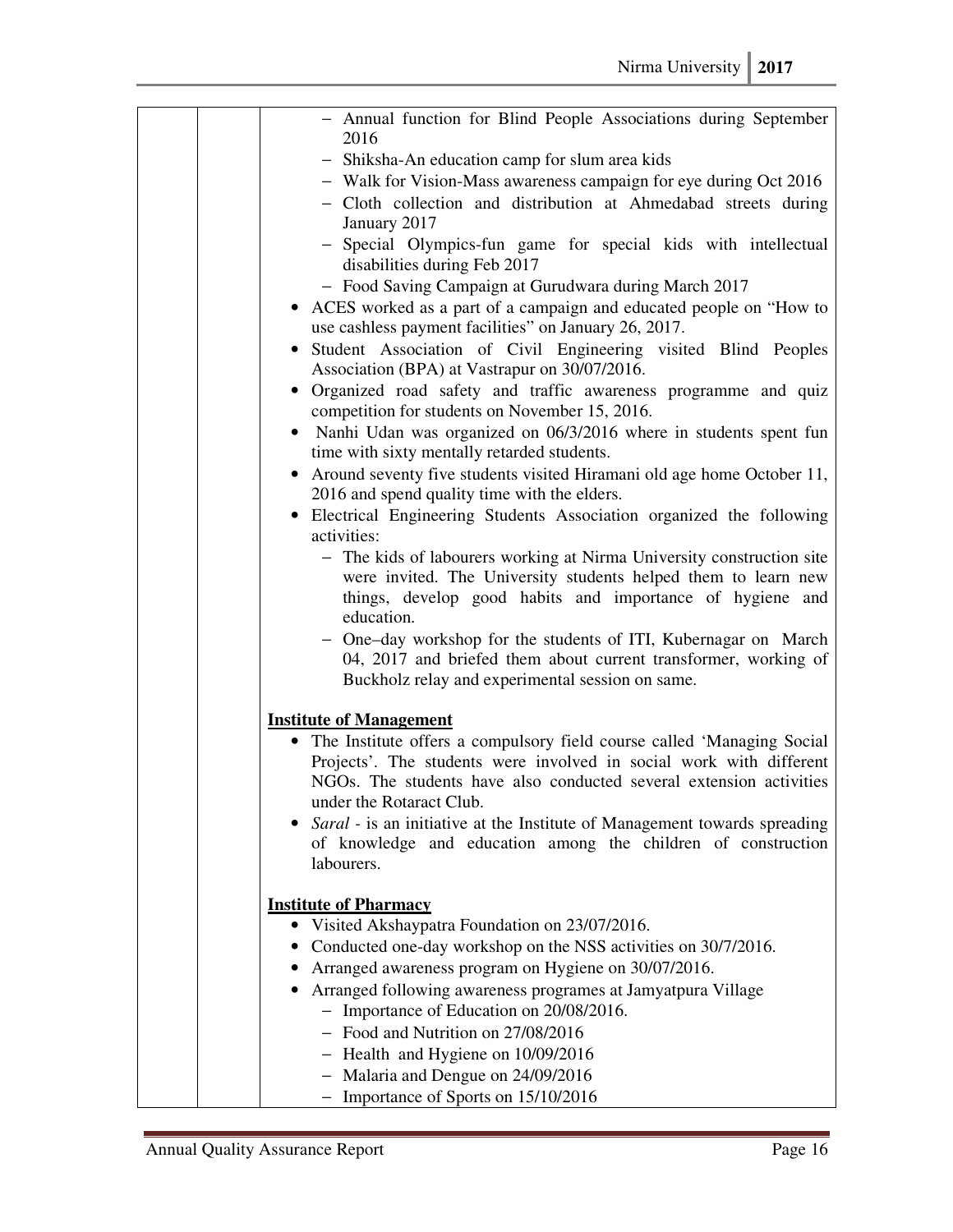|  | - Annual function for Blind People Associations during September                                                    |
|--|---------------------------------------------------------------------------------------------------------------------|
|  | 2016                                                                                                                |
|  | - Shiksha-An education camp for slum area kids<br>- Walk for Vision-Mass awareness campaign for eye during Oct 2016 |
|  | - Cloth collection and distribution at Ahmedabad streets during                                                     |
|  | January 2017                                                                                                        |
|  | - Special Olympics-fun game for special kids with intellectual<br>disabilities during Feb 2017                      |
|  | - Food Saving Campaign at Gurudwara during March 2017                                                               |
|  | • ACES worked as a part of a campaign and educated people on "How to                                                |
|  | use cashless payment facilities" on January 26, 2017.                                                               |
|  | · Student Association of Civil Engineering visited Blind Peoples                                                    |
|  | Association (BPA) at Vastrapur on 30/07/2016.                                                                       |
|  | • Organized road safety and traffic awareness programme and quiz<br>competition for students on November 15, 2016.  |
|  | • Nanhi Udan was organized on 06/3/2016 where in students spent fun                                                 |
|  | time with sixty mentally retarded students.                                                                         |
|  | Around seventy five students visited Hiramani old age home October 11,<br>$\bullet$                                 |
|  | 2016 and spend quality time with the elders.                                                                        |
|  | • Electrical Engineering Students Association organized the following<br>activities:                                |
|  | - The kids of labourers working at Nirma University construction site                                               |
|  | were invited. The University students helped them to learn new                                                      |
|  | things, develop good habits and importance of hygiene and                                                           |
|  | education.                                                                                                          |
|  | - One-day workshop for the students of ITI, Kubernagar on March                                                     |
|  | 04, 2017 and briefed them about current transformer, working of                                                     |
|  | Buckholz relay and experimental session on same.                                                                    |
|  | <b>Institute of Management</b>                                                                                      |
|  | The Institute offers a compulsory field course called 'Managing Social                                              |
|  | Projects'. The students were involved in social work with different                                                 |
|  | NGOs. The students have also conducted several extension activities                                                 |
|  | under the Rotaract Club.                                                                                            |
|  | <i>Saral</i> - is an initiative at the Institute of Management towards spreading                                    |
|  | of knowledge and education among the children of construction                                                       |
|  | labourers.                                                                                                          |
|  | <b>Institute of Pharmacy</b>                                                                                        |
|  | Visited Akshaypatra Foundation on 23/07/2016.                                                                       |
|  | Conducted one-day workshop on the NSS activities on 30/7/2016.                                                      |
|  | Arranged awareness program on Hygiene on 30/07/2016.                                                                |
|  | Arranged following awareness programes at Jamyatpura Village                                                        |
|  | - Importance of Education on 20/08/2016.                                                                            |
|  | - Food and Nutrition on 27/08/2016                                                                                  |
|  | - Health and Hygiene on 10/09/2016                                                                                  |
|  | - Malaria and Dengue on 24/09/2016                                                                                  |
|  | - Importance of Sports on 15/10/2016                                                                                |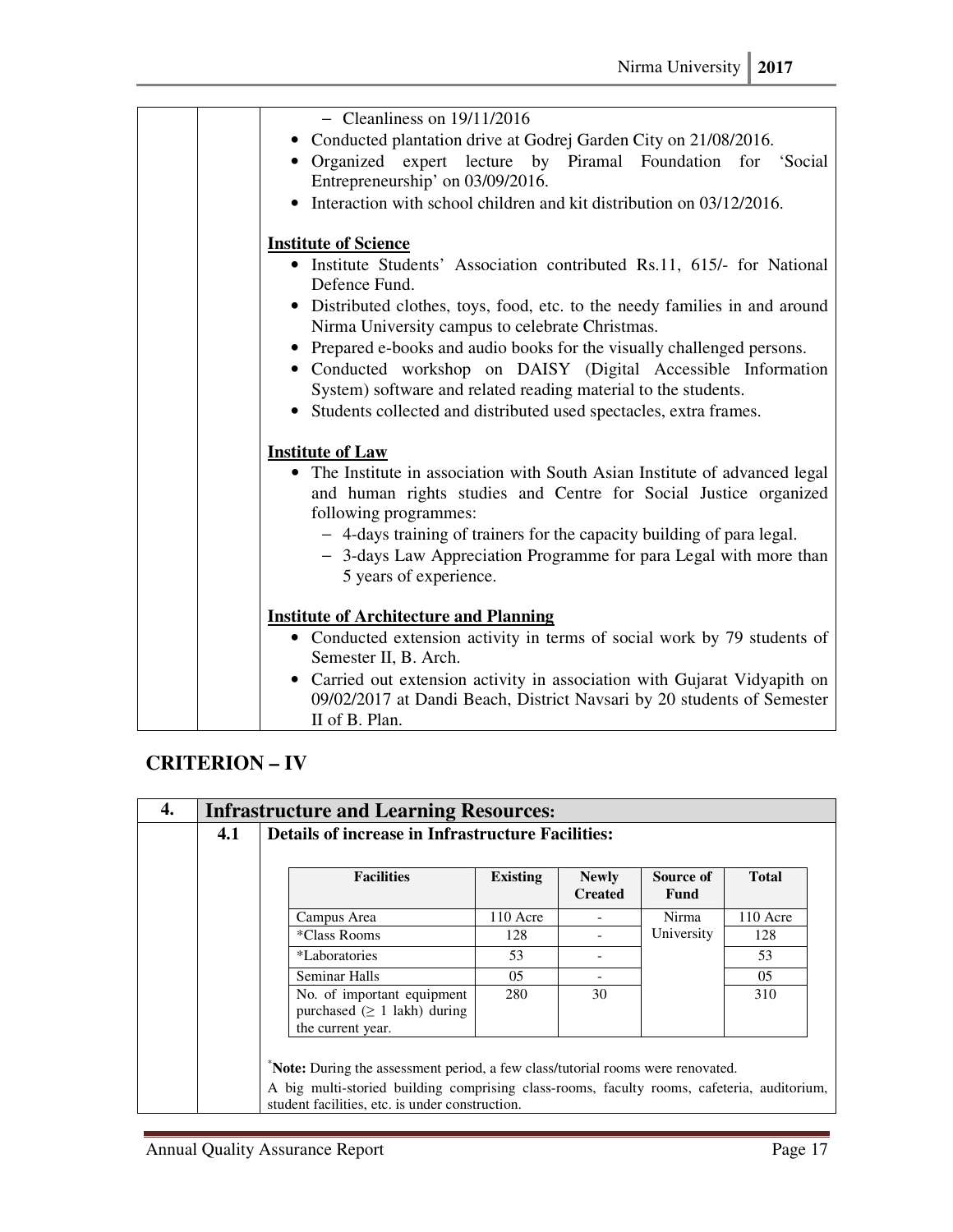| $-$ Cleanliness on $19/11/2016$                                             |
|-----------------------------------------------------------------------------|
| Conducted plantation drive at Godrej Garden City on 21/08/2016.             |
| • Organized expert lecture by Piramal Foundation for 'Social                |
| Entrepreneurship' on 03/09/2016.                                            |
| • Interaction with school children and kit distribution on 03/12/2016.      |
|                                                                             |
| <b>Institute of Science</b>                                                 |
| • Institute Students' Association contributed Rs.11, 615/- for National     |
| Defence Fund.                                                               |
| • Distributed clothes, toys, food, etc. to the needy families in and around |
| Nirma University campus to celebrate Christmas.                             |
| • Prepared e-books and audio books for the visually challenged persons.     |
| • Conducted workshop on DAISY (Digital Accessible Information               |
| System) software and related reading material to the students.              |
|                                                                             |
| • Students collected and distributed used spectacles, extra frames.         |
|                                                                             |
| <b>Institute of Law</b>                                                     |
| • The Institute in association with South Asian Institute of advanced legal |
| and human rights studies and Centre for Social Justice organized            |
| following programmes:                                                       |
| - 4-days training of trainers for the capacity building of para legal.      |
| - 3-days Law Appreciation Programme for para Legal with more than           |
| 5 years of experience.                                                      |
|                                                                             |
| <b>Institute of Architecture and Planning</b>                               |
| • Conducted extension activity in terms of social work by 79 students of    |
| Semester II, B. Arch.                                                       |
| • Carried out extension activity in association with Gujarat Vidyapith on   |
| 09/02/2017 at Dandi Beach, District Navsari by 20 students of Semester      |
| II of B. Plan.                                                              |
|                                                                             |

# **CRITERION – IV**

| 4. |     | <b>Infrastructure and Learning Resources:</b>                                                                                                                                                                                   |                 |                                |                   |              |  |  |  |
|----|-----|---------------------------------------------------------------------------------------------------------------------------------------------------------------------------------------------------------------------------------|-----------------|--------------------------------|-------------------|--------------|--|--|--|
|    | 4.1 | <b>Details of increase in Infrastructure Facilities:</b>                                                                                                                                                                        |                 |                                |                   |              |  |  |  |
|    |     | <b>Facilities</b>                                                                                                                                                                                                               | <b>Existing</b> | <b>Newly</b><br><b>Created</b> | Source of<br>Fund | <b>Total</b> |  |  |  |
|    |     | Campus Area                                                                                                                                                                                                                     | 110 Acre        |                                | Nirma             | 110 Acre     |  |  |  |
|    |     | <i>*Class Rooms</i>                                                                                                                                                                                                             | 128             |                                | University        | 128          |  |  |  |
|    |     | <i>*Laboratories</i>                                                                                                                                                                                                            | 53              |                                |                   | 53           |  |  |  |
|    |     | <b>Seminar Halls</b>                                                                                                                                                                                                            | $0.5^{\circ}$   |                                |                   | 0.5          |  |  |  |
|    |     | No. of important equipment<br>purchased $( \geq 1$ lakh) during<br>the current year.                                                                                                                                            | 280             | 30                             |                   | 310          |  |  |  |
|    |     | Note: During the assessment period, a few class/tutorial rooms were renovated.<br>A big multi-storied building comprising class-rooms, faculty rooms, cafeteria, auditorium,<br>student facilities, etc. is under construction. |                 |                                |                   |              |  |  |  |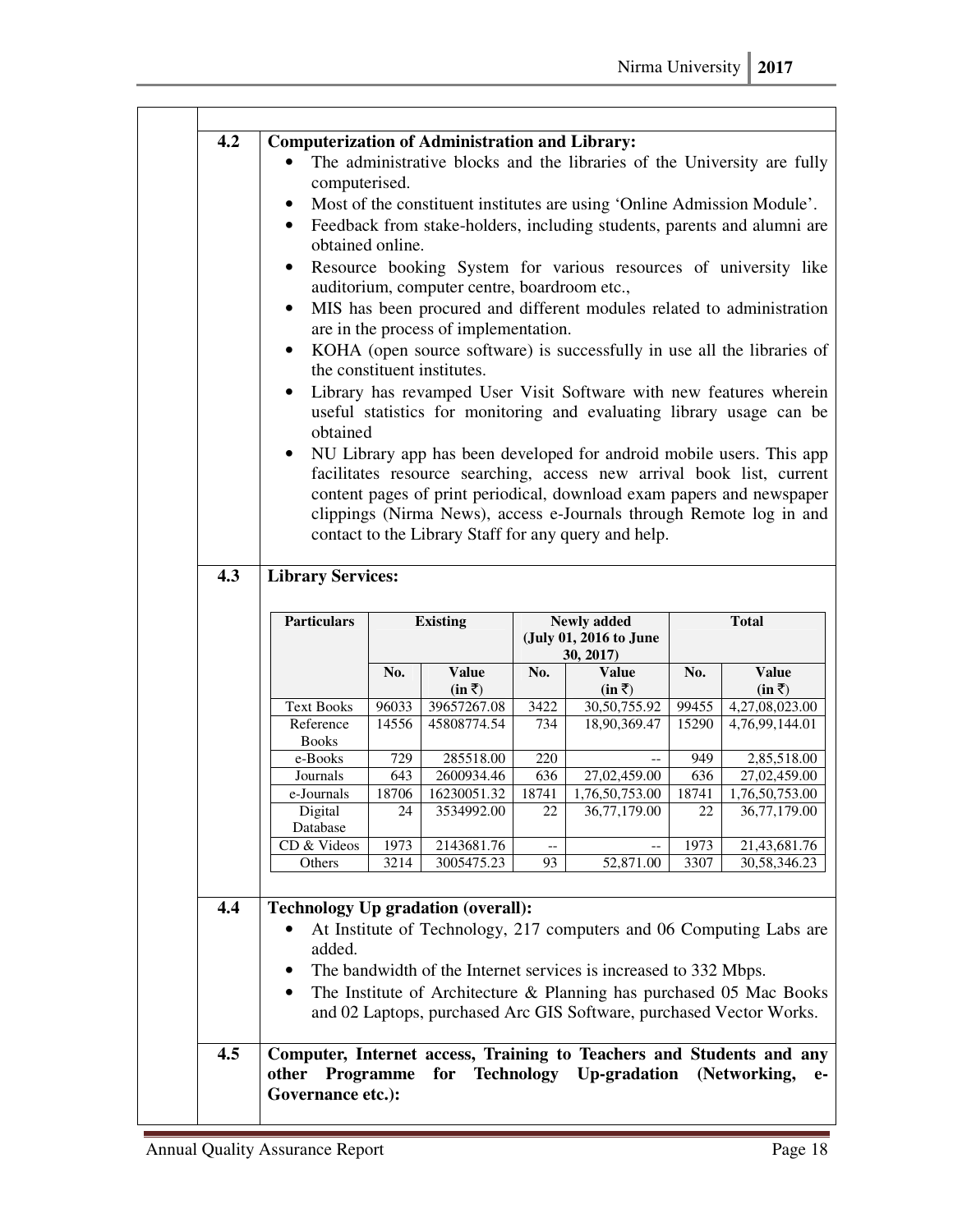| 4.2 | <b>Computerization of Administration and Library:</b> |                |                                              |                                |                                                                                                                                                    |                |                                                                                                   |
|-----|-------------------------------------------------------|----------------|----------------------------------------------|--------------------------------|----------------------------------------------------------------------------------------------------------------------------------------------------|----------------|---------------------------------------------------------------------------------------------------|
|     |                                                       |                |                                              |                                | The administrative blocks and the libraries of the University are fully                                                                            |                |                                                                                                   |
|     | computerised.                                         |                |                                              |                                |                                                                                                                                                    |                |                                                                                                   |
|     | $\bullet$<br>$\bullet$                                |                |                                              |                                | Most of the constituent institutes are using 'Online Admission Module'.<br>Feedback from stake-holders, including students, parents and alumni are |                |                                                                                                   |
|     | obtained online.                                      |                |                                              |                                |                                                                                                                                                    |                |                                                                                                   |
|     | $\bullet$                                             |                |                                              |                                | Resource booking System for various resources of university like                                                                                   |                |                                                                                                   |
|     |                                                       |                | auditorium, computer centre, boardroom etc., |                                |                                                                                                                                                    |                |                                                                                                   |
|     | $\bullet$                                             |                |                                              |                                | MIS has been procured and different modules related to administration                                                                              |                |                                                                                                   |
|     |                                                       |                | are in the process of implementation.        |                                |                                                                                                                                                    |                |                                                                                                   |
|     | ٠                                                     |                |                                              |                                | KOHA (open source software) is successfully in use all the libraries of                                                                            |                |                                                                                                   |
|     |                                                       |                | the constituent institutes.                  |                                |                                                                                                                                                    |                |                                                                                                   |
|     |                                                       |                |                                              |                                | Library has revamped User Visit Software with new features wherein                                                                                 |                |                                                                                                   |
|     | obtained                                              |                |                                              |                                | useful statistics for monitoring and evaluating library usage can be                                                                               |                |                                                                                                   |
|     | $\bullet$                                             |                |                                              |                                | NU Library app has been developed for android mobile users. This app                                                                               |                |                                                                                                   |
|     |                                                       |                |                                              |                                | facilitates resource searching, access new arrival book list, current                                                                              |                |                                                                                                   |
|     |                                                       |                |                                              |                                | content pages of print periodical, download exam papers and newspaper                                                                              |                |                                                                                                   |
|     |                                                       |                |                                              |                                | clippings (Nirma News), access e-Journals through Remote log in and                                                                                |                |                                                                                                   |
|     |                                                       |                |                                              |                                | contact to the Library Staff for any query and help.                                                                                               |                |                                                                                                   |
| 4.3 | <b>Library Services:</b>                              |                |                                              |                                |                                                                                                                                                    |                |                                                                                                   |
|     |                                                       |                |                                              |                                |                                                                                                                                                    |                |                                                                                                   |
|     |                                                       |                |                                              |                                |                                                                                                                                                    |                |                                                                                                   |
|     | <b>Particulars</b>                                    |                | <b>Existing</b>                              |                                | <b>Newly added</b>                                                                                                                                 |                | <b>Total</b>                                                                                      |
|     |                                                       |                |                                              |                                | (July 01, 2016 to June<br>30, 2017)                                                                                                                |                |                                                                                                   |
|     |                                                       | No.            | <b>Value</b>                                 | No.                            | <b>Value</b>                                                                                                                                       | No.            | <b>Value</b>                                                                                      |
|     |                                                       |                | $(in \bar{z})$                               |                                | $(in \bar{z})$                                                                                                                                     |                | $(in \bar{z})$                                                                                    |
|     | <b>Text Books</b><br>Reference                        | 96033<br>14556 | 39657267.08<br>45808774.54                   | 3422<br>734                    | 30,50,755.92<br>18,90,369.47                                                                                                                       | 99455<br>15290 |                                                                                                   |
|     | <b>Books</b>                                          |                |                                              |                                |                                                                                                                                                    |                |                                                                                                   |
|     | e-Books                                               | 729            | 285518.00                                    | 220                            | $-$                                                                                                                                                | 949            |                                                                                                   |
|     | Journals<br>e-Journals                                | 643<br>18706   | 2600934.46<br>16230051.32                    | 636<br>18741                   | 27,02,459.00<br>1,76,50,753.00                                                                                                                     | 636<br>18741   |                                                                                                   |
|     | Digital                                               | 24             | 3534992.00                                   | 22                             | 36,77,179.00                                                                                                                                       | 22             |                                                                                                   |
|     | Database                                              |                |                                              |                                |                                                                                                                                                    |                | 4,27,08,023.00<br>4,76,99,144.01<br>2,85,518.00<br>27,02,459.00<br>1,76,50,753.00<br>36,77,179.00 |
|     | CD & Videos                                           | 1973<br>3214   | 2143681.76                                   | $\overline{\phantom{m}}$<br>93 |                                                                                                                                                    | 1973           | 21,43,681.76                                                                                      |
|     | Others                                                |                | 3005475.23                                   |                                | 52,871.00                                                                                                                                          | 3307           |                                                                                                   |
|     |                                                       |                |                                              |                                |                                                                                                                                                    |                |                                                                                                   |
| 4.4 | <b>Technology Up gradation (overall):</b>             |                |                                              |                                |                                                                                                                                                    |                |                                                                                                   |
|     | added.                                                |                |                                              |                                | At Institute of Technology, 217 computers and 06 Computing Labs are                                                                                |                |                                                                                                   |
|     |                                                       |                |                                              |                                | The bandwidth of the Internet services is increased to 332 Mbps.                                                                                   |                |                                                                                                   |
|     | $\bullet$                                             |                |                                              |                                | The Institute of Architecture & Planning has purchased 05 Mac Books                                                                                |                |                                                                                                   |
|     |                                                       |                |                                              |                                | and 02 Laptops, purchased Arc GIS Software, purchased Vector Works.                                                                                |                | 30,58,346.23                                                                                      |
| 4.5 |                                                       |                |                                              |                                | Computer, Internet access, Training to Teachers and Students and any                                                                               |                |                                                                                                   |
|     | other Programme<br>Governance etc.):                  |                |                                              |                                | for Technology Up-gradation (Networking,                                                                                                           |                |                                                                                                   |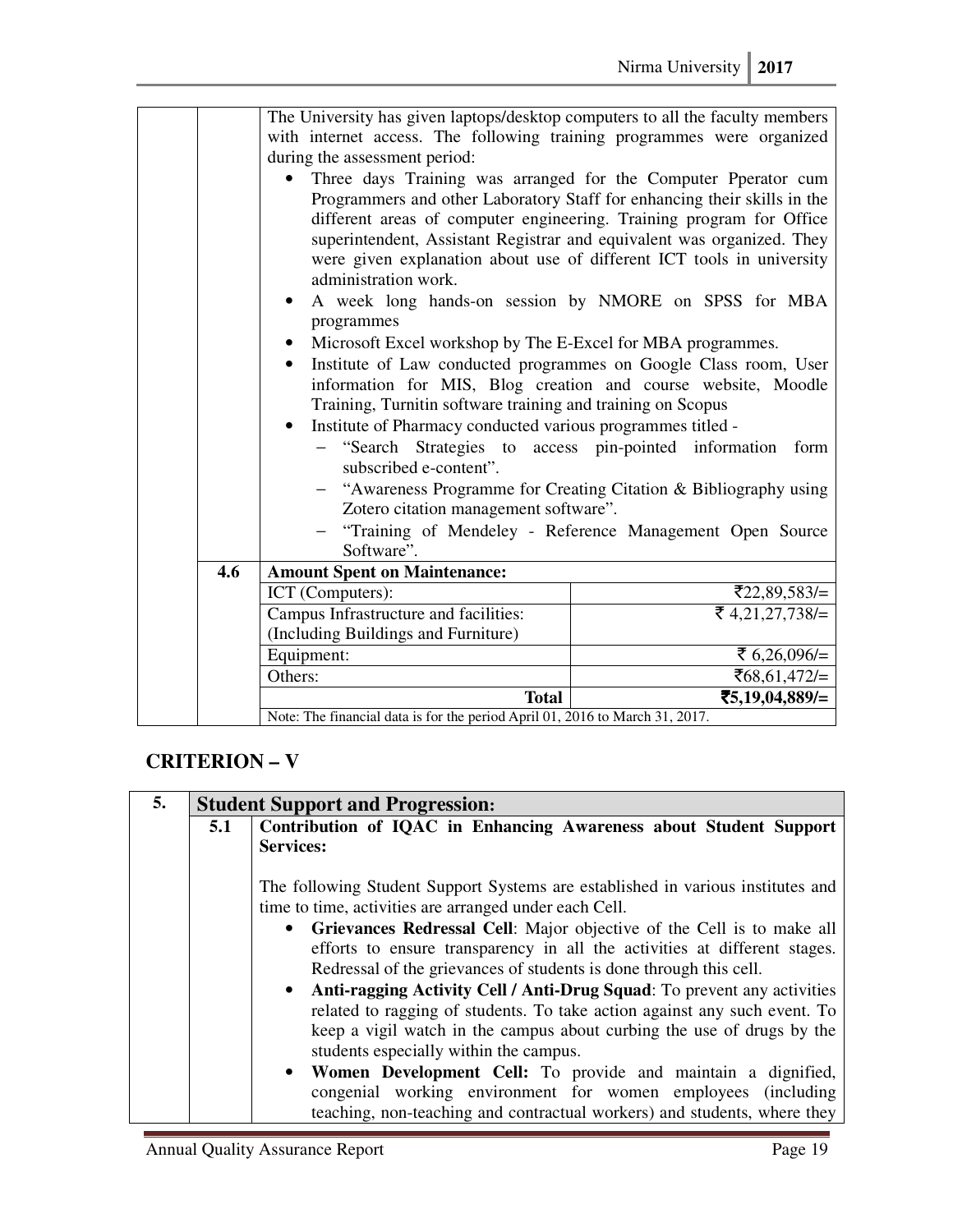|     | The University has given laptops/desktop computers to all the faculty members<br>with internet access. The following training programmes were organized<br>during the assessment period:                                                                                                                                                                                                                                                                                                                                                                                                                                                                                                                                                                                   |                                                                                                                                   |  |  |  |
|-----|----------------------------------------------------------------------------------------------------------------------------------------------------------------------------------------------------------------------------------------------------------------------------------------------------------------------------------------------------------------------------------------------------------------------------------------------------------------------------------------------------------------------------------------------------------------------------------------------------------------------------------------------------------------------------------------------------------------------------------------------------------------------------|-----------------------------------------------------------------------------------------------------------------------------------|--|--|--|
|     | Three days Training was arranged for the Computer Pperator cum<br>Programmers and other Laboratory Staff for enhancing their skills in the<br>different areas of computer engineering. Training program for Office<br>superintendent, Assistant Registrar and equivalent was organized. They<br>were given explanation about use of different ICT tools in university<br>administration work.<br>programmes<br>Microsoft Excel workshop by The E-Excel for MBA programmes.<br>$\bullet$<br>information for MIS, Blog creation and course website, Moodle<br>Training, Turnitin software training and training on Scopus<br>Institute of Pharmacy conducted various programmes titled -<br>- "Search Strategies to access pin-pointed information<br>subscribed e-content". | A week long hands-on session by NMORE on SPSS for MBA<br>Institute of Law conducted programmes on Google Class room, User<br>form |  |  |  |
|     |                                                                                                                                                                                                                                                                                                                                                                                                                                                                                                                                                                                                                                                                                                                                                                            | - "Awareness Programme for Creating Citation & Bibliography using                                                                 |  |  |  |
|     | Software".                                                                                                                                                                                                                                                                                                                                                                                                                                                                                                                                                                                                                                                                                                                                                                 | Zotero citation management software".<br>"Training of Mendeley - Reference Management Open Source                                 |  |  |  |
| 4.6 | <b>Amount Spent on Maintenance:</b>                                                                                                                                                                                                                                                                                                                                                                                                                                                                                                                                                                                                                                                                                                                                        |                                                                                                                                   |  |  |  |
|     | ICT (Computers):                                                                                                                                                                                                                                                                                                                                                                                                                                                                                                                                                                                                                                                                                                                                                           | ₹22,89,583/=                                                                                                                      |  |  |  |
|     | Campus Infrastructure and facilities:                                                                                                                                                                                                                                                                                                                                                                                                                                                                                                                                                                                                                                                                                                                                      | ₹ 4,21,27,738/ $=$                                                                                                                |  |  |  |
|     | (Including Buildings and Furniture)                                                                                                                                                                                                                                                                                                                                                                                                                                                                                                                                                                                                                                                                                                                                        |                                                                                                                                   |  |  |  |
|     | Equipment:                                                                                                                                                                                                                                                                                                                                                                                                                                                                                                                                                                                                                                                                                                                                                                 | ₹ 6,26,096/=                                                                                                                      |  |  |  |
|     | Others:                                                                                                                                                                                                                                                                                                                                                                                                                                                                                                                                                                                                                                                                                                                                                                    | ₹68,61,472/=                                                                                                                      |  |  |  |
|     | <b>Total</b>                                                                                                                                                                                                                                                                                                                                                                                                                                                                                                                                                                                                                                                                                                                                                               | ₹5,19,04,889/=                                                                                                                    |  |  |  |
|     | Note: The financial data is for the period April 01, 2016 to March 31, 2017.                                                                                                                                                                                                                                                                                                                                                                                                                                                                                                                                                                                                                                                                                               |                                                                                                                                   |  |  |  |

# **CRITERION – V**

| 5. |     | <b>Student Support and Progression:</b>                                                                                                   |
|----|-----|-------------------------------------------------------------------------------------------------------------------------------------------|
|    | 5.1 | Contribution of IQAC in Enhancing Awareness about Student Support                                                                         |
|    |     | <b>Services:</b>                                                                                                                          |
|    |     | The following Student Support Systems are established in various institutes and<br>time to time, activities are arranged under each Cell. |
|    |     | Grievances Redressal Cell: Major objective of the Cell is to make all<br>$\bullet$                                                        |
|    |     | efforts to ensure transparency in all the activities at different stages.                                                                 |
|    |     | Redressal of the grievances of students is done through this cell.                                                                        |
|    |     | • Anti-ragging Activity Cell / Anti-Drug Squad: To prevent any activities                                                                 |
|    |     | related to ragging of students. To take action against any such event. To                                                                 |
|    |     | keep a vigil watch in the campus about curbing the use of drugs by the                                                                    |
|    |     | students especially within the campus.                                                                                                    |
|    |     | Women Development Cell: To provide and maintain a dignified,<br>$\bullet$                                                                 |
|    |     | congenial working environment for women employees (including                                                                              |
|    |     | teaching, non-teaching and contractual workers) and students, where they                                                                  |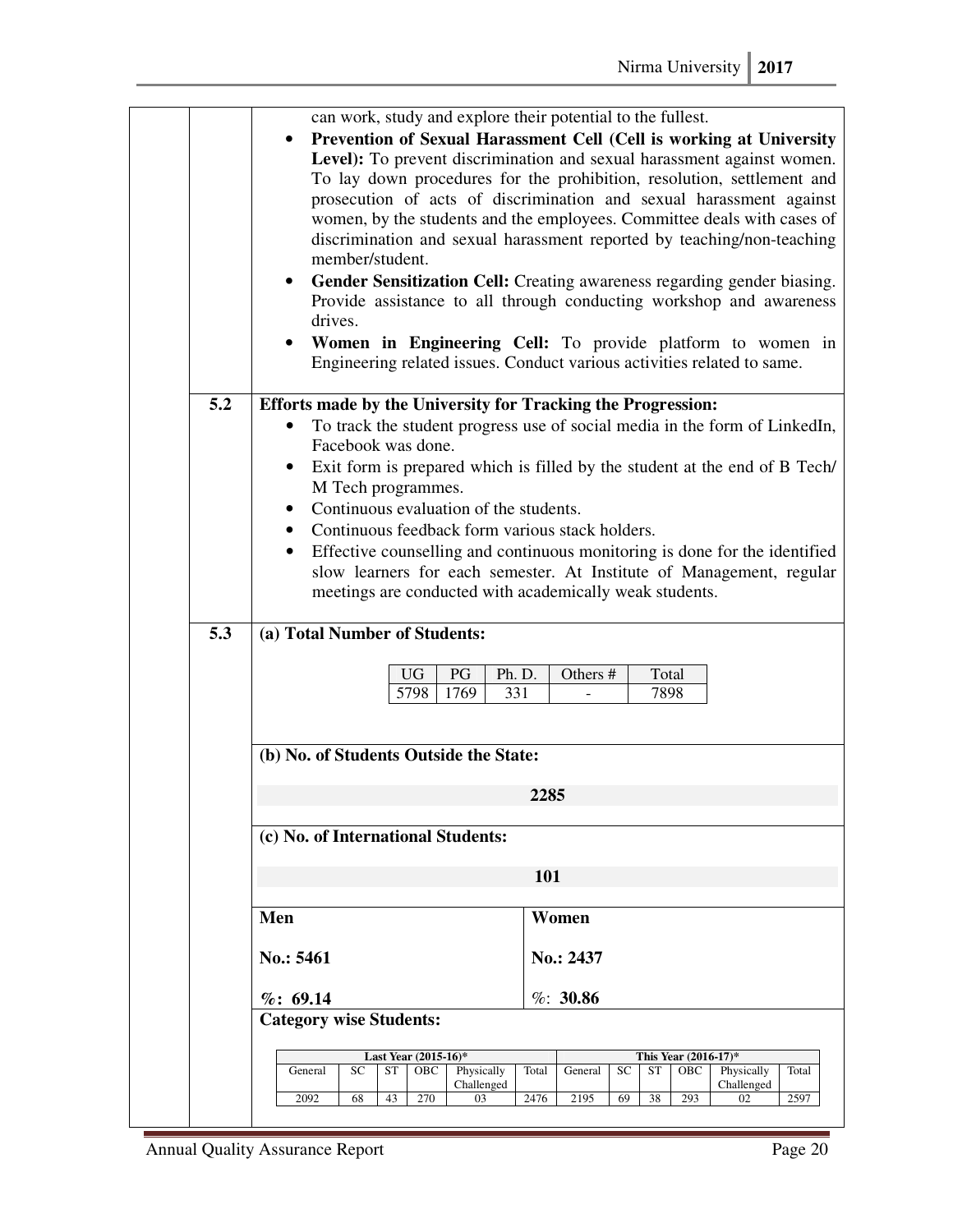|     | can work, study and explore their potential to the fullest.<br>Prevention of Sexual Harassment Cell (Cell is working at University<br>Level): To prevent discrimination and sexual harassment against women.<br>To lay down procedures for the prohibition, resolution, settlement and<br>prosecution of acts of discrimination and sexual harassment against<br>women, by the students and the employees. Committee deals with cases of<br>discrimination and sexual harassment reported by teaching/non-teaching<br>member/student.                                                           |
|-----|-------------------------------------------------------------------------------------------------------------------------------------------------------------------------------------------------------------------------------------------------------------------------------------------------------------------------------------------------------------------------------------------------------------------------------------------------------------------------------------------------------------------------------------------------------------------------------------------------|
|     | Gender Sensitization Cell: Creating awareness regarding gender biasing.<br>Provide assistance to all through conducting workshop and awareness<br>drives.<br>Women in Engineering Cell: To provide platform to women in<br>Engineering related issues. Conduct various activities related to same.                                                                                                                                                                                                                                                                                              |
| 5.2 | Efforts made by the University for Tracking the Progression:<br>To track the student progress use of social media in the form of LinkedIn,<br>Facebook was done.<br>Exit form is prepared which is filled by the student at the end of B Tech/<br>M Tech programmes.<br>Continuous evaluation of the students.<br>$\bullet$<br>Continuous feedback form various stack holders.<br>Effective counselling and continuous monitoring is done for the identified<br>slow learners for each semester. At Institute of Management, regular<br>meetings are conducted with academically weak students. |
| 5.3 | (a) Total Number of Students:<br>Ph. D.<br>PG<br>Others #<br>Total<br><b>UG</b><br>1769<br>7898<br>5798<br>331                                                                                                                                                                                                                                                                                                                                                                                                                                                                                  |
|     | (b) No. of Students Outside the State:<br>2285                                                                                                                                                                                                                                                                                                                                                                                                                                                                                                                                                  |
|     | (c) No. of International Students:<br>101                                                                                                                                                                                                                                                                                                                                                                                                                                                                                                                                                       |
|     | Men<br>Women<br>No.: 5461<br>No.: 2437                                                                                                                                                                                                                                                                                                                                                                                                                                                                                                                                                          |
|     | $\%: 30.86$<br>$\%: 69.14$<br><b>Category wise Students:</b><br>Last Year (2015-16)*<br>This Year (2016-17)*                                                                                                                                                                                                                                                                                                                                                                                                                                                                                    |
|     | Physically<br>SC<br>Physically<br>General<br>SC<br>ST<br>OBC<br>Total<br>General<br>ST<br>OBC<br>Total<br>Challenged<br>Challenged<br>68<br>43<br>270<br>$21\overline{95}$<br>38<br>293<br>2092<br>03<br>2476<br>69<br>02<br>2597                                                                                                                                                                                                                                                                                                                                                               |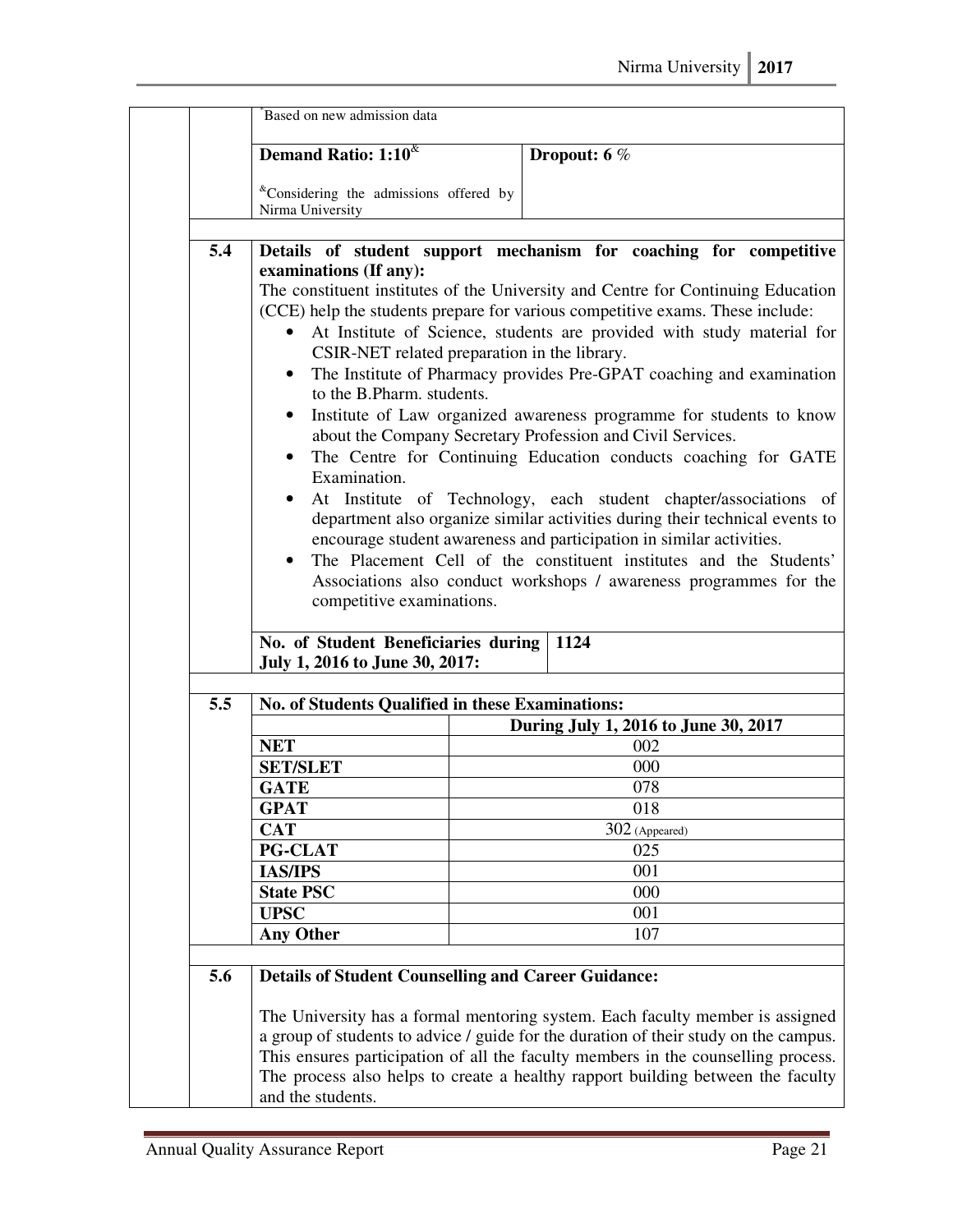|     | Based on new admission data                                                                                                                                   |                                                                                                                                                                                                                                                                                                                                                                                                                                                                                                                                                                                                                                                                                                                                                                                                                                                                                                    |
|-----|---------------------------------------------------------------------------------------------------------------------------------------------------------------|----------------------------------------------------------------------------------------------------------------------------------------------------------------------------------------------------------------------------------------------------------------------------------------------------------------------------------------------------------------------------------------------------------------------------------------------------------------------------------------------------------------------------------------------------------------------------------------------------------------------------------------------------------------------------------------------------------------------------------------------------------------------------------------------------------------------------------------------------------------------------------------------------|
|     | Demand Ratio: $1:10^{\&}$                                                                                                                                     | Dropout: 6 %                                                                                                                                                                                                                                                                                                                                                                                                                                                                                                                                                                                                                                                                                                                                                                                                                                                                                       |
|     | <sup>&amp;</sup> Considering the admissions offered by<br>Nirma University                                                                                    |                                                                                                                                                                                                                                                                                                                                                                                                                                                                                                                                                                                                                                                                                                                                                                                                                                                                                                    |
| 5.4 |                                                                                                                                                               | Details of student support mechanism for coaching for competitive                                                                                                                                                                                                                                                                                                                                                                                                                                                                                                                                                                                                                                                                                                                                                                                                                                  |
|     | examinations (If any):<br>CSIR-NET related preparation in the library.<br>$\bullet$<br>to the B.Pharm. students.<br>Examination.<br>competitive examinations. | The constituent institutes of the University and Centre for Continuing Education<br>(CCE) help the students prepare for various competitive exams. These include:<br>At Institute of Science, students are provided with study material for<br>The Institute of Pharmacy provides Pre-GPAT coaching and examination<br>Institute of Law organized awareness programme for students to know<br>about the Company Secretary Profession and Civil Services.<br>The Centre for Continuing Education conducts coaching for GATE<br>At Institute of Technology, each student chapter/associations of<br>department also organize similar activities during their technical events to<br>encourage student awareness and participation in similar activities.<br>The Placement Cell of the constituent institutes and the Students'<br>Associations also conduct workshops / awareness programmes for the |
|     | No. of Student Beneficiaries during                                                                                                                           | 1124                                                                                                                                                                                                                                                                                                                                                                                                                                                                                                                                                                                                                                                                                                                                                                                                                                                                                               |
|     | July 1, 2016 to June 30, 2017:                                                                                                                                |                                                                                                                                                                                                                                                                                                                                                                                                                                                                                                                                                                                                                                                                                                                                                                                                                                                                                                    |
| 5.5 | No. of Students Qualified in these Examinations:                                                                                                              |                                                                                                                                                                                                                                                                                                                                                                                                                                                                                                                                                                                                                                                                                                                                                                                                                                                                                                    |
|     |                                                                                                                                                               | During July 1, 2016 to June 30, 2017                                                                                                                                                                                                                                                                                                                                                                                                                                                                                                                                                                                                                                                                                                                                                                                                                                                               |
|     | <b>NET</b>                                                                                                                                                    | 002                                                                                                                                                                                                                                                                                                                                                                                                                                                                                                                                                                                                                                                                                                                                                                                                                                                                                                |
|     | <b>SET/SLET</b>                                                                                                                                               | 000                                                                                                                                                                                                                                                                                                                                                                                                                                                                                                                                                                                                                                                                                                                                                                                                                                                                                                |
|     | <b>GATE</b>                                                                                                                                                   | 078                                                                                                                                                                                                                                                                                                                                                                                                                                                                                                                                                                                                                                                                                                                                                                                                                                                                                                |
|     | <b>GPAT</b>                                                                                                                                                   | 018                                                                                                                                                                                                                                                                                                                                                                                                                                                                                                                                                                                                                                                                                                                                                                                                                                                                                                |
|     | <b>CAT</b>                                                                                                                                                    | 302 (Appeared)                                                                                                                                                                                                                                                                                                                                                                                                                                                                                                                                                                                                                                                                                                                                                                                                                                                                                     |
|     | <b>PG-CLAT</b>                                                                                                                                                | 025                                                                                                                                                                                                                                                                                                                                                                                                                                                                                                                                                                                                                                                                                                                                                                                                                                                                                                |
|     | <b>IAS/IPS</b>                                                                                                                                                | 001                                                                                                                                                                                                                                                                                                                                                                                                                                                                                                                                                                                                                                                                                                                                                                                                                                                                                                |
|     | <b>State PSC</b>                                                                                                                                              | 000                                                                                                                                                                                                                                                                                                                                                                                                                                                                                                                                                                                                                                                                                                                                                                                                                                                                                                |
|     | <b>UPSC</b>                                                                                                                                                   | 001                                                                                                                                                                                                                                                                                                                                                                                                                                                                                                                                                                                                                                                                                                                                                                                                                                                                                                |
|     | <b>Any Other</b>                                                                                                                                              | 107                                                                                                                                                                                                                                                                                                                                                                                                                                                                                                                                                                                                                                                                                                                                                                                                                                                                                                |
| 5.6 | <b>Details of Student Counselling and Career Guidance:</b>                                                                                                    |                                                                                                                                                                                                                                                                                                                                                                                                                                                                                                                                                                                                                                                                                                                                                                                                                                                                                                    |
|     | and the students.                                                                                                                                             | The University has a formal mentoring system. Each faculty member is assigned<br>a group of students to advice / guide for the duration of their study on the campus.<br>This ensures participation of all the faculty members in the counselling process.<br>The process also helps to create a healthy rapport building between the faculty                                                                                                                                                                                                                                                                                                                                                                                                                                                                                                                                                      |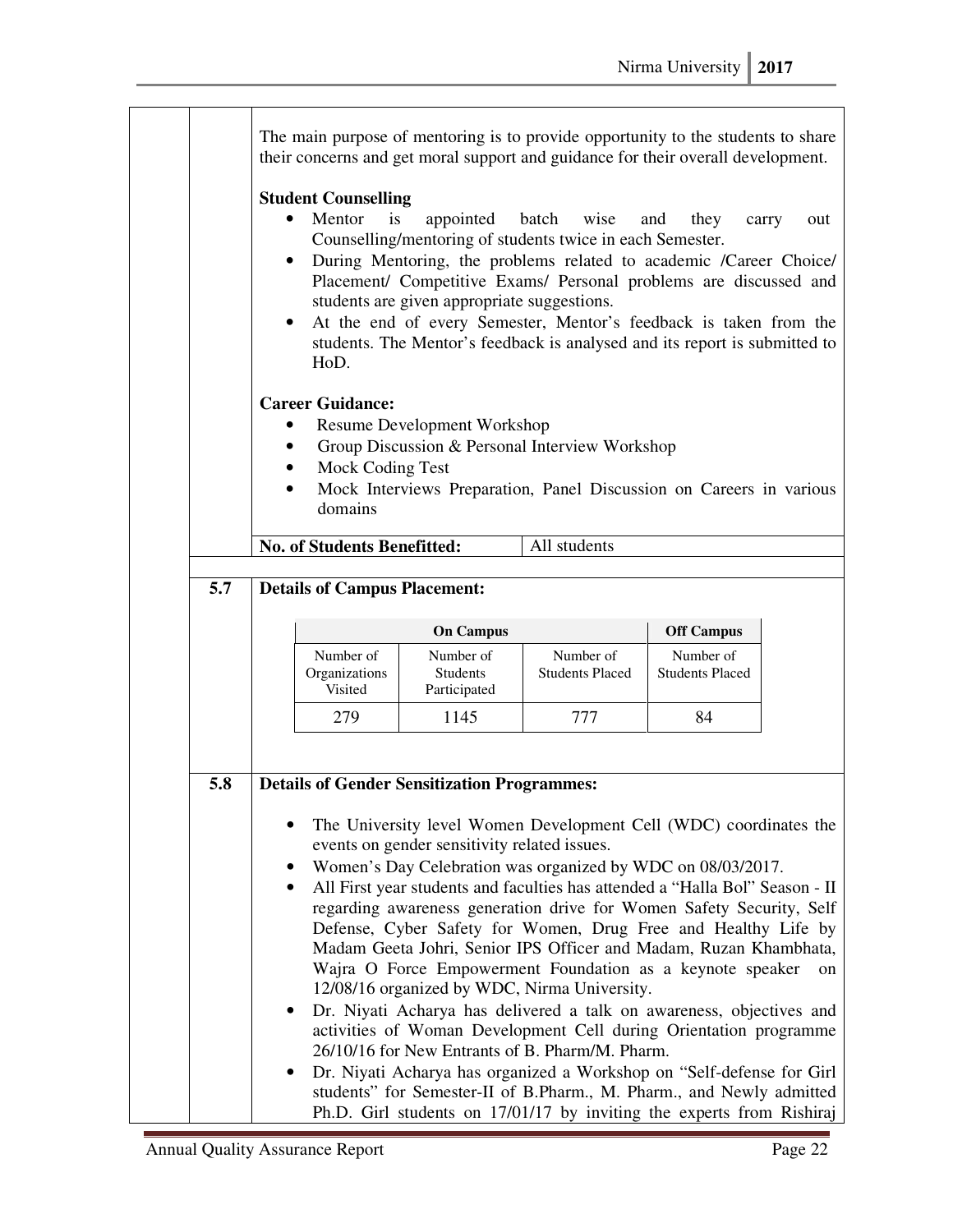| The main purpose of mentoring is to provide opportunity to the students to share<br>their concerns and get moral support and guidance for their overall development.<br><b>Student Counselling</b><br>Mentor<br>batch<br>is<br>appointed<br>wise<br>they<br>and<br>carry<br>Counselling/mentoring of students twice in each Semester.<br>During Mentoring, the problems related to academic /Career Choice/<br>$\bullet$<br>Placement/ Competitive Exams/ Personal problems are discussed and<br>students are given appropriate suggestions.<br>At the end of every Semester, Mentor's feedback is taken from the<br>$\bullet$<br>students. The Mentor's feedback is analysed and its report is submitted to<br>HoD. |                                                                              |                                                  |                                                |                                                                                                                                                                                                                                                                                                                                                                                                                                 |    |
|----------------------------------------------------------------------------------------------------------------------------------------------------------------------------------------------------------------------------------------------------------------------------------------------------------------------------------------------------------------------------------------------------------------------------------------------------------------------------------------------------------------------------------------------------------------------------------------------------------------------------------------------------------------------------------------------------------------------|------------------------------------------------------------------------------|--------------------------------------------------|------------------------------------------------|---------------------------------------------------------------------------------------------------------------------------------------------------------------------------------------------------------------------------------------------------------------------------------------------------------------------------------------------------------------------------------------------------------------------------------|----|
|                                                                                                                                                                                                                                                                                                                                                                                                                                                                                                                                                                                                                                                                                                                      | <b>Career Guidance:</b><br>$\bullet$<br>Mock Coding Test<br>domains          | <b>Resume Development Workshop</b>               | Group Discussion & Personal Interview Workshop | Mock Interviews Preparation, Panel Discussion on Careers in various                                                                                                                                                                                                                                                                                                                                                             |    |
|                                                                                                                                                                                                                                                                                                                                                                                                                                                                                                                                                                                                                                                                                                                      | <b>No. of Students Benefitted:</b>                                           |                                                  | All students                                   |                                                                                                                                                                                                                                                                                                                                                                                                                                 |    |
| 5.7                                                                                                                                                                                                                                                                                                                                                                                                                                                                                                                                                                                                                                                                                                                  | <b>Details of Campus Placement:</b><br>Number of<br>Organizations            | <b>On Campus</b><br>Number of<br><b>Students</b> | Number of<br><b>Students Placed</b>            | <b>Off Campus</b><br>Number of<br><b>Students Placed</b>                                                                                                                                                                                                                                                                                                                                                                        |    |
|                                                                                                                                                                                                                                                                                                                                                                                                                                                                                                                                                                                                                                                                                                                      | Visited<br>279                                                               | Participated<br>1145                             | 777                                            | 84                                                                                                                                                                                                                                                                                                                                                                                                                              |    |
| 5.8                                                                                                                                                                                                                                                                                                                                                                                                                                                                                                                                                                                                                                                                                                                  | <b>Details of Gender Sensitization Programmes:</b><br>$\bullet$<br>$\bullet$ | events on gender sensitivity related issues.     |                                                | The University level Women Development Cell (WDC) coordinates the<br>Women's Day Celebration was organized by WDC on 08/03/2017.<br>All First year students and faculties has attended a "Halla Bol" Season - II<br>regarding awareness generation drive for Women Safety Security, Self<br>Defense, Cyber Safety for Women, Drug Free and Healthy Life by<br>Madam Geeta Johri, Senior IPS Officer and Madam, Ruzan Khambhata, | on |
| Wajra O Force Empowerment Foundation as a keynote speaker<br>12/08/16 organized by WDC, Nirma University.<br>Dr. Niyati Acharya has delivered a talk on awareness, objectives and<br>activities of Woman Development Cell during Orientation programme<br>26/10/16 for New Entrants of B. Pharm/M. Pharm.<br>Dr. Niyati Acharya has organized a Workshop on "Self-defense for Girl<br>٠<br>students" for Semester-II of B.Pharm., M. Pharm., and Newly admitted<br>Ph.D. Girl students on 17/01/17 by inviting the experts from Rishiraj                                                                                                                                                                             |                                                                              |                                                  |                                                |                                                                                                                                                                                                                                                                                                                                                                                                                                 |    |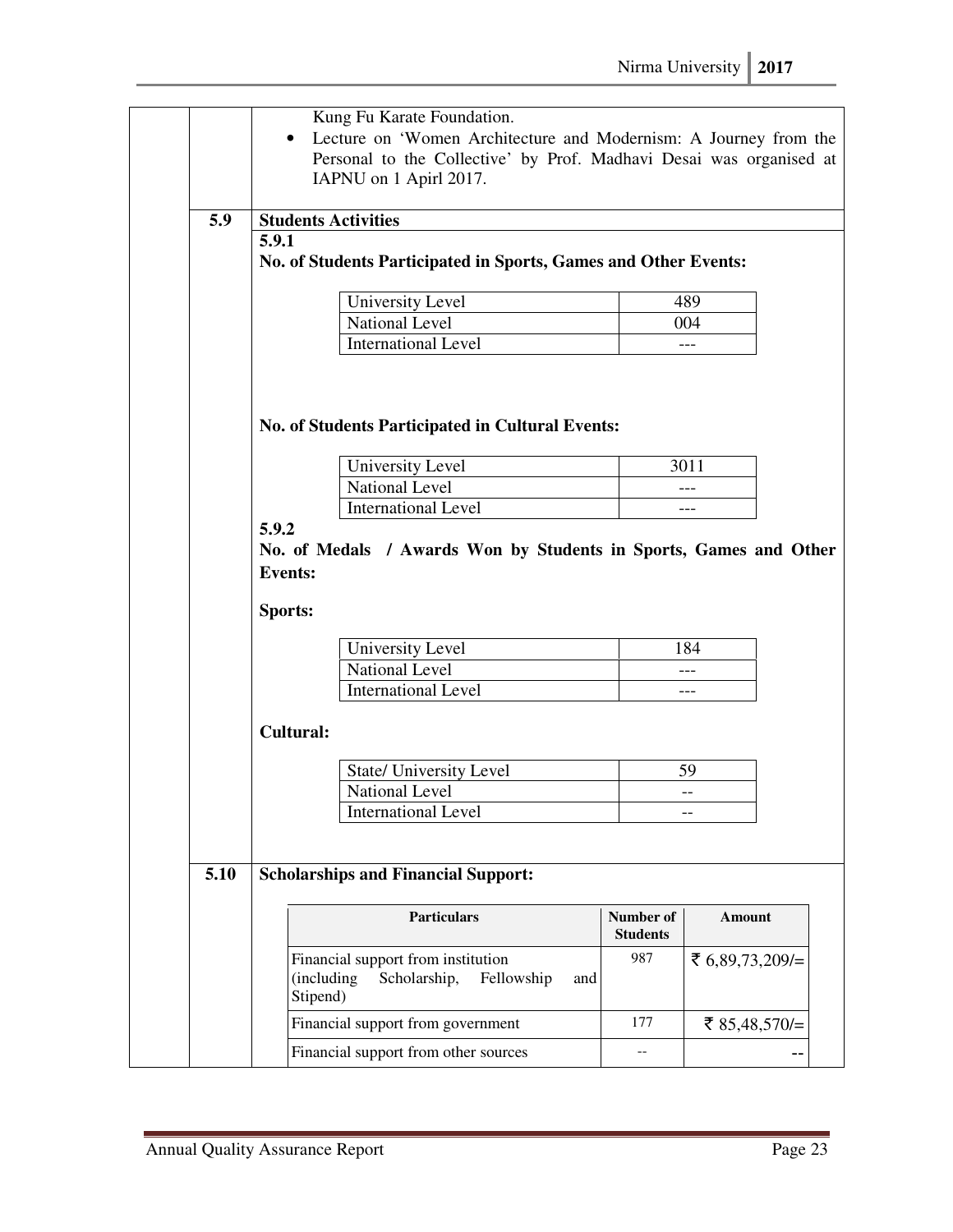|                            | 5.9  | $\bullet$<br>5.9.1                 | Kung Fu Karate Foundation.<br>Lecture on 'Women Architecture and Modernism: A Journey from the<br>Personal to the Collective' by Prof. Madhavi Desai was organised at<br>IAPNU on 1 Apirl 2017.<br><b>Students Activities</b><br>No. of Students Participated in Sports, Games and Other Events: |                              |                 |  |
|----------------------------|------|------------------------------------|--------------------------------------------------------------------------------------------------------------------------------------------------------------------------------------------------------------------------------------------------------------------------------------------------|------------------------------|-----------------|--|
|                            |      |                                    |                                                                                                                                                                                                                                                                                                  |                              |                 |  |
|                            |      |                                    | University Level                                                                                                                                                                                                                                                                                 |                              | 489             |  |
|                            |      |                                    | <b>National Level</b>                                                                                                                                                                                                                                                                            |                              | 004             |  |
|                            |      |                                    | <b>International Level</b>                                                                                                                                                                                                                                                                       |                              | $---$           |  |
|                            |      |                                    | No. of Students Participated in Cultural Events:<br>University Level<br><b>National Level</b>                                                                                                                                                                                                    |                              | 3011            |  |
| <b>International Level</b> |      |                                    |                                                                                                                                                                                                                                                                                                  | ---                          |                 |  |
|                            |      | 5.9.2<br><b>Events:</b><br>Sports: | No. of Medals / Awards Won by Students in Sports, Games and Other                                                                                                                                                                                                                                |                              |                 |  |
|                            |      |                                    |                                                                                                                                                                                                                                                                                                  |                              |                 |  |
|                            |      |                                    |                                                                                                                                                                                                                                                                                                  |                              |                 |  |
|                            |      |                                    | University Level                                                                                                                                                                                                                                                                                 |                              | 184             |  |
|                            |      |                                    | <b>National Level</b>                                                                                                                                                                                                                                                                            |                              | ---             |  |
|                            |      |                                    | <b>International Level</b>                                                                                                                                                                                                                                                                       |                              | ---             |  |
|                            |      | Cultural:                          |                                                                                                                                                                                                                                                                                                  |                              |                 |  |
|                            |      |                                    | State/ University Level                                                                                                                                                                                                                                                                          |                              | 59              |  |
|                            |      |                                    | National Level                                                                                                                                                                                                                                                                                   |                              | $-$             |  |
|                            |      |                                    | <b>International Level</b>                                                                                                                                                                                                                                                                       |                              |                 |  |
|                            | 5.10 |                                    | <b>Scholarships and Financial Support:</b>                                                                                                                                                                                                                                                       |                              |                 |  |
|                            |      |                                    | <b>Particulars</b>                                                                                                                                                                                                                                                                               | Number of<br><b>Students</b> | <b>Amount</b>   |  |
|                            |      |                                    | Financial support from institution<br>(including)<br>Scholarship,<br>Fellowship<br>and<br>Stipend)                                                                                                                                                                                               | 987                          | ₹ 6,89,73,209/= |  |
|                            |      |                                    | Financial support from government                                                                                                                                                                                                                                                                | 177                          | ₹ 85,48,570/=   |  |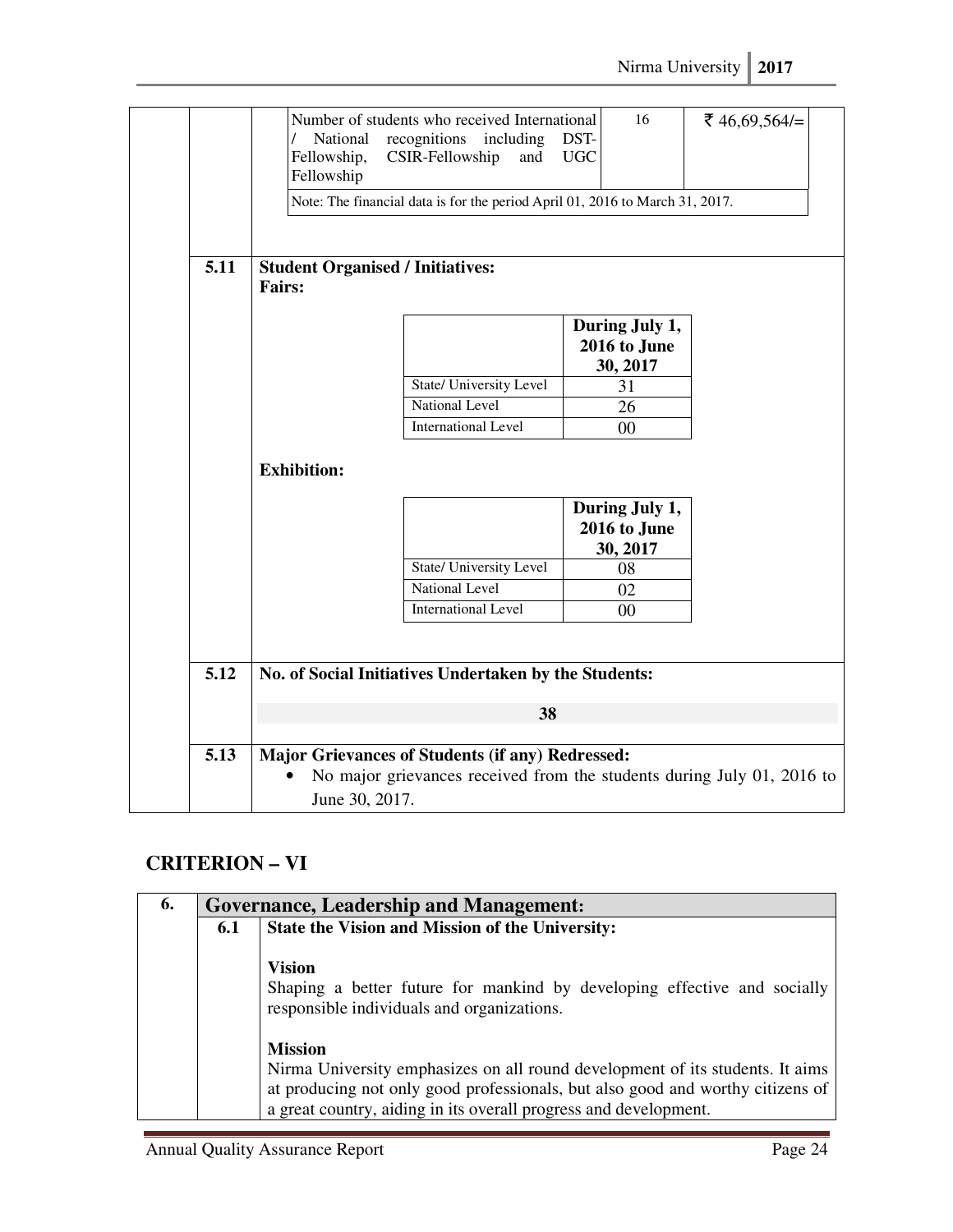|      | National<br>Fellowship,<br>Fellowship                    | Number of students who received International<br>recognitions<br>including<br>CSIR-Fellowship<br>and | 16<br>DST-<br><b>UGC</b>                                               | ₹ 46,69,564/= |
|------|----------------------------------------------------------|------------------------------------------------------------------------------------------------------|------------------------------------------------------------------------|---------------|
|      |                                                          | Note: The financial data is for the period April 01, 2016 to March 31, 2017.                         |                                                                        |               |
| 5.11 | <b>Student Organised / Initiatives:</b><br><b>Fairs:</b> |                                                                                                      |                                                                        |               |
|      |                                                          |                                                                                                      | During July 1,<br>2016 to June<br>30, 2017                             |               |
|      |                                                          | State/ University Level                                                                              | 31                                                                     |               |
|      |                                                          | <b>National Level</b>                                                                                | 26                                                                     |               |
|      |                                                          | <b>International Level</b>                                                                           | 00                                                                     |               |
|      | <b>Exhibition:</b>                                       |                                                                                                      | During July 1,<br>2016 to June<br>30, 2017                             |               |
|      |                                                          | <b>State/ University Level</b>                                                                       | 08                                                                     |               |
|      |                                                          | <b>National Level</b>                                                                                | 02                                                                     |               |
|      |                                                          | <b>International Level</b>                                                                           | 00                                                                     |               |
| 5.12 |                                                          | No. of Social Initiatives Undertaken by the Students:                                                |                                                                        |               |
|      |                                                          | 38                                                                                                   |                                                                        |               |
| 5.13 |                                                          | Major Grievances of Students (if any) Redressed:                                                     | No major grievances received from the students during July 01, 2016 to |               |

# **CRITERION – VI**

| 6. |     | <b>Governance, Leadership and Management:</b>                                                                                                                                                                                                         |  |  |  |
|----|-----|-------------------------------------------------------------------------------------------------------------------------------------------------------------------------------------------------------------------------------------------------------|--|--|--|
|    | 6.1 | State the Vision and Mission of the University:                                                                                                                                                                                                       |  |  |  |
|    |     | <b>Vision</b><br>Shaping a better future for mankind by developing effective and socially<br>responsible individuals and organizations.                                                                                                               |  |  |  |
|    |     | <b>Mission</b><br>Nirma University emphasizes on all round development of its students. It aims<br>at producing not only good professionals, but also good and worthy citizens of<br>a great country, aiding in its overall progress and development. |  |  |  |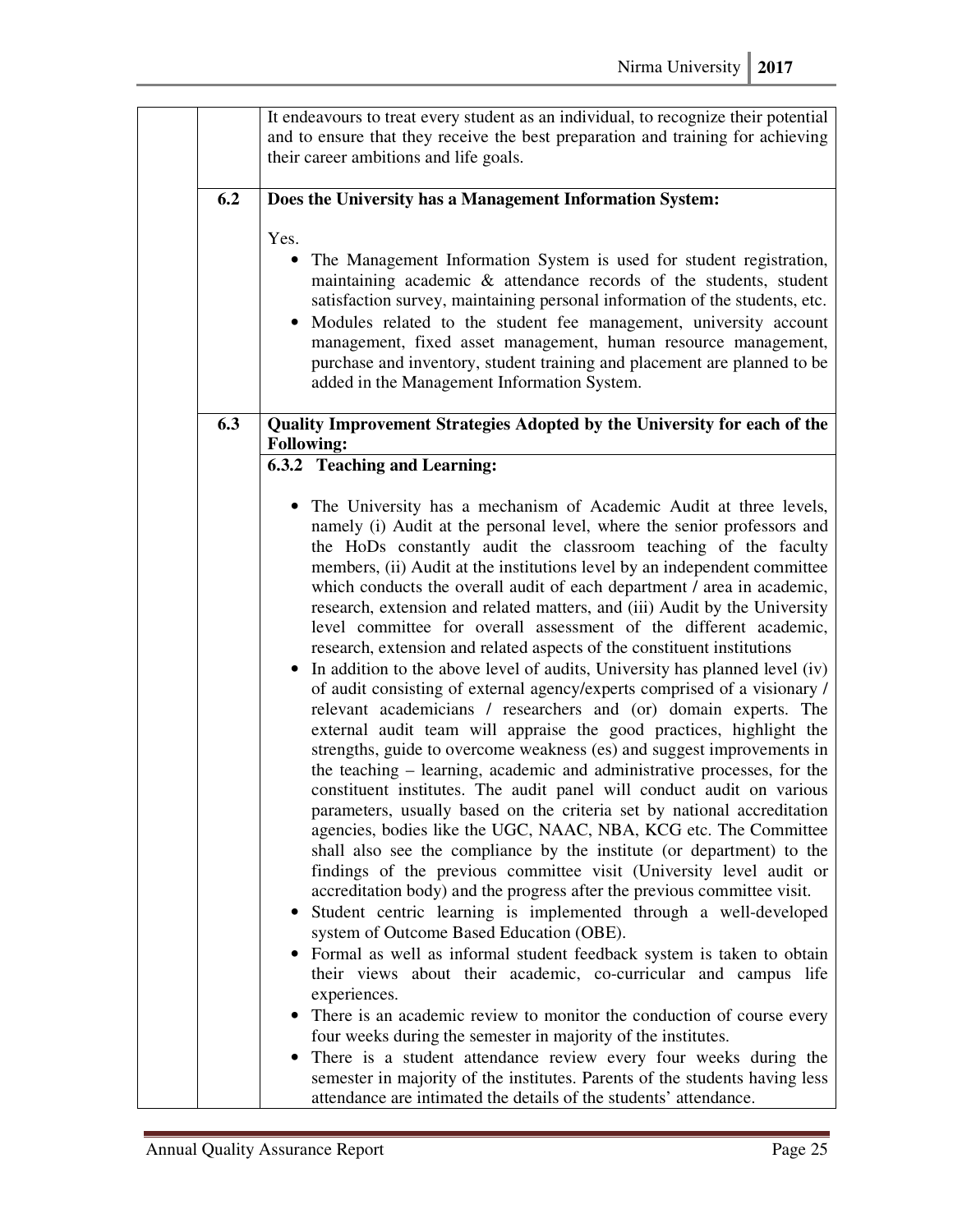|     | It endeavours to treat every student as an individual, to recognize their potential<br>and to ensure that they receive the best preparation and training for achieving<br>their career ambitions and life goals.                                                                                                                                                                                                                                                                                                                                                                                                                                                                                                                                                                                                                                                                                                                                                                                                                                                                                                                                                                                                                                                                                                                                                                                                                                                                                                                                                                                                                                                                                                                              |
|-----|-----------------------------------------------------------------------------------------------------------------------------------------------------------------------------------------------------------------------------------------------------------------------------------------------------------------------------------------------------------------------------------------------------------------------------------------------------------------------------------------------------------------------------------------------------------------------------------------------------------------------------------------------------------------------------------------------------------------------------------------------------------------------------------------------------------------------------------------------------------------------------------------------------------------------------------------------------------------------------------------------------------------------------------------------------------------------------------------------------------------------------------------------------------------------------------------------------------------------------------------------------------------------------------------------------------------------------------------------------------------------------------------------------------------------------------------------------------------------------------------------------------------------------------------------------------------------------------------------------------------------------------------------------------------------------------------------------------------------------------------------|
|     |                                                                                                                                                                                                                                                                                                                                                                                                                                                                                                                                                                                                                                                                                                                                                                                                                                                                                                                                                                                                                                                                                                                                                                                                                                                                                                                                                                                                                                                                                                                                                                                                                                                                                                                                               |
| 6.2 | Does the University has a Management Information System:                                                                                                                                                                                                                                                                                                                                                                                                                                                                                                                                                                                                                                                                                                                                                                                                                                                                                                                                                                                                                                                                                                                                                                                                                                                                                                                                                                                                                                                                                                                                                                                                                                                                                      |
|     | Yes.<br>The Management Information System is used for student registration,<br>maintaining academic & attendance records of the students, student<br>satisfaction survey, maintaining personal information of the students, etc.<br>Modules related to the student fee management, university account<br>$\bullet$<br>management, fixed asset management, human resource management,<br>purchase and inventory, student training and placement are planned to be<br>added in the Management Information System.                                                                                                                                                                                                                                                                                                                                                                                                                                                                                                                                                                                                                                                                                                                                                                                                                                                                                                                                                                                                                                                                                                                                                                                                                               |
| 6.3 | Quality Improvement Strategies Adopted by the University for each of the<br><b>Following:</b>                                                                                                                                                                                                                                                                                                                                                                                                                                                                                                                                                                                                                                                                                                                                                                                                                                                                                                                                                                                                                                                                                                                                                                                                                                                                                                                                                                                                                                                                                                                                                                                                                                                 |
|     | 6.3.2 Teaching and Learning:                                                                                                                                                                                                                                                                                                                                                                                                                                                                                                                                                                                                                                                                                                                                                                                                                                                                                                                                                                                                                                                                                                                                                                                                                                                                                                                                                                                                                                                                                                                                                                                                                                                                                                                  |
|     | The University has a mechanism of Academic Audit at three levels,<br>$\bullet$<br>namely (i) Audit at the personal level, where the senior professors and<br>the HoDs constantly audit the classroom teaching of the faculty<br>members, (ii) Audit at the institutions level by an independent committee<br>which conducts the overall audit of each department / area in academic,<br>research, extension and related matters, and (iii) Audit by the University<br>level committee for overall assessment of the different academic,<br>research, extension and related aspects of the constituent institutions<br>In addition to the above level of audits, University has planned level (iv)<br>of audit consisting of external agency/experts comprised of a visionary /<br>relevant academicians / researchers and (or) domain experts. The<br>external audit team will appraise the good practices, highlight the<br>strengths, guide to overcome weakness (es) and suggest improvements in<br>the teaching – learning, academic and administrative processes, for the<br>constituent institutes. The audit panel will conduct audit on various<br>parameters, usually based on the criteria set by national accreditation<br>agencies, bodies like the UGC, NAAC, NBA, KCG etc. The Committee<br>shall also see the compliance by the institute (or department) to the<br>findings of the previous committee visit (University level audit or<br>accreditation body) and the progress after the previous committee visit.<br>Student centric learning is implemented through a well-developed<br>٠<br>system of Outcome Based Education (OBE).<br>Formal as well as informal student feedback system is taken to obtain<br>$\bullet$ |
|     | their views about their academic, co-curricular and campus life<br>experiences.<br>There is an academic review to monitor the conduction of course every                                                                                                                                                                                                                                                                                                                                                                                                                                                                                                                                                                                                                                                                                                                                                                                                                                                                                                                                                                                                                                                                                                                                                                                                                                                                                                                                                                                                                                                                                                                                                                                      |
|     | four weeks during the semester in majority of the institutes.<br>There is a student attendance review every four weeks during the<br>semester in majority of the institutes. Parents of the students having less<br>attendance are intimated the details of the students' attendance.                                                                                                                                                                                                                                                                                                                                                                                                                                                                                                                                                                                                                                                                                                                                                                                                                                                                                                                                                                                                                                                                                                                                                                                                                                                                                                                                                                                                                                                         |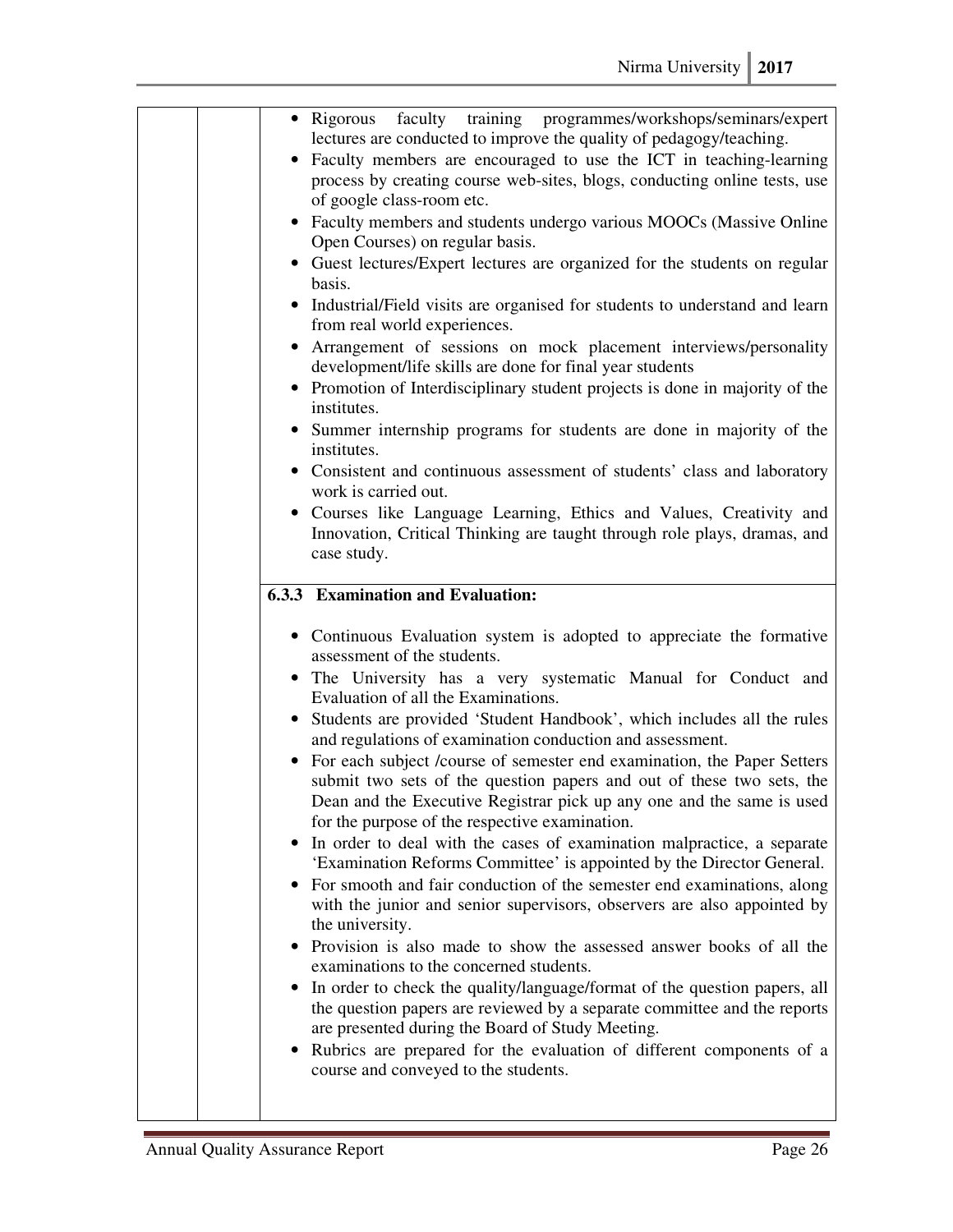| • Rigorous faculty training programmes/workshops/seminars/expert<br>lectures are conducted to improve the quality of pedagogy/teaching.<br>• Faculty members are encouraged to use the ICT in teaching-learning<br>process by creating course web-sites, blogs, conducting online tests, use<br>of google class-room etc.<br>• Faculty members and students undergo various MOOCs (Massive Online<br>Open Courses) on regular basis.<br>• Guest lectures/Expert lectures are organized for the students on regular<br>basis.<br>• Industrial/Field visits are organised for students to understand and learn<br>from real world experiences.<br>Arrangement of sessions on mock placement interviews/personality<br>development/life skills are done for final year students<br>Promotion of Interdisciplinary student projects is done in majority of the<br>institutes.<br>• Summer internship programs for students are done in majority of the<br>institutes.<br>• Consistent and continuous assessment of students' class and laboratory<br>work is carried out.<br>• Courses like Language Learning, Ethics and Values, Creativity and<br>Innovation, Critical Thinking are taught through role plays, dramas, and<br>case study.                                                                                                                                                                                                |
|----------------------------------------------------------------------------------------------------------------------------------------------------------------------------------------------------------------------------------------------------------------------------------------------------------------------------------------------------------------------------------------------------------------------------------------------------------------------------------------------------------------------------------------------------------------------------------------------------------------------------------------------------------------------------------------------------------------------------------------------------------------------------------------------------------------------------------------------------------------------------------------------------------------------------------------------------------------------------------------------------------------------------------------------------------------------------------------------------------------------------------------------------------------------------------------------------------------------------------------------------------------------------------------------------------------------------------------------------------------------------------------------------------------------------------------|
| <b>6.3.3 Examination and Evaluation:</b>                                                                                                                                                                                                                                                                                                                                                                                                                                                                                                                                                                                                                                                                                                                                                                                                                                                                                                                                                                                                                                                                                                                                                                                                                                                                                                                                                                                               |
| • Continuous Evaluation system is adopted to appreciate the formative<br>assessment of the students.<br>• The University has a very systematic Manual for Conduct and<br>Evaluation of all the Examinations.<br>Students are provided 'Student Handbook', which includes all the rules<br>and regulations of examination conduction and assessment.<br>For each subject /course of semester end examination, the Paper Setters<br>$\bullet$<br>submit two sets of the question papers and out of these two sets, the<br>Dean and the Executive Registrar pick up any one and the same is used<br>for the purpose of the respective examination.<br>In order to deal with the cases of examination malpractice, a separate<br>'Examination Reforms Committee' is appointed by the Director General.<br>For smooth and fair conduction of the semester end examinations, along<br>$\bullet$<br>with the junior and senior supervisors, observers are also appointed by<br>the university.<br>Provision is also made to show the assessed answer books of all the<br>examinations to the concerned students.<br>In order to check the quality/language/format of the question papers, all<br>the question papers are reviewed by a separate committee and the reports<br>are presented during the Board of Study Meeting.<br>Rubrics are prepared for the evaluation of different components of a<br>course and conveyed to the students. |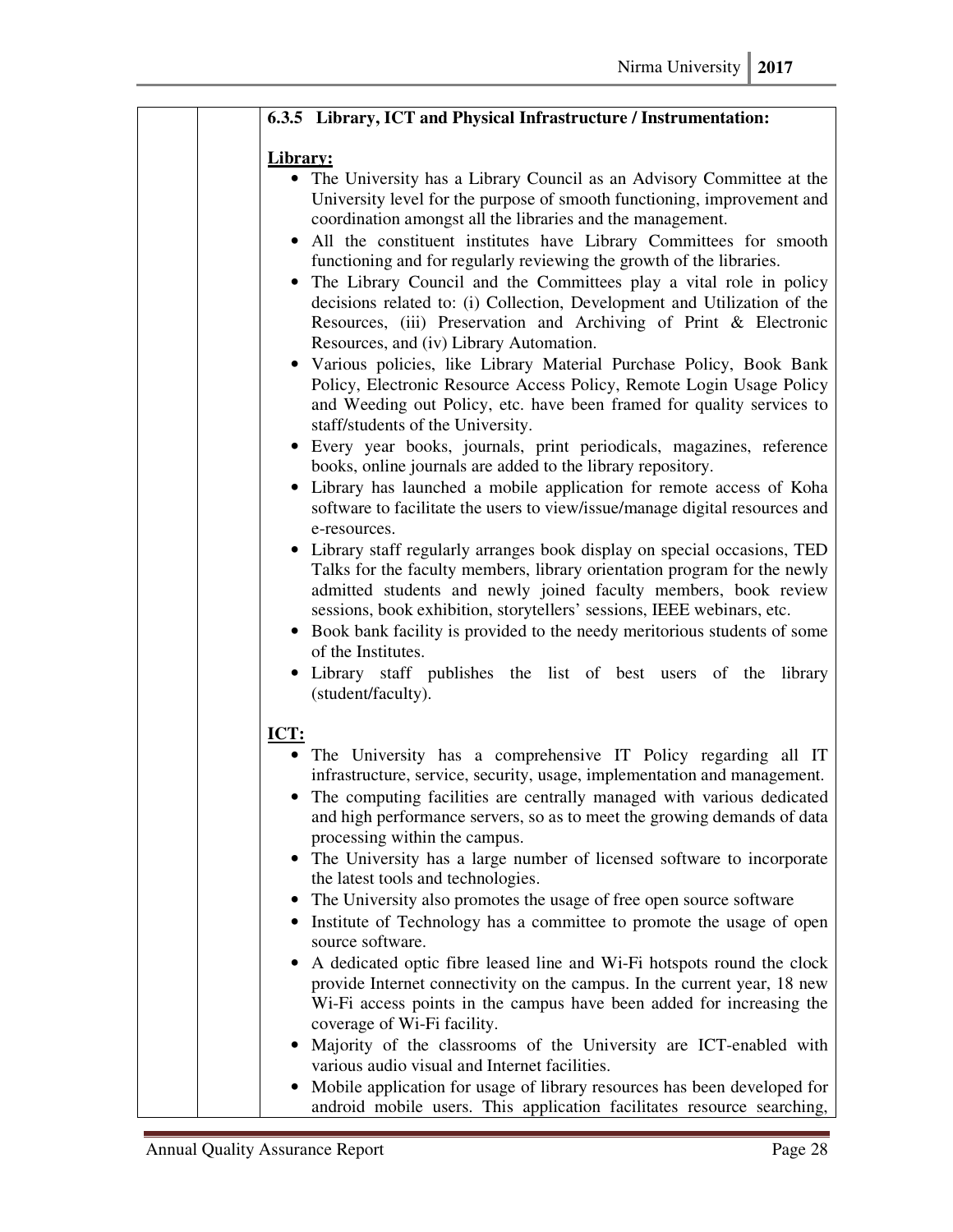| 6.3.5 Library, ICT and Physical Infrastructure / Instrumentation:                                                                                                                                                                                                                                                                                                                                                                                                                                                                                                                                                                                                                                                                                                                                                                                                                                                                                                                                                                                                                                                                                                                                                                                                                                                                                                                            |
|----------------------------------------------------------------------------------------------------------------------------------------------------------------------------------------------------------------------------------------------------------------------------------------------------------------------------------------------------------------------------------------------------------------------------------------------------------------------------------------------------------------------------------------------------------------------------------------------------------------------------------------------------------------------------------------------------------------------------------------------------------------------------------------------------------------------------------------------------------------------------------------------------------------------------------------------------------------------------------------------------------------------------------------------------------------------------------------------------------------------------------------------------------------------------------------------------------------------------------------------------------------------------------------------------------------------------------------------------------------------------------------------|
|                                                                                                                                                                                                                                                                                                                                                                                                                                                                                                                                                                                                                                                                                                                                                                                                                                                                                                                                                                                                                                                                                                                                                                                                                                                                                                                                                                                              |
| Library:<br>• The University has a Library Council as an Advisory Committee at the<br>University level for the purpose of smooth functioning, improvement and<br>coordination amongst all the libraries and the management.<br>All the constituent institutes have Library Committees for smooth<br>functioning and for regularly reviewing the growth of the libraries.<br>The Library Council and the Committees play a vital role in policy<br>$\bullet$<br>decisions related to: (i) Collection, Development and Utilization of the<br>Resources, (iii) Preservation and Archiving of Print & Electronic<br>Resources, and (iv) Library Automation.<br>• Various policies, like Library Material Purchase Policy, Book Bank<br>Policy, Electronic Resource Access Policy, Remote Login Usage Policy<br>and Weeding out Policy, etc. have been framed for quality services to<br>staff/students of the University.<br>• Every year books, journals, print periodicals, magazines, reference<br>books, online journals are added to the library repository.<br>Library has launched a mobile application for remote access of Koha<br>software to facilitate the users to view/issue/manage digital resources and<br>e-resources.<br>• Library staff regularly arranges book display on special occasions, TED<br>Talks for the faculty members, library orientation program for the newly |
| admitted students and newly joined faculty members, book review<br>sessions, book exhibition, storytellers' sessions, IEEE webinars, etc.<br>• Book bank facility is provided to the needy meritorious students of some<br>of the Institutes.<br>Library staff publishes the list of best users of the<br>library<br>$\bullet$<br>(student/faculty).                                                                                                                                                                                                                                                                                                                                                                                                                                                                                                                                                                                                                                                                                                                                                                                                                                                                                                                                                                                                                                         |
|                                                                                                                                                                                                                                                                                                                                                                                                                                                                                                                                                                                                                                                                                                                                                                                                                                                                                                                                                                                                                                                                                                                                                                                                                                                                                                                                                                                              |
| <b>ICT:</b><br>• The University has a comprehensive IT Policy regarding all IT<br>infrastructure, service, security, usage, implementation and management.<br>• The computing facilities are centrally managed with various dedicated<br>and high performance servers, so as to meet the growing demands of data<br>processing within the campus.<br>The University has a large number of licensed software to incorporate<br>the latest tools and technologies.<br>The University also promotes the usage of free open source software<br>Institute of Technology has a committee to promote the usage of open<br>source software.                                                                                                                                                                                                                                                                                                                                                                                                                                                                                                                                                                                                                                                                                                                                                          |
| A dedicated optic fibre leased line and Wi-Fi hotspots round the clock<br>provide Internet connectivity on the campus. In the current year, 18 new<br>Wi-Fi access points in the campus have been added for increasing the<br>coverage of Wi-Fi facility.<br>Majority of the classrooms of the University are ICT-enabled with<br>various audio visual and Internet facilities.<br>Mobile application for usage of library resources has been developed for<br>$\bullet$<br>android mobile users. This application facilitates resource searching,                                                                                                                                                                                                                                                                                                                                                                                                                                                                                                                                                                                                                                                                                                                                                                                                                                           |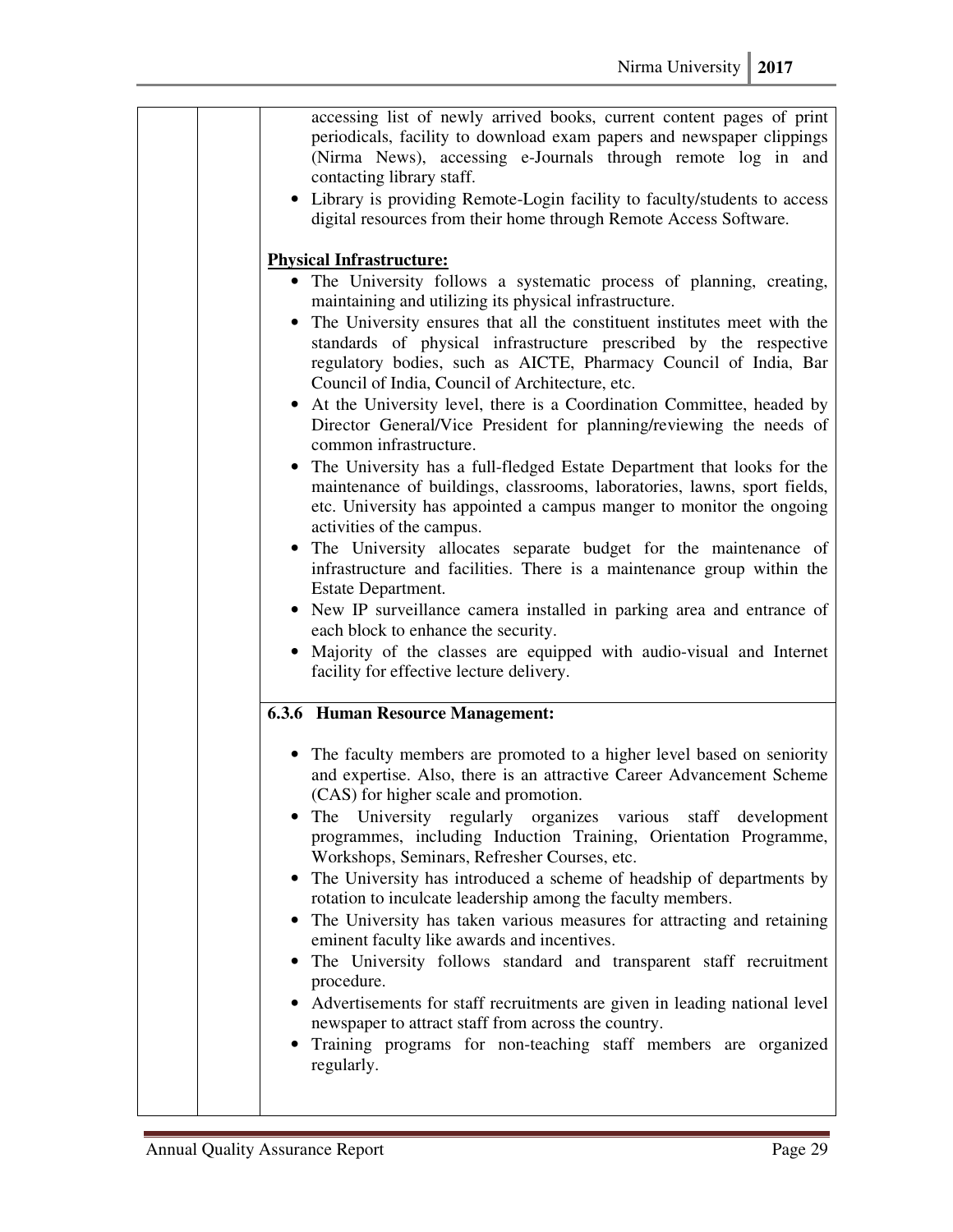| accessing list of newly arrived books, current content pages of print<br>periodicals, facility to download exam papers and newspaper clippings<br>(Nirma News), accessing e-Journals through remote log in and<br>contacting library staff.<br>• Library is providing Remote-Login facility to faculty/students to access<br>digital resources from their home through Remote Access Software.                                                                                                                                                                                                                                                                                                                                                                                                                                                                                                                                                                                                                                                                                                                                                                                                                                                                                            |
|-------------------------------------------------------------------------------------------------------------------------------------------------------------------------------------------------------------------------------------------------------------------------------------------------------------------------------------------------------------------------------------------------------------------------------------------------------------------------------------------------------------------------------------------------------------------------------------------------------------------------------------------------------------------------------------------------------------------------------------------------------------------------------------------------------------------------------------------------------------------------------------------------------------------------------------------------------------------------------------------------------------------------------------------------------------------------------------------------------------------------------------------------------------------------------------------------------------------------------------------------------------------------------------------|
| <b>Physical Infrastructure:</b><br>• The University follows a systematic process of planning, creating,<br>maintaining and utilizing its physical infrastructure.<br>The University ensures that all the constituent institutes meet with the<br>standards of physical infrastructure prescribed by the respective<br>regulatory bodies, such as AICTE, Pharmacy Council of India, Bar<br>Council of India, Council of Architecture, etc.<br>• At the University level, there is a Coordination Committee, headed by<br>Director General/Vice President for planning/reviewing the needs of<br>common infrastructure.<br>The University has a full-fledged Estate Department that looks for the<br>maintenance of buildings, classrooms, laboratories, lawns, sport fields,<br>etc. University has appointed a campus manger to monitor the ongoing<br>activities of the campus.<br>• The University allocates separate budget for the maintenance of<br>infrastructure and facilities. There is a maintenance group within the<br>Estate Department.<br>• New IP surveillance camera installed in parking area and entrance of<br>each block to enhance the security.<br>Majority of the classes are equipped with audio-visual and Internet<br>facility for effective lecture delivery. |
| <b>6.3.6 Human Resource Management:</b>                                                                                                                                                                                                                                                                                                                                                                                                                                                                                                                                                                                                                                                                                                                                                                                                                                                                                                                                                                                                                                                                                                                                                                                                                                                   |
| The faculty members are promoted to a higher level based on seniority<br>and expertise. Also, there is an attractive Career Advancement Scheme<br>(CAS) for higher scale and promotion.<br>The University regularly organizes various staff development<br>programmes, including Induction Training, Orientation Programme,<br>Workshops, Seminars, Refresher Courses, etc.<br>The University has introduced a scheme of headship of departments by<br>$\bullet$<br>rotation to inculcate leadership among the faculty members.<br>The University has taken various measures for attracting and retaining<br>eminent faculty like awards and incentives.<br>The University follows standard and transparent staff recruitment<br>٠<br>procedure.<br>Advertisements for staff recruitments are given in leading national level<br>٠<br>newspaper to attract staff from across the country.<br>Training programs for non-teaching staff members are organized<br>regularly.                                                                                                                                                                                                                                                                                                                 |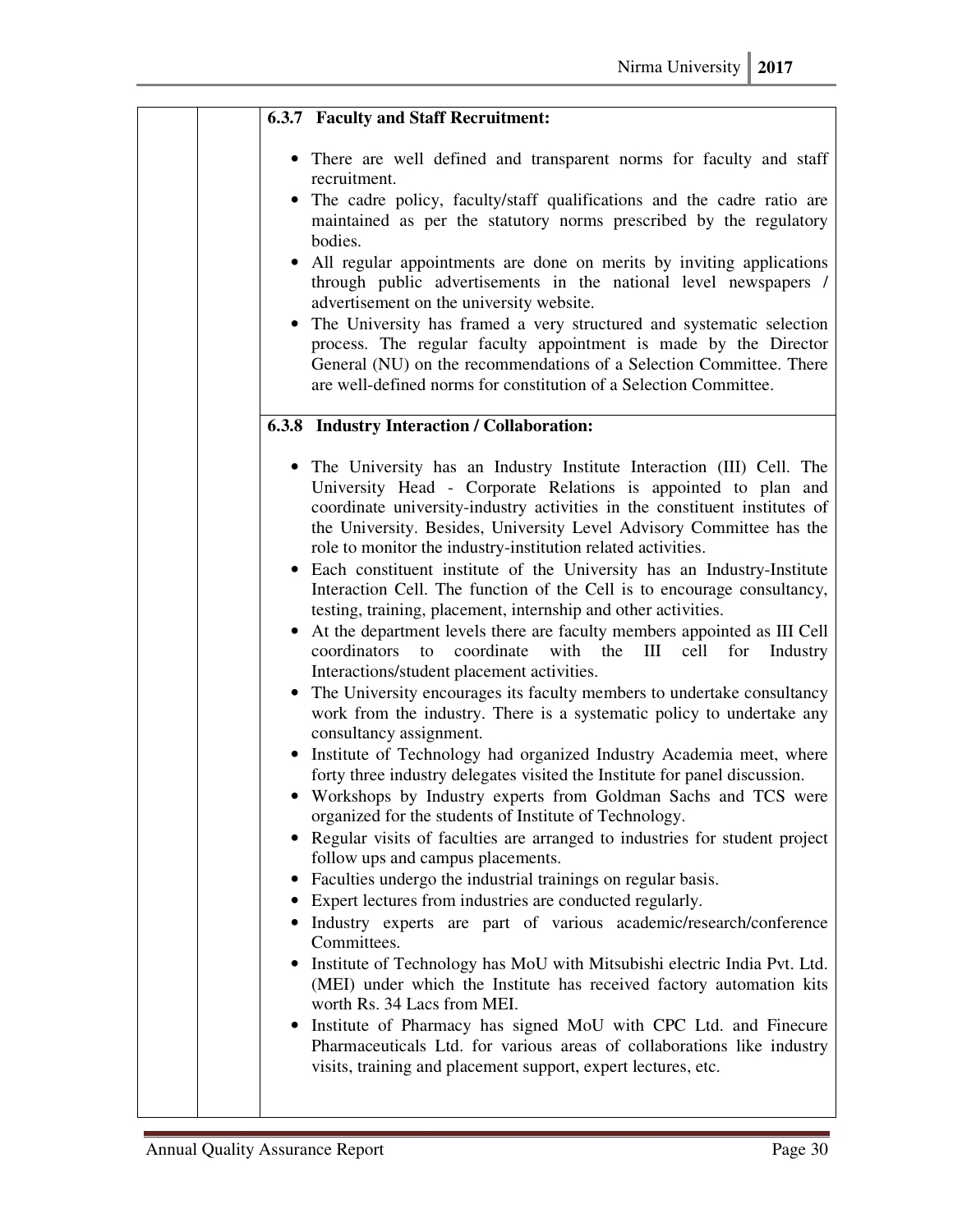| <b>6.3.7 Faculty and Staff Recruitment:</b>                                                                                                                                                                                                                                                                                                                                                                                                                                                                                                                                                                                                                                                                                                                                                                                                                                                                                                                                                                                                                                                                                                                                                                                                                                                                                                                                                                                                                                                                                                                                                                                                                                                                                                                                                                                          |  |
|--------------------------------------------------------------------------------------------------------------------------------------------------------------------------------------------------------------------------------------------------------------------------------------------------------------------------------------------------------------------------------------------------------------------------------------------------------------------------------------------------------------------------------------------------------------------------------------------------------------------------------------------------------------------------------------------------------------------------------------------------------------------------------------------------------------------------------------------------------------------------------------------------------------------------------------------------------------------------------------------------------------------------------------------------------------------------------------------------------------------------------------------------------------------------------------------------------------------------------------------------------------------------------------------------------------------------------------------------------------------------------------------------------------------------------------------------------------------------------------------------------------------------------------------------------------------------------------------------------------------------------------------------------------------------------------------------------------------------------------------------------------------------------------------------------------------------------------|--|
| • There are well defined and transparent norms for faculty and staff<br>recruitment.                                                                                                                                                                                                                                                                                                                                                                                                                                                                                                                                                                                                                                                                                                                                                                                                                                                                                                                                                                                                                                                                                                                                                                                                                                                                                                                                                                                                                                                                                                                                                                                                                                                                                                                                                 |  |
| • The cadre policy, faculty/staff qualifications and the cadre ratio are<br>maintained as per the statutory norms prescribed by the regulatory<br>bodies.                                                                                                                                                                                                                                                                                                                                                                                                                                                                                                                                                                                                                                                                                                                                                                                                                                                                                                                                                                                                                                                                                                                                                                                                                                                                                                                                                                                                                                                                                                                                                                                                                                                                            |  |
| All regular appointments are done on merits by inviting applications<br>through public advertisements in the national level newspapers /<br>advertisement on the university website.                                                                                                                                                                                                                                                                                                                                                                                                                                                                                                                                                                                                                                                                                                                                                                                                                                                                                                                                                                                                                                                                                                                                                                                                                                                                                                                                                                                                                                                                                                                                                                                                                                                 |  |
| The University has framed a very structured and systematic selection<br>$\bullet$<br>process. The regular faculty appointment is made by the Director<br>General (NU) on the recommendations of a Selection Committee. There<br>are well-defined norms for constitution of a Selection Committee.                                                                                                                                                                                                                                                                                                                                                                                                                                                                                                                                                                                                                                                                                                                                                                                                                                                                                                                                                                                                                                                                                                                                                                                                                                                                                                                                                                                                                                                                                                                                    |  |
| 6.3.8 Industry Interaction / Collaboration:                                                                                                                                                                                                                                                                                                                                                                                                                                                                                                                                                                                                                                                                                                                                                                                                                                                                                                                                                                                                                                                                                                                                                                                                                                                                                                                                                                                                                                                                                                                                                                                                                                                                                                                                                                                          |  |
| • The University has an Industry Institute Interaction (III) Cell. The<br>University Head - Corporate Relations is appointed to plan and<br>coordinate university-industry activities in the constituent institutes of<br>the University. Besides, University Level Advisory Committee has the<br>role to monitor the industry-institution related activities.<br>• Each constituent institute of the University has an Industry-Institute<br>Interaction Cell. The function of the Cell is to encourage consultancy,<br>testing, training, placement, internship and other activities.<br>At the department levels there are faculty members appointed as III Cell<br>coordinators to coordinate with the<br>Ш<br>for<br>cell<br>Industry<br>Interactions/student placement activities.<br>The University encourages its faculty members to undertake consultancy<br>$\bullet$<br>work from the industry. There is a systematic policy to undertake any<br>consultancy assignment.<br>Institute of Technology had organized Industry Academia meet, where<br>forty three industry delegates visited the Institute for panel discussion.<br>• Workshops by Industry experts from Goldman Sachs and TCS were<br>organized for the students of Institute of Technology.<br>Regular visits of faculties are arranged to industries for student project<br>follow ups and campus placements.<br>Faculties undergo the industrial trainings on regular basis.<br>$\bullet$<br>Expert lectures from industries are conducted regularly.<br>$\bullet$<br>• Industry experts are part of various academic/research/conference<br>Committees.<br>Institute of Technology has MoU with Mitsubishi electric India Pvt. Ltd.<br>$\bullet$<br>(MEI) under which the Institute has received factory automation kits<br>worth Rs. 34 Lacs from MEI. |  |
| Institute of Pharmacy has signed MoU with CPC Ltd. and Finecure<br>Pharmaceuticals Ltd. for various areas of collaborations like industry<br>visits, training and placement support, expert lectures, etc.                                                                                                                                                                                                                                                                                                                                                                                                                                                                                                                                                                                                                                                                                                                                                                                                                                                                                                                                                                                                                                                                                                                                                                                                                                                                                                                                                                                                                                                                                                                                                                                                                           |  |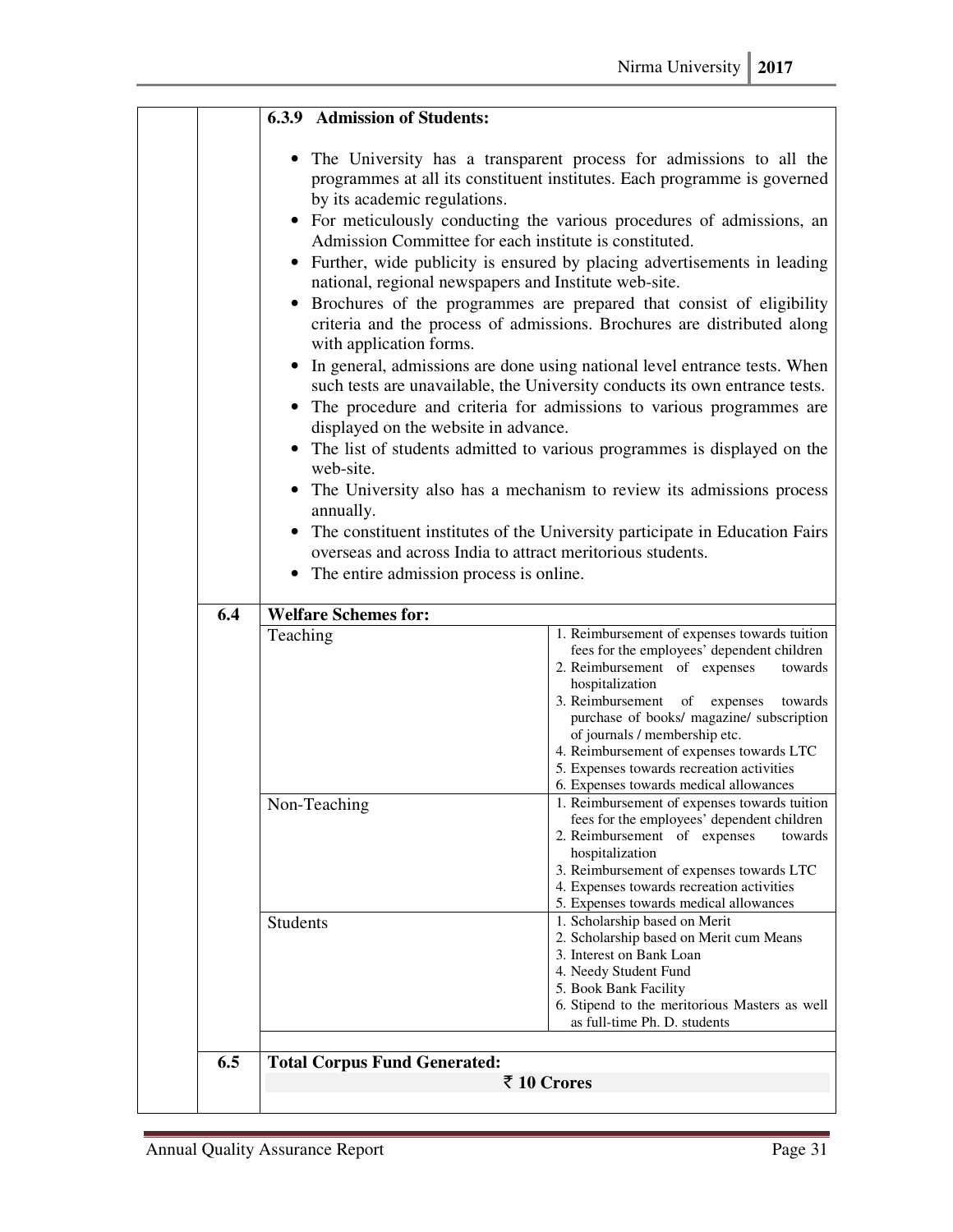|     | 6.3.9 Admission of Students:                                                                                                                                                                                                                                                                                                                                                                                                                                                                                                                                                                                                                                                                                                                                                                                                                                                                                                                                                                                                                                                                                                                                                                                                                                                                     |                                                                                                                                                                                                                                                                                                                                                                                                                            |
|-----|--------------------------------------------------------------------------------------------------------------------------------------------------------------------------------------------------------------------------------------------------------------------------------------------------------------------------------------------------------------------------------------------------------------------------------------------------------------------------------------------------------------------------------------------------------------------------------------------------------------------------------------------------------------------------------------------------------------------------------------------------------------------------------------------------------------------------------------------------------------------------------------------------------------------------------------------------------------------------------------------------------------------------------------------------------------------------------------------------------------------------------------------------------------------------------------------------------------------------------------------------------------------------------------------------|----------------------------------------------------------------------------------------------------------------------------------------------------------------------------------------------------------------------------------------------------------------------------------------------------------------------------------------------------------------------------------------------------------------------------|
|     | The University has a transparent process for admissions to all the<br>programmes at all its constituent institutes. Each programme is governed<br>by its academic regulations.<br>• For meticulously conducting the various procedures of admissions, an<br>Admission Committee for each institute is constituted.<br>• Further, wide publicity is ensured by placing advertisements in leading<br>national, regional newspapers and Institute web-site.<br>Brochures of the programmes are prepared that consist of eligibility<br>criteria and the process of admissions. Brochures are distributed along<br>with application forms.<br>In general, admissions are done using national level entrance tests. When<br>such tests are unavailable, the University conducts its own entrance tests.<br>• The procedure and criteria for admissions to various programmes are<br>displayed on the website in advance.<br>• The list of students admitted to various programmes is displayed on the<br>web-site.<br>• The University also has a mechanism to review its admissions process<br>annually.<br>• The constituent institutes of the University participate in Education Fairs<br>overseas and across India to attract meritorious students.<br>• The entire admission process is online. |                                                                                                                                                                                                                                                                                                                                                                                                                            |
| 6.4 | <b>Welfare Schemes for:</b>                                                                                                                                                                                                                                                                                                                                                                                                                                                                                                                                                                                                                                                                                                                                                                                                                                                                                                                                                                                                                                                                                                                                                                                                                                                                      |                                                                                                                                                                                                                                                                                                                                                                                                                            |
|     | Teaching                                                                                                                                                                                                                                                                                                                                                                                                                                                                                                                                                                                                                                                                                                                                                                                                                                                                                                                                                                                                                                                                                                                                                                                                                                                                                         | 1. Reimbursement of expenses towards tuition<br>fees for the employees' dependent children<br>2. Reimbursement of expenses<br>towards<br>hospitalization<br>3. Reimbursement<br>of<br>expenses<br>towards<br>purchase of books/ magazine/ subscription<br>of journals / membership etc.<br>4. Reimbursement of expenses towards LTC<br>5. Expenses towards recreation activities<br>6. Expenses towards medical allowances |
|     | Non-Teaching                                                                                                                                                                                                                                                                                                                                                                                                                                                                                                                                                                                                                                                                                                                                                                                                                                                                                                                                                                                                                                                                                                                                                                                                                                                                                     | 1. Reimbursement of expenses towards tuition<br>fees for the employees' dependent children<br>2. Reimbursement of expenses<br>towards<br>hospitalization<br>3. Reimbursement of expenses towards LTC<br>4. Expenses towards recreation activities<br>5. Expenses towards medical allowances                                                                                                                                |
|     | <b>Students</b>                                                                                                                                                                                                                                                                                                                                                                                                                                                                                                                                                                                                                                                                                                                                                                                                                                                                                                                                                                                                                                                                                                                                                                                                                                                                                  | 1. Scholarship based on Merit<br>2. Scholarship based on Merit cum Means<br>3. Interest on Bank Loan<br>4. Needy Student Fund<br>5. Book Bank Facility<br>6. Stipend to the meritorious Masters as well<br>as full-time Ph. D. students                                                                                                                                                                                    |
| 6.5 | <b>Total Corpus Fund Generated:</b>                                                                                                                                                                                                                                                                                                                                                                                                                                                                                                                                                                                                                                                                                                                                                                                                                                                                                                                                                                                                                                                                                                                                                                                                                                                              |                                                                                                                                                                                                                                                                                                                                                                                                                            |
|     | ₹ 10 Crores                                                                                                                                                                                                                                                                                                                                                                                                                                                                                                                                                                                                                                                                                                                                                                                                                                                                                                                                                                                                                                                                                                                                                                                                                                                                                      |                                                                                                                                                                                                                                                                                                                                                                                                                            |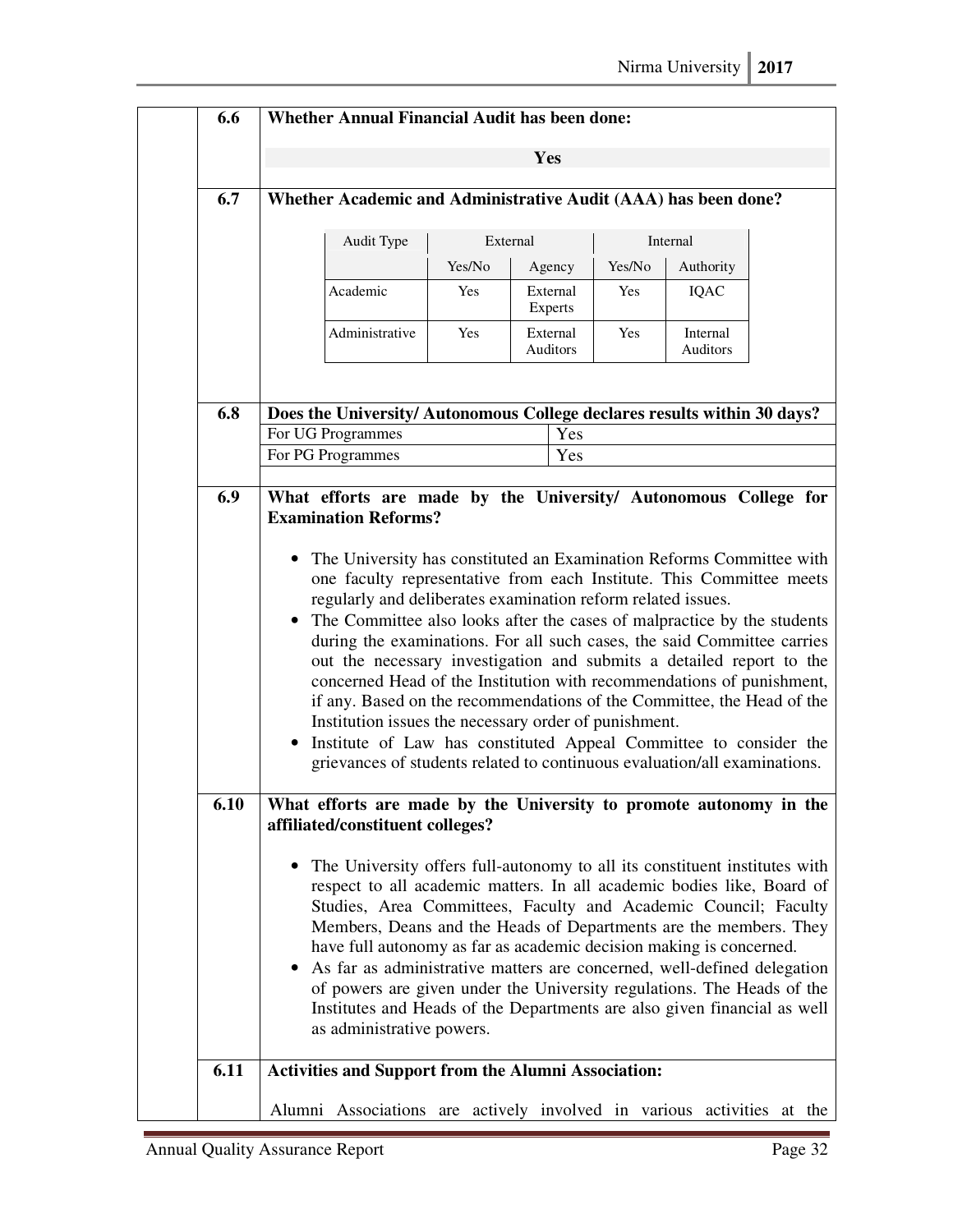| 6.6  | <b>Whether Annual Financial Audit has been done:</b>                                                                                                                                                                                                                                                                                                                                                                                                                                                                                                                                                                              |            |                      |            |                             |  |
|------|-----------------------------------------------------------------------------------------------------------------------------------------------------------------------------------------------------------------------------------------------------------------------------------------------------------------------------------------------------------------------------------------------------------------------------------------------------------------------------------------------------------------------------------------------------------------------------------------------------------------------------------|------------|----------------------|------------|-----------------------------|--|
|      |                                                                                                                                                                                                                                                                                                                                                                                                                                                                                                                                                                                                                                   |            | Yes                  |            |                             |  |
| 6.7  | Whether Academic and Administrative Audit (AAA) has been done?                                                                                                                                                                                                                                                                                                                                                                                                                                                                                                                                                                    |            |                      |            |                             |  |
|      | Audit Type                                                                                                                                                                                                                                                                                                                                                                                                                                                                                                                                                                                                                        |            | External             |            | Internal                    |  |
|      |                                                                                                                                                                                                                                                                                                                                                                                                                                                                                                                                                                                                                                   | Yes/No     | Agency               | Yes/No     | Authority                   |  |
|      | Academic                                                                                                                                                                                                                                                                                                                                                                                                                                                                                                                                                                                                                          | <b>Yes</b> | External<br>Experts  | <b>Yes</b> | IQAC                        |  |
|      | Administrative                                                                                                                                                                                                                                                                                                                                                                                                                                                                                                                                                                                                                    | <b>Yes</b> | External<br>Auditors | <b>Yes</b> | Internal<br><b>Auditors</b> |  |
| 6.8  | Does the University/Autonomous College declares results within 30 days?                                                                                                                                                                                                                                                                                                                                                                                                                                                                                                                                                           |            |                      |            |                             |  |
|      | For UG Programmes                                                                                                                                                                                                                                                                                                                                                                                                                                                                                                                                                                                                                 |            | Yes                  |            |                             |  |
|      | For PG Programmes                                                                                                                                                                                                                                                                                                                                                                                                                                                                                                                                                                                                                 |            | Yes                  |            |                             |  |
|      | The Committee also looks after the cases of malpractice by the students<br>during the examinations. For all such cases, the said Committee carries<br>out the necessary investigation and submits a detailed report to the<br>concerned Head of the Institution with recommendations of punishment,<br>if any. Based on the recommendations of the Committee, the Head of the<br>Institution issues the necessary order of punishment.<br>Institute of Law has constituted Appeal Committee to consider the<br>$\bullet$<br>grievances of students related to continuous evaluation/all examinations.                             |            |                      |            |                             |  |
| 6.10 | What efforts are made by the University to promote autonomy in the<br>affiliated/constituent colleges?                                                                                                                                                                                                                                                                                                                                                                                                                                                                                                                            |            |                      |            |                             |  |
|      | The University offers full-autonomy to all its constituent institutes with<br>respect to all academic matters. In all academic bodies like, Board of<br>Studies, Area Committees, Faculty and Academic Council; Faculty<br>Members, Deans and the Heads of Departments are the members. They<br>have full autonomy as far as academic decision making is concerned.<br>As far as administrative matters are concerned, well-defined delegation<br>of powers are given under the University regulations. The Heads of the<br>Institutes and Heads of the Departments are also given financial as well<br>as administrative powers. |            |                      |            |                             |  |
| 6.11 | <b>Activities and Support from the Alumni Association:</b>                                                                                                                                                                                                                                                                                                                                                                                                                                                                                                                                                                        |            |                      |            |                             |  |
|      | Alumni Associations are actively involved in various activities at the                                                                                                                                                                                                                                                                                                                                                                                                                                                                                                                                                            |            |                      |            |                             |  |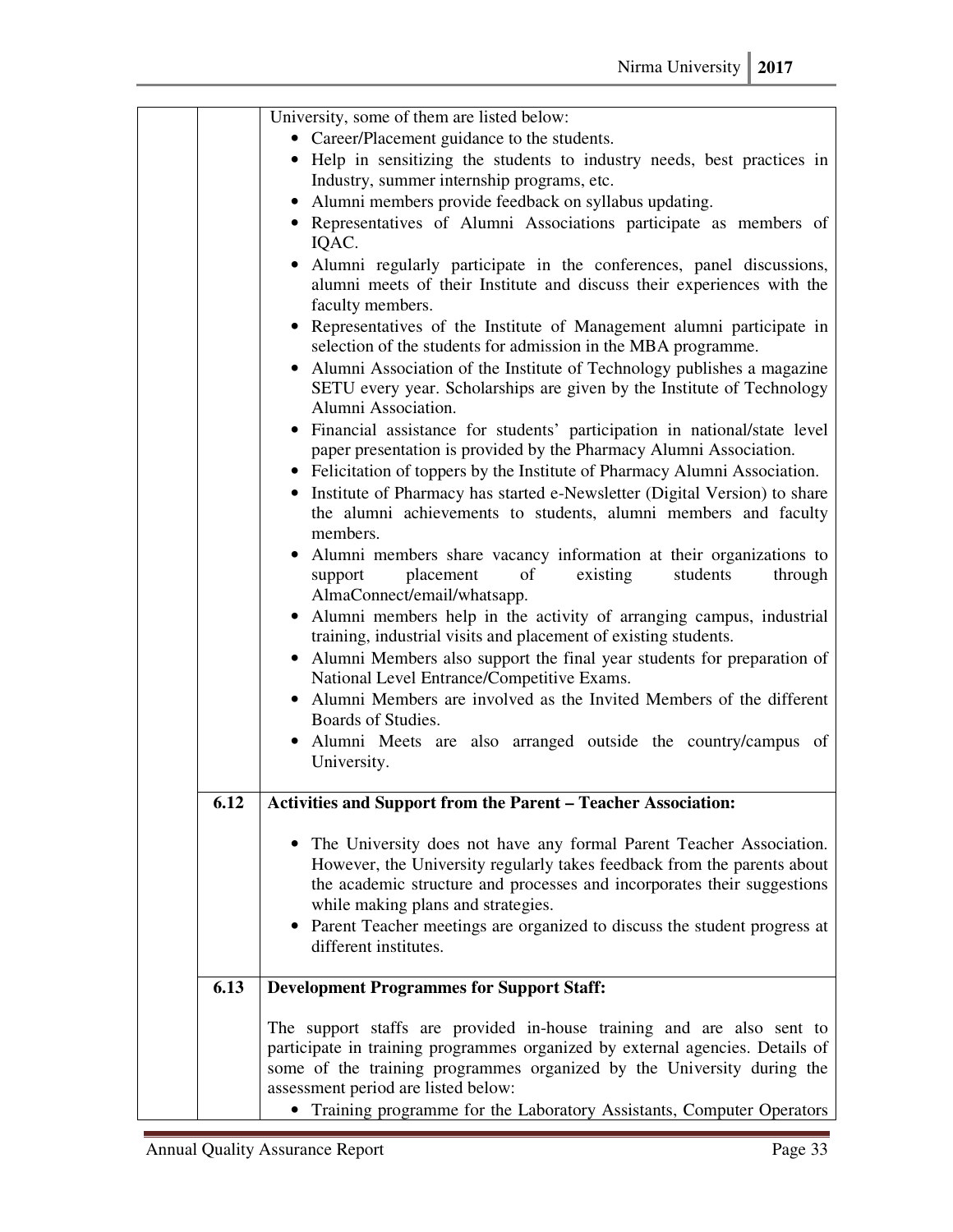|      | University, some of them are listed below:                                                                                                                                     |
|------|--------------------------------------------------------------------------------------------------------------------------------------------------------------------------------|
|      | • Career/Placement guidance to the students.                                                                                                                                   |
|      | • Help in sensitizing the students to industry needs, best practices in                                                                                                        |
|      | Industry, summer internship programs, etc.                                                                                                                                     |
|      | • Alumni members provide feedback on syllabus updating.                                                                                                                        |
|      | • Representatives of Alumni Associations participate as members of                                                                                                             |
|      | IQAC.                                                                                                                                                                          |
|      | Alumni regularly participate in the conferences, panel discussions,<br>$\bullet$<br>alumni meets of their Institute and discuss their experiences with the<br>faculty members. |
|      | Representatives of the Institute of Management alumni participate in                                                                                                           |
|      | selection of the students for admission in the MBA programme.                                                                                                                  |
|      | Alumni Association of the Institute of Technology publishes a magazine<br>SETU every year. Scholarships are given by the Institute of Technology<br>Alumni Association.        |
|      | • Financial assistance for students' participation in national/state level<br>paper presentation is provided by the Pharmacy Alumni Association.                               |
|      | Felicitation of toppers by the Institute of Pharmacy Alumni Association.                                                                                                       |
|      | • Institute of Pharmacy has started e-Newsletter (Digital Version) to share                                                                                                    |
|      | the alumni achievements to students, alumni members and faculty<br>members.                                                                                                    |
|      | Alumni members share vacancy information at their organizations to<br>placement<br>of<br>existing<br>students<br>through<br>support<br>AlmaConnect/email/whatsapp.             |
|      | • Alumni members help in the activity of arranging campus, industrial<br>training, industrial visits and placement of existing students.                                       |
|      | Alumni Members also support the final year students for preparation of<br>$\bullet$                                                                                            |
|      | National Level Entrance/Competitive Exams.<br>Alumni Members are involved as the Invited Members of the different                                                              |
|      | Boards of Studies.                                                                                                                                                             |
|      | Alumni Meets are also arranged outside the country/campus of<br>University.                                                                                                    |
|      |                                                                                                                                                                                |
| 6.12 | <b>Activities and Support from the Parent - Teacher Association:</b>                                                                                                           |
|      | The University does not have any formal Parent Teacher Association.                                                                                                            |
|      | However, the University regularly takes feedback from the parents about                                                                                                        |
|      | the academic structure and processes and incorporates their suggestions                                                                                                        |
|      | while making plans and strategies.                                                                                                                                             |
|      | • Parent Teacher meetings are organized to discuss the student progress at                                                                                                     |
|      | different institutes.                                                                                                                                                          |
| 6.13 | <b>Development Programmes for Support Staff:</b>                                                                                                                               |
|      | The support staffs are provided in-house training and are also sent to                                                                                                         |
|      | participate in training programmes organized by external agencies. Details of                                                                                                  |
|      | some of the training programmes organized by the University during the                                                                                                         |
|      | assessment period are listed below:                                                                                                                                            |
|      | • Training programme for the Laboratory Assistants, Computer Operators                                                                                                         |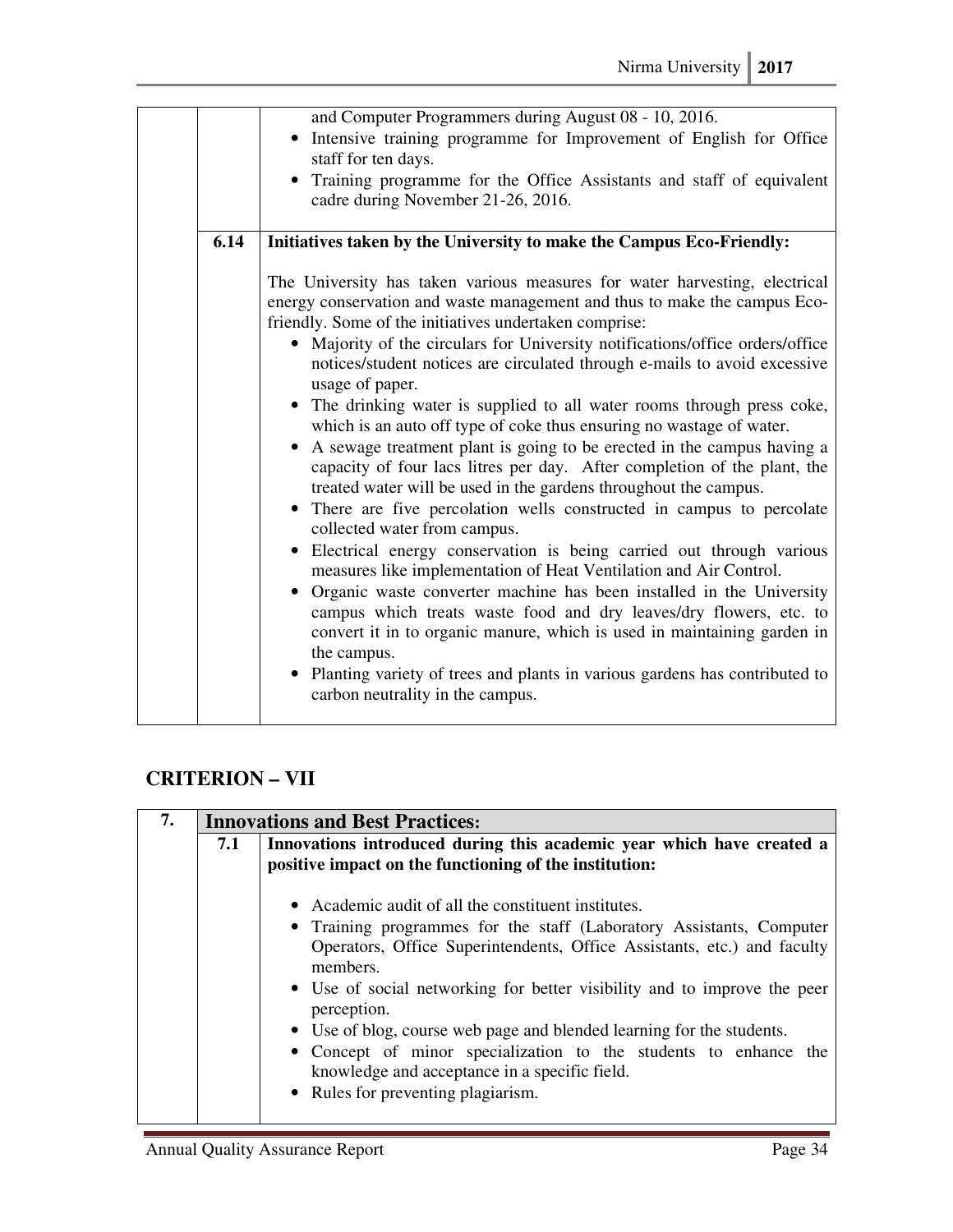|      | and Computer Programmers during August 08 - 10, 2016.                                                                                    |
|------|------------------------------------------------------------------------------------------------------------------------------------------|
|      | Intensive training programme for Improvement of English for Office                                                                       |
|      | staff for ten days.                                                                                                                      |
|      | • Training programme for the Office Assistants and staff of equivalent                                                                   |
|      | cadre during November 21-26, 2016.                                                                                                       |
|      |                                                                                                                                          |
| 6.14 | Initiatives taken by the University to make the Campus Eco-Friendly:                                                                     |
|      |                                                                                                                                          |
|      | The University has taken various measures for water harvesting, electrical                                                               |
|      | energy conservation and waste management and thus to make the campus Eco-                                                                |
|      | friendly. Some of the initiatives undertaken comprise:                                                                                   |
|      | • Majority of the circulars for University notifications/office orders/office                                                            |
|      | notices/student notices are circulated through e-mails to avoid excessive                                                                |
|      | usage of paper.                                                                                                                          |
|      | • The drinking water is supplied to all water rooms through press coke,                                                                  |
|      | which is an auto off type of coke thus ensuring no wastage of water.                                                                     |
|      | A sewage treatment plant is going to be erected in the campus having a                                                                   |
|      | capacity of four lacs litres per day. After completion of the plant, the                                                                 |
|      | treated water will be used in the gardens throughout the campus.                                                                         |
|      | • There are five percolation wells constructed in campus to percolate                                                                    |
|      | collected water from campus.                                                                                                             |
|      |                                                                                                                                          |
|      | Electrical energy conservation is being carried out through various<br>measures like implementation of Heat Ventilation and Air Control. |
|      |                                                                                                                                          |
|      | Organic waste converter machine has been installed in the University                                                                     |
|      | campus which treats waste food and dry leaves/dry flowers, etc. to                                                                       |
|      | convert it in to organic manure, which is used in maintaining garden in                                                                  |
|      | the campus.                                                                                                                              |
|      | Planting variety of trees and plants in various gardens has contributed to<br>$\bullet$                                                  |
|      | carbon neutrality in the campus.                                                                                                         |
|      |                                                                                                                                          |

# **CRITERION – VII**

| 7. |     | <b>Innovations and Best Practices:</b>                                                                                                                      |  |  |
|----|-----|-------------------------------------------------------------------------------------------------------------------------------------------------------------|--|--|
|    | 7.1 | Innovations introduced during this academic year which have created a<br>positive impact on the functioning of the institution:                             |  |  |
|    |     | • Academic audit of all the constituent institutes.                                                                                                         |  |  |
|    |     | • Training programmes for the staff (Laboratory Assistants, Computer<br>Operators, Office Superintendents, Office Assistants, etc.) and faculty<br>members. |  |  |
|    |     | • Use of social networking for better visibility and to improve the peer<br>perception.                                                                     |  |  |
|    |     | • Use of blog, course web page and blended learning for the students.                                                                                       |  |  |
|    |     | • Concept of minor specialization to the students to enhance the<br>knowledge and acceptance in a specific field.                                           |  |  |
|    |     | • Rules for preventing plagiarism.                                                                                                                          |  |  |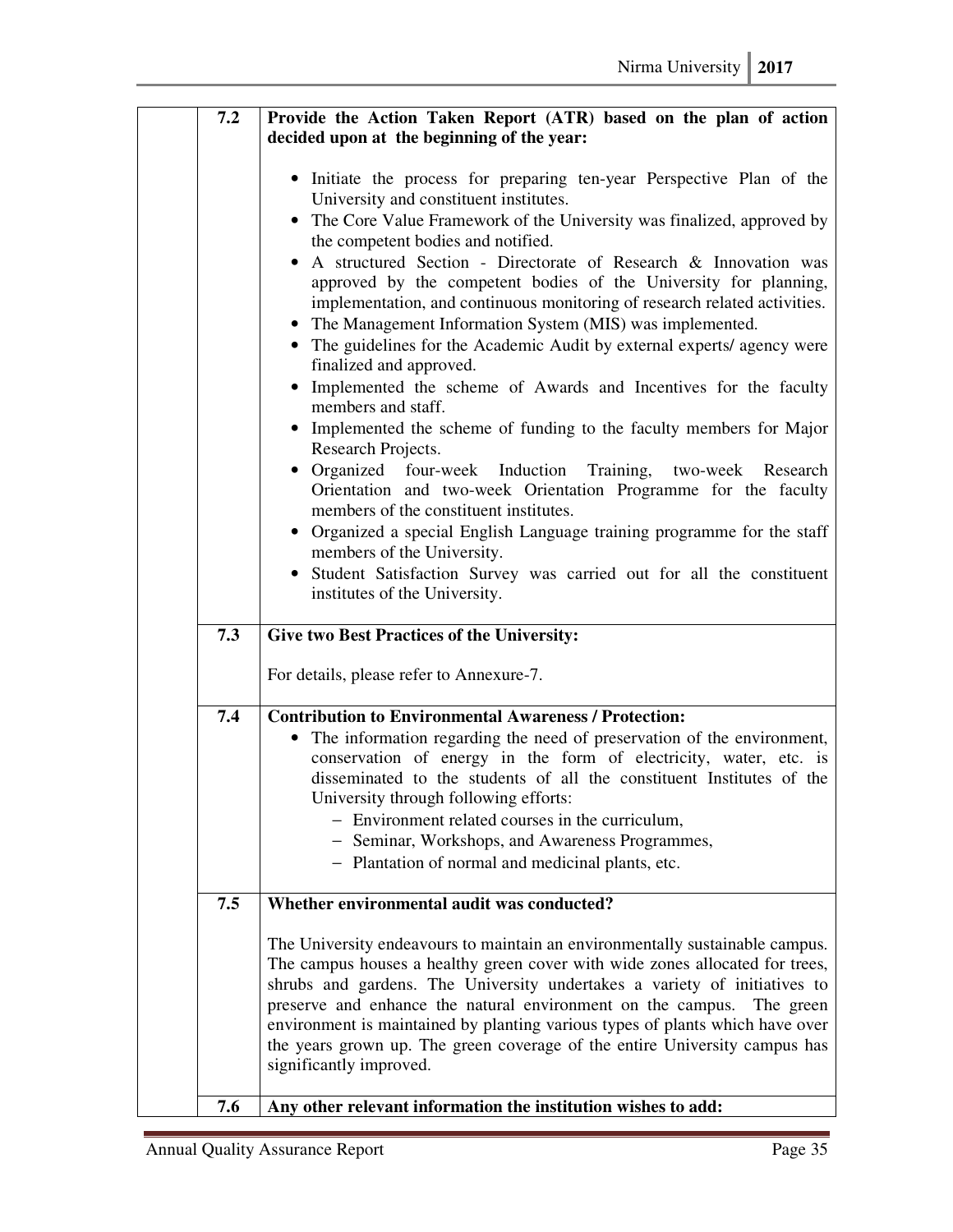| 7.2 | Provide the Action Taken Report (ATR) based on the plan of action<br>decided upon at the beginning of the year:                                                                                                                                                                                                                                                                                                                                                                                                                                                                                                                                                                                                                                                                                                                                                                                                                                                                                                                                                                                                                                                                                                  |
|-----|------------------------------------------------------------------------------------------------------------------------------------------------------------------------------------------------------------------------------------------------------------------------------------------------------------------------------------------------------------------------------------------------------------------------------------------------------------------------------------------------------------------------------------------------------------------------------------------------------------------------------------------------------------------------------------------------------------------------------------------------------------------------------------------------------------------------------------------------------------------------------------------------------------------------------------------------------------------------------------------------------------------------------------------------------------------------------------------------------------------------------------------------------------------------------------------------------------------|
|     | • Initiate the process for preparing ten-year Perspective Plan of the<br>University and constituent institutes.<br>• The Core Value Framework of the University was finalized, approved by<br>the competent bodies and notified.<br>• A structured Section - Directorate of Research & Innovation was<br>approved by the competent bodies of the University for planning,<br>implementation, and continuous monitoring of research related activities.<br>• The Management Information System (MIS) was implemented.<br>• The guidelines for the Academic Audit by external experts/ agency were<br>finalized and approved.<br>Implemented the scheme of Awards and Incentives for the faculty<br>members and staff.<br>• Implemented the scheme of funding to the faculty members for Major<br>Research Projects.<br>· Organized four-week Induction Training, two-week Research<br>Orientation and two-week Orientation Programme for the faculty<br>members of the constituent institutes.<br>• Organized a special English Language training programme for the staff<br>members of the University.<br>• Student Satisfaction Survey was carried out for all the constituent<br>institutes of the University. |
| 7.3 | <b>Give two Best Practices of the University:</b><br>For details, please refer to Annexure-7.                                                                                                                                                                                                                                                                                                                                                                                                                                                                                                                                                                                                                                                                                                                                                                                                                                                                                                                                                                                                                                                                                                                    |
| 7.4 | <b>Contribution to Environmental Awareness / Protection:</b><br>• The information regarding the need of preservation of the environment,<br>conservation of energy in the form of electricity, water, etc. is<br>disseminated to the students of all the constituent Institutes of the<br>University through following efforts:<br>- Environment related courses in the curriculum,<br>- Seminar, Workshops, and Awareness Programmes,<br>- Plantation of normal and medicinal plants, etc.                                                                                                                                                                                                                                                                                                                                                                                                                                                                                                                                                                                                                                                                                                                      |
| 7.5 | Whether environmental audit was conducted?<br>The University endeavours to maintain an environmentally sustainable campus.<br>The campus houses a healthy green cover with wide zones allocated for trees,<br>shrubs and gardens. The University undertakes a variety of initiatives to<br>preserve and enhance the natural environment on the campus. The green<br>environment is maintained by planting various types of plants which have over<br>the years grown up. The green coverage of the entire University campus has<br>significantly improved.                                                                                                                                                                                                                                                                                                                                                                                                                                                                                                                                                                                                                                                       |
| 7.6 | Any other relevant information the institution wishes to add:                                                                                                                                                                                                                                                                                                                                                                                                                                                                                                                                                                                                                                                                                                                                                                                                                                                                                                                                                                                                                                                                                                                                                    |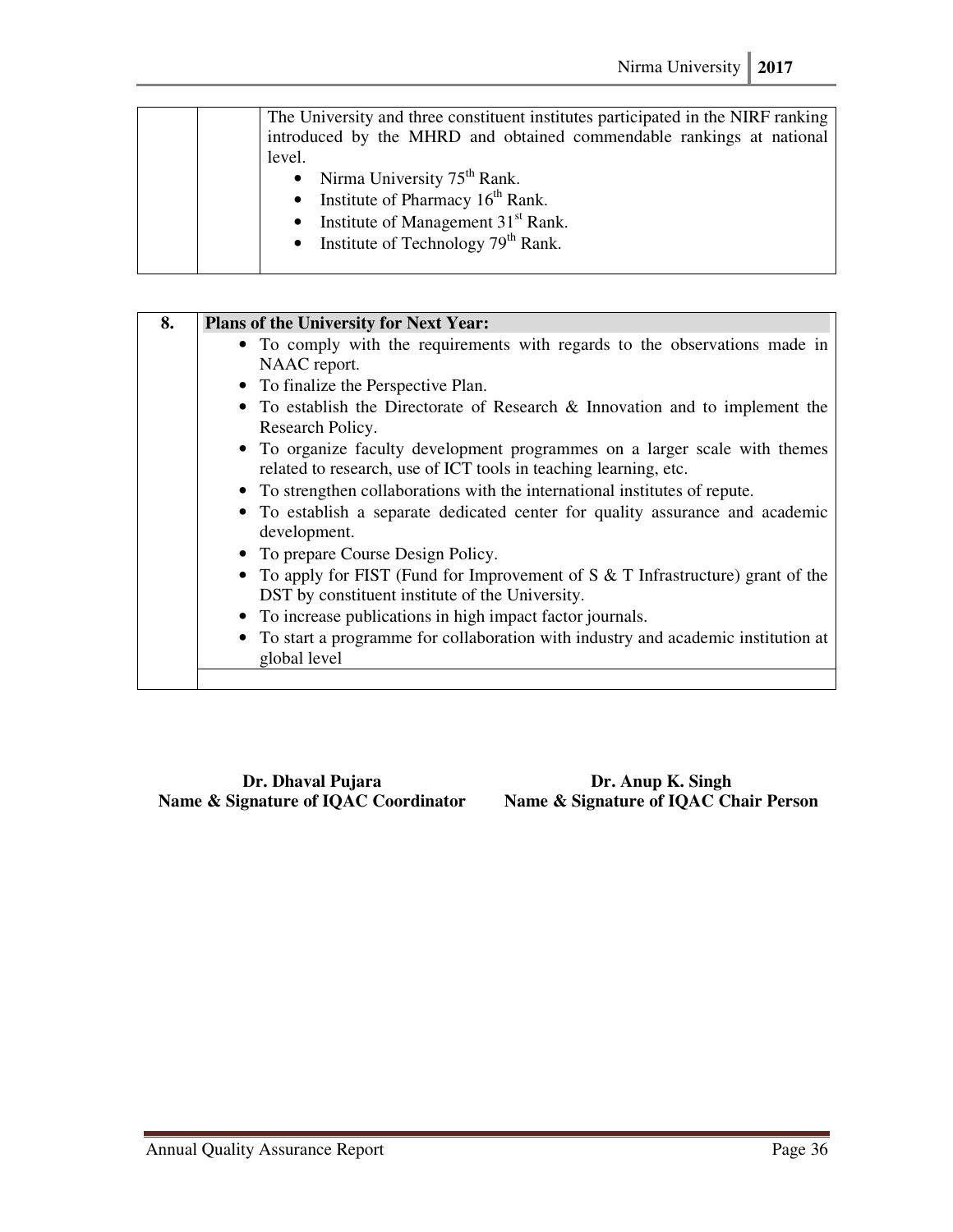| The University and three constituent institutes participated in the NIRF ranking |
|----------------------------------------------------------------------------------|
| introduced by the MHRD and obtained commendable rankings at national             |
| level.                                                                           |
| • Nirma University $75th$ Rank.                                                  |
| • Institute of Pharmacy $16th$ Rank.                                             |
| • Institute of Management $31st$ Rank.                                           |
| • Institute of Technology $79th Rank$ .                                          |
|                                                                                  |

| 8. | Plans of the University for Next Year:                                                                                                         |
|----|------------------------------------------------------------------------------------------------------------------------------------------------|
|    | • To comply with the requirements with regards to the observations made in                                                                     |
|    | NAAC report.                                                                                                                                   |
|    | • To finalize the Perspective Plan.                                                                                                            |
|    | • To establish the Directorate of Research & Innovation and to implement the<br>Research Policy.                                               |
|    | • To organize faculty development programmes on a larger scale with themes<br>related to research, use of ICT tools in teaching learning, etc. |
|    | • To strengthen collaborations with the international institutes of repute.                                                                    |
|    | • To establish a separate dedicated center for quality assurance and academic<br>development.                                                  |
|    | • To prepare Course Design Policy.                                                                                                             |
|    | • To apply for FIST (Fund for Improvement of S $&$ T Infrastructure) grant of the<br>DST by constituent institute of the University.           |
|    | • To increase publications in high impact factor journals.                                                                                     |
|    | • To start a programme for collaboration with industry and academic institution at<br>global level                                             |
|    |                                                                                                                                                |

**Dr. Dhaval Pujara Dr. Anup K. Singh** Name & Signature of IQAC Coordinator **Name & Signature of IQAC Chair Person**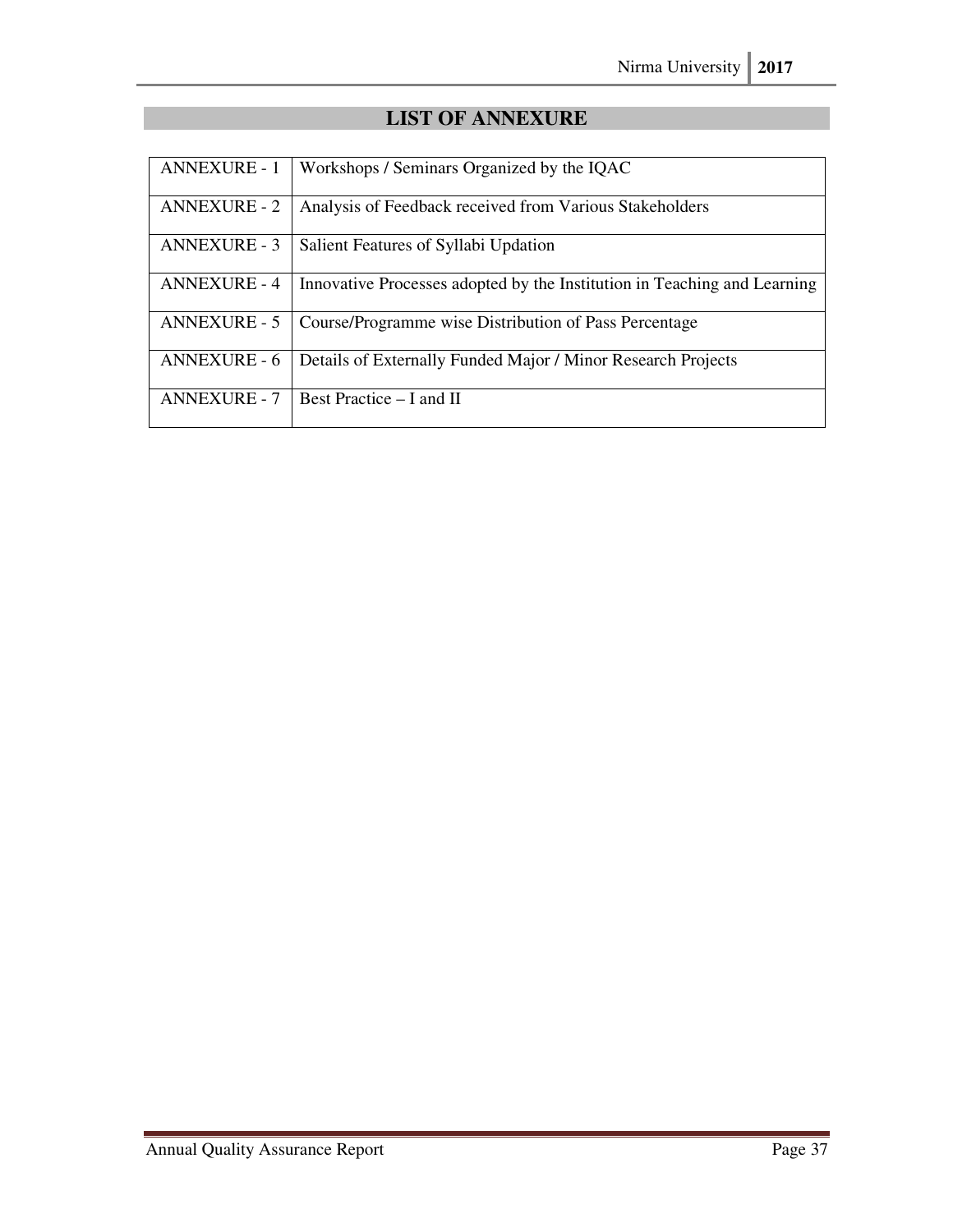| <b>ANNEXURE - 1</b> | Workshops / Seminars Organized by the IQAC                               |
|---------------------|--------------------------------------------------------------------------|
| <b>ANNEXURE - 2</b> | Analysis of Feedback received from Various Stakeholders                  |
| <b>ANNEXURE - 3</b> | Salient Features of Syllabi Updation                                     |
| <b>ANNEXURE - 4</b> | Innovative Processes adopted by the Institution in Teaching and Learning |
| <b>ANNEXURE - 5</b> | Course/Programme wise Distribution of Pass Percentage                    |
| ANNEXURE - 6        | Details of Externally Funded Major / Minor Research Projects             |
| <b>ANNEXURE - 7</b> | Best Practice – I and II                                                 |

# **LIST OF ANNEXURE**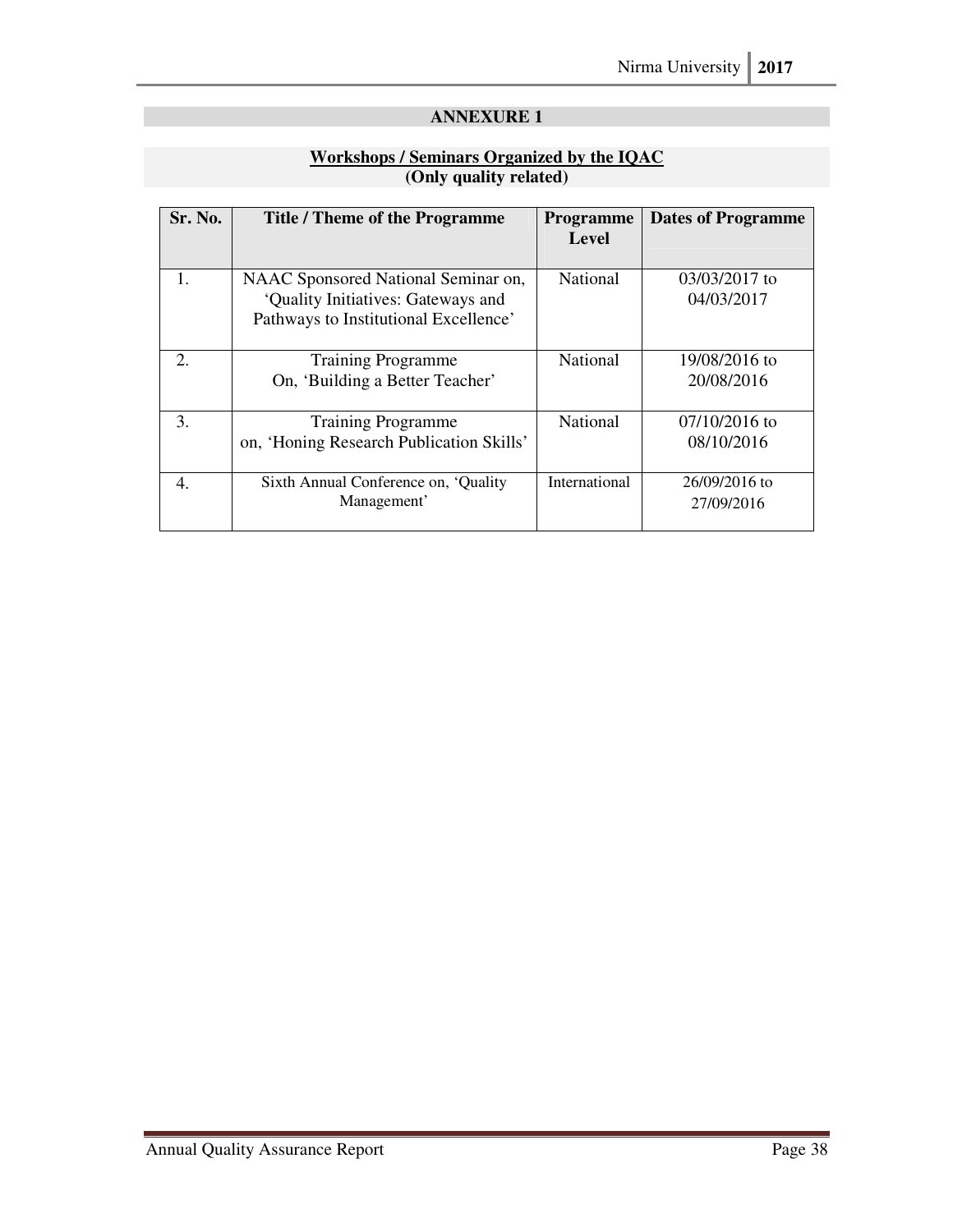#### **Workshops / Seminars Organized by the IQAC (Only quality related)**

| Sr. No. | <b>Title / Theme of the Programme</b>                                                                              | <b>Programme</b><br>Level | <b>Dates of Programme</b>   |
|---------|--------------------------------------------------------------------------------------------------------------------|---------------------------|-----------------------------|
| 1.      | NAAC Sponsored National Seminar on,<br>'Quality Initiatives: Gateways and<br>Pathways to Institutional Excellence' | National                  | 03/03/2017 to<br>04/03/2017 |
| 2.      | <b>Training Programme</b><br>On, 'Building a Better Teacher'                                                       | National                  | 19/08/2016 to<br>20/08/2016 |
| 3.      | <b>Training Programme</b><br>on, 'Honing Research Publication Skills'                                              | National                  | 07/10/2016 to<br>08/10/2016 |
| 4.      | Sixth Annual Conference on, 'Quality<br>Management'                                                                | International             | 26/09/2016 to<br>27/09/2016 |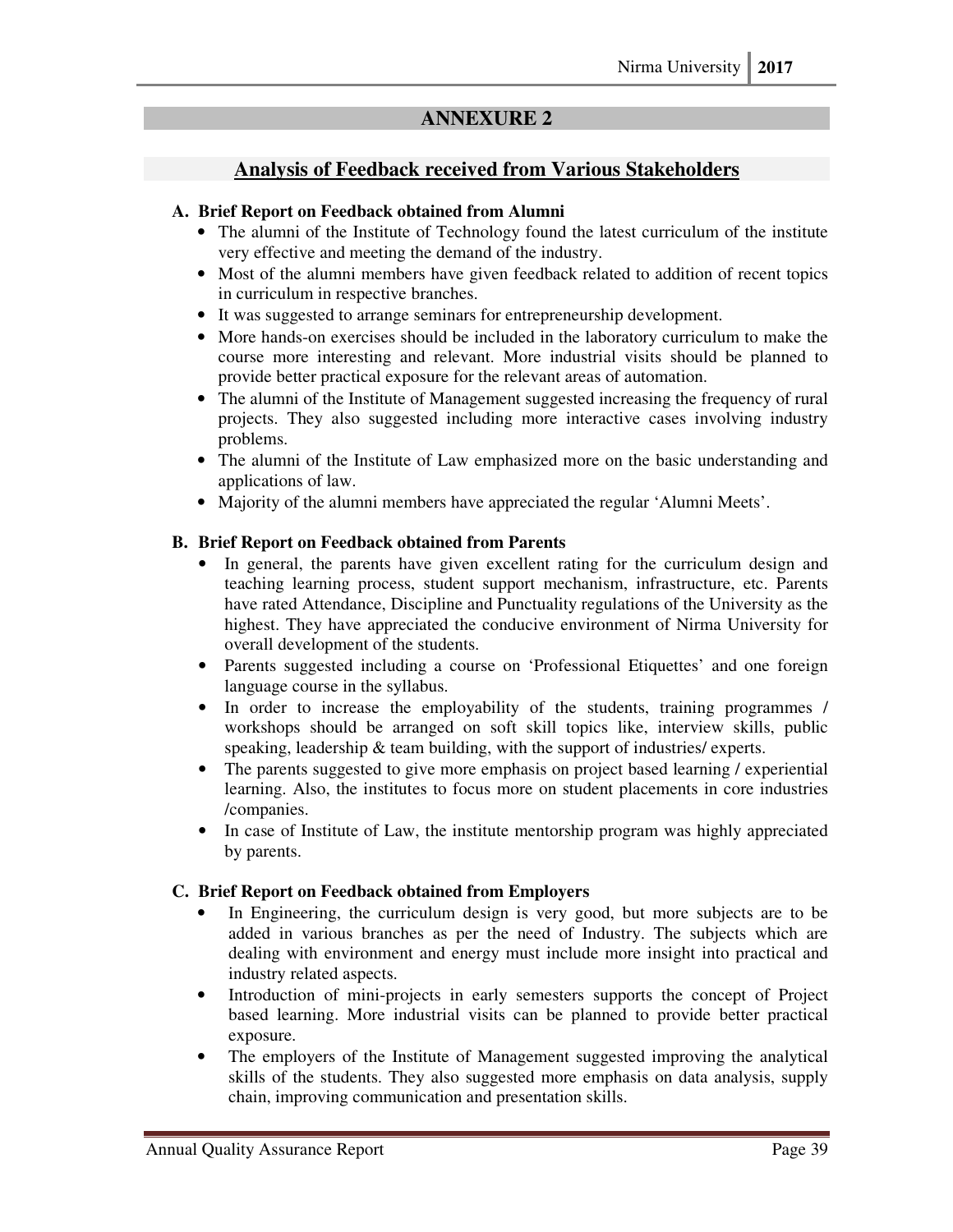# **Analysis of Feedback received from Various Stakeholders**

## **A. Brief Report on Feedback obtained from Alumni**

- The alumni of the Institute of Technology found the latest curriculum of the institute very effective and meeting the demand of the industry.
- Most of the alumni members have given feedback related to addition of recent topics in curriculum in respective branches.
- It was suggested to arrange seminars for entrepreneurship development.
- More hands-on exercises should be included in the laboratory curriculum to make the course more interesting and relevant. More industrial visits should be planned to provide better practical exposure for the relevant areas of automation.
- The alumni of the Institute of Management suggested increasing the frequency of rural projects. They also suggested including more interactive cases involving industry problems.
- The alumni of the Institute of Law emphasized more on the basic understanding and applications of law.
- Majority of the alumni members have appreciated the regular 'Alumni Meets'.

## **B. Brief Report on Feedback obtained from Parents**

- In general, the parents have given excellent rating for the curriculum design and teaching learning process, student support mechanism, infrastructure, etc. Parents have rated Attendance, Discipline and Punctuality regulations of the University as the highest. They have appreciated the conducive environment of Nirma University for overall development of the students.
- Parents suggested including a course on 'Professional Etiquettes' and one foreign language course in the syllabus.
- In order to increase the employability of the students, training programmes / workshops should be arranged on soft skill topics like, interview skills, public speaking, leadership & team building, with the support of industries/ experts.
- The parents suggested to give more emphasis on project based learning / experiential learning. Also, the institutes to focus more on student placements in core industries /companies.
- In case of Institute of Law, the institute mentorship program was highly appreciated by parents.

#### **C. Brief Report on Feedback obtained from Employers**

- In Engineering, the curriculum design is very good, but more subjects are to be added in various branches as per the need of Industry. The subjects which are dealing with environment and energy must include more insight into practical and industry related aspects.
- Introduction of mini-projects in early semesters supports the concept of Project based learning. More industrial visits can be planned to provide better practical exposure.
- The employers of the Institute of Management suggested improving the analytical skills of the students. They also suggested more emphasis on data analysis, supply chain, improving communication and presentation skills.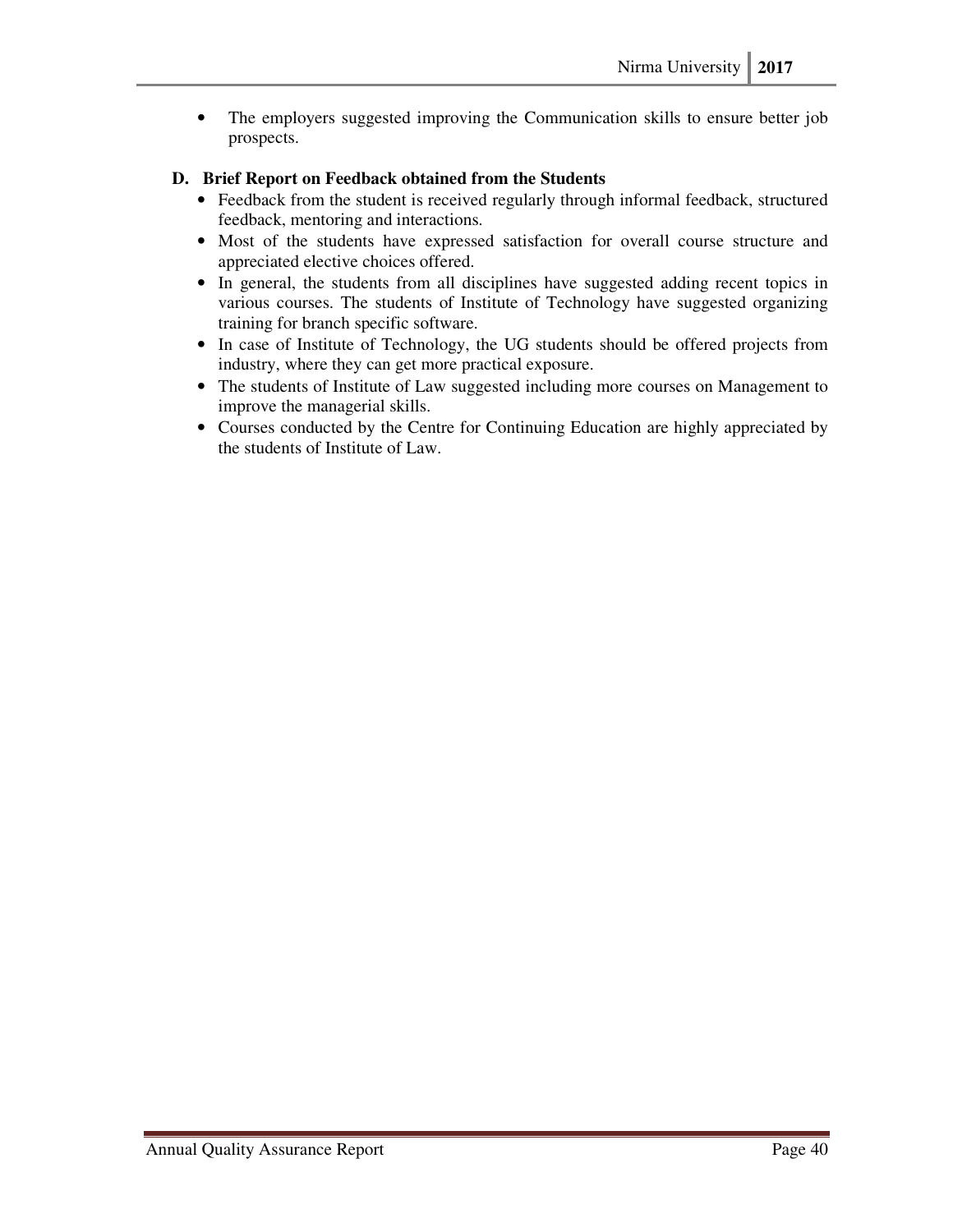• The employers suggested improving the Communication skills to ensure better job prospects.

## **D. Brief Report on Feedback obtained from the Students**

- Feedback from the student is received regularly through informal feedback, structured feedback, mentoring and interactions.
- Most of the students have expressed satisfaction for overall course structure and appreciated elective choices offered.
- In general, the students from all disciplines have suggested adding recent topics in various courses. The students of Institute of Technology have suggested organizing training for branch specific software.
- In case of Institute of Technology, the UG students should be offered projects from industry, where they can get more practical exposure.
- The students of Institute of Law suggested including more courses on Management to improve the managerial skills.
- Courses conducted by the Centre for Continuing Education are highly appreciated by the students of Institute of Law.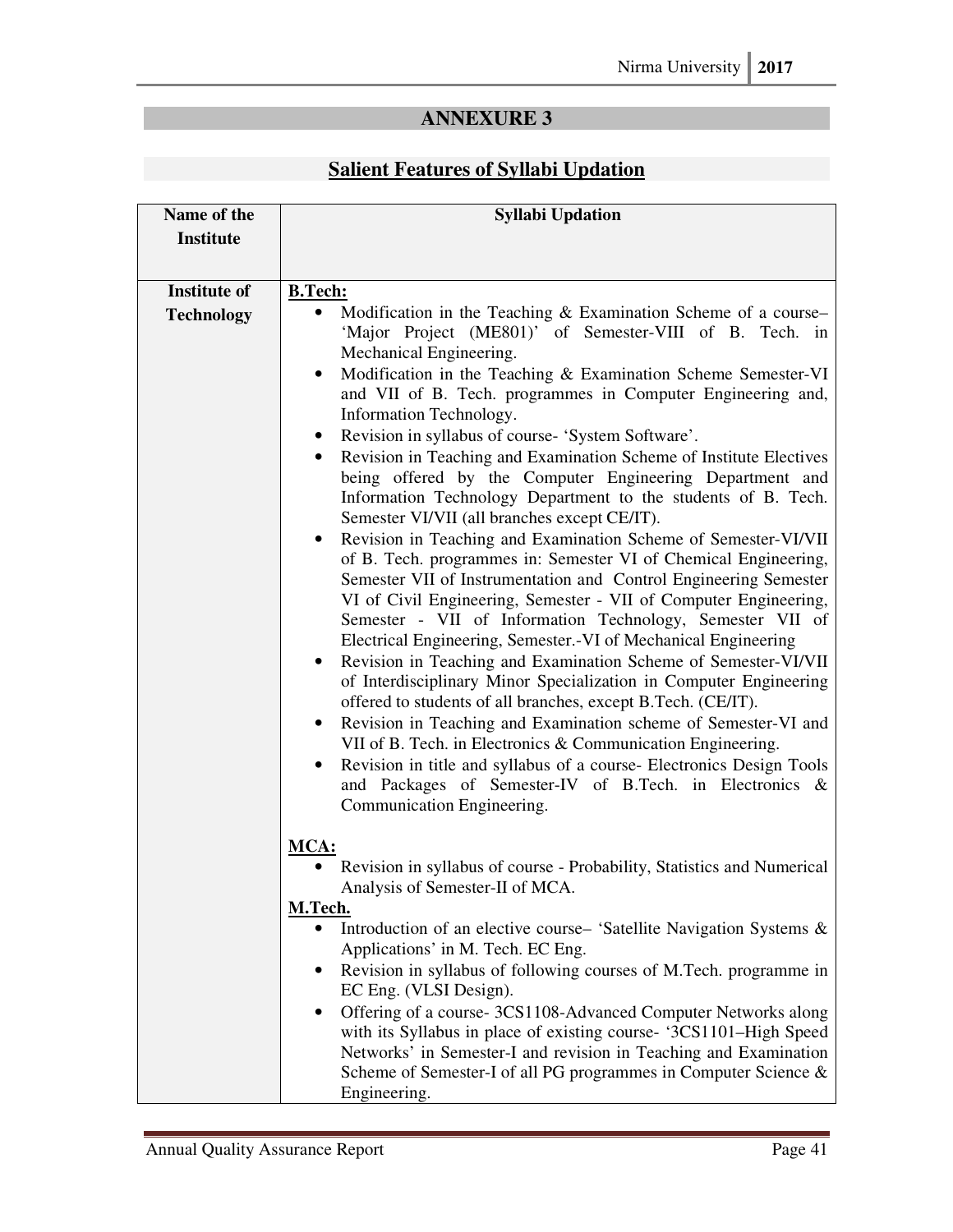# **Salient Features of Syllabi Updation**

| Name of the         | <b>Syllabi Updation</b>                                                                                                                |
|---------------------|----------------------------------------------------------------------------------------------------------------------------------------|
| <b>Institute</b>    |                                                                                                                                        |
|                     |                                                                                                                                        |
| <b>Institute of</b> |                                                                                                                                        |
|                     | <b>B.Tech:</b>                                                                                                                         |
| <b>Technology</b>   | Modification in the Teaching & Examination Scheme of a course-<br>$\bullet$<br>'Major Project (ME801)' of Semester-VIII of B. Tech. in |
|                     | Mechanical Engineering.                                                                                                                |
|                     | Modification in the Teaching & Examination Scheme Semester-VI<br>$\bullet$                                                             |
|                     | and VII of B. Tech. programmes in Computer Engineering and,                                                                            |
|                     | Information Technology.                                                                                                                |
|                     | Revision in syllabus of course- 'System Software'.<br>$\bullet$                                                                        |
|                     | Revision in Teaching and Examination Scheme of Institute Electives<br>$\bullet$                                                        |
|                     | being offered by the Computer Engineering Department and                                                                               |
|                     | Information Technology Department to the students of B. Tech.                                                                          |
|                     | Semester VI/VII (all branches except CE/IT).                                                                                           |
|                     | Revision in Teaching and Examination Scheme of Semester-VI/VII<br>$\bullet$                                                            |
|                     | of B. Tech. programmes in: Semester VI of Chemical Engineering,                                                                        |
|                     | Semester VII of Instrumentation and Control Engineering Semester                                                                       |
|                     | VI of Civil Engineering, Semester - VII of Computer Engineering,                                                                       |
|                     | Semester - VII of Information Technology, Semester VII of                                                                              |
|                     | Electrical Engineering, Semester.-VI of Mechanical Engineering                                                                         |
|                     | Revision in Teaching and Examination Scheme of Semester-VI/VII<br>of Interdisciplinary Minor Specialization in Computer Engineering    |
|                     | offered to students of all branches, except B.Tech. (CE/IT).                                                                           |
|                     | Revision in Teaching and Examination scheme of Semester-VI and<br>$\bullet$                                                            |
|                     | VII of B. Tech. in Electronics & Communication Engineering.                                                                            |
|                     | Revision in title and syllabus of a course- Electronics Design Tools<br>$\bullet$                                                      |
|                     | and Packages of Semester-IV of B.Tech. in Electronics &                                                                                |
|                     | Communication Engineering.                                                                                                             |
|                     |                                                                                                                                        |
|                     | MCA:                                                                                                                                   |
|                     | Revision in syllabus of course - Probability, Statistics and Numerical                                                                 |
|                     | Analysis of Semester-II of MCA.                                                                                                        |
|                     | M.Tech.                                                                                                                                |
|                     | Introduction of an elective course- 'Satellite Navigation Systems &<br>$\bullet$                                                       |
|                     | Applications' in M. Tech. EC Eng.                                                                                                      |
|                     | Revision in syllabus of following courses of M.Tech. programme in                                                                      |
|                     | EC Eng. (VLSI Design).                                                                                                                 |
|                     | Offering of a course-3CS1108-Advanced Computer Networks along<br>$\bullet$                                                             |
|                     | with its Syllabus in place of existing course- '3CS1101-High Speed<br>Networks' in Semester-I and revision in Teaching and Examination |
|                     | Scheme of Semester-I of all PG programmes in Computer Science &                                                                        |
|                     | Engineering.                                                                                                                           |
|                     |                                                                                                                                        |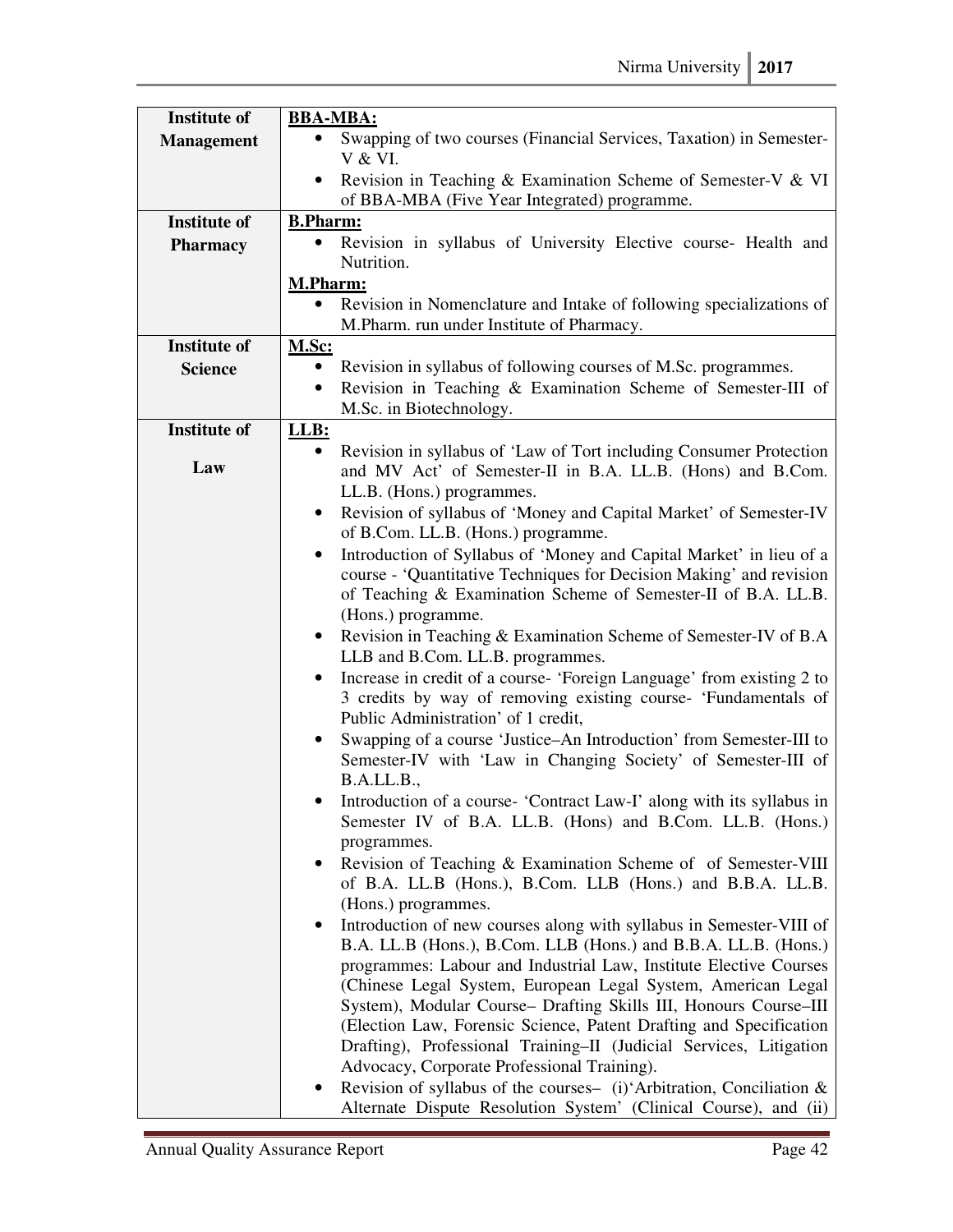| <b>Institute of</b> | <b>BBA-MBA:</b>                                                                                                                                                                             |  |
|---------------------|---------------------------------------------------------------------------------------------------------------------------------------------------------------------------------------------|--|
| <b>Management</b>   | Swapping of two courses (Financial Services, Taxation) in Semester-<br>V & VI.                                                                                                              |  |
|                     | Revision in Teaching & Examination Scheme of Semester-V & VI<br>$\bullet$<br>of BBA-MBA (Five Year Integrated) programme.                                                                   |  |
| <b>Institute of</b> | <b>B.Pharm:</b>                                                                                                                                                                             |  |
| <b>Pharmacy</b>     | Revision in syllabus of University Elective course- Health and<br>$\bullet$<br>Nutrition.                                                                                                   |  |
|                     | <b>M.Pharm:</b>                                                                                                                                                                             |  |
|                     | Revision in Nomenclature and Intake of following specializations of<br>M.Pharm. run under Institute of Pharmacy.                                                                            |  |
| <b>Institute of</b> | <u>M.Sc:</u>                                                                                                                                                                                |  |
| <b>Science</b>      | Revision in syllabus of following courses of M.Sc. programmes.<br>$\bullet$                                                                                                                 |  |
|                     | Revision in Teaching & Examination Scheme of Semester-III of<br>M.Sc. in Biotechnology.                                                                                                     |  |
| <b>Institute of</b> | LLB:                                                                                                                                                                                        |  |
| Law                 | Revision in syllabus of 'Law of Tort including Consumer Protection<br>$\bullet$<br>and MV Act' of Semester-II in B.A. LL.B. (Hons) and B.Com.<br>LL.B. (Hons.) programmes.                  |  |
|                     | Revision of syllabus of 'Money and Capital Market' of Semester-IV<br>$\bullet$<br>of B.Com. LL.B. (Hons.) programme.                                                                        |  |
|                     | Introduction of Syllabus of 'Money and Capital Market' in lieu of a<br>$\bullet$                                                                                                            |  |
|                     | course - 'Quantitative Techniques for Decision Making' and revision<br>of Teaching & Examination Scheme of Semester-II of B.A. LL.B.                                                        |  |
|                     | (Hons.) programme.                                                                                                                                                                          |  |
|                     | Revision in Teaching & Examination Scheme of Semester-IV of B.A<br>$\bullet$<br>LLB and B.Com. LL.B. programmes.                                                                            |  |
|                     | Increase in credit of a course- 'Foreign Language' from existing 2 to<br>$\bullet$<br>3 credits by way of removing existing course- 'Fundamentals of<br>Public Administration' of 1 credit, |  |
|                     | Swapping of a course 'Justice-An Introduction' from Semester-III to<br>$\bullet$                                                                                                            |  |
|                     | Semester-IV with 'Law in Changing Society' of Semester-III of<br>B.A.LL.B.,                                                                                                                 |  |
|                     | Introduction of a course- 'Contract Law-I' along with its syllabus in                                                                                                                       |  |
|                     | Semester IV of B.A. LL.B. (Hons) and B.Com. LL.B. (Hons.)<br>programmes.                                                                                                                    |  |
|                     | Revision of Teaching & Examination Scheme of of Semester-VIII<br>$\bullet$                                                                                                                  |  |
|                     | of B.A. LL.B (Hons.), B.Com. LLB (Hons.) and B.B.A. LL.B.<br>(Hons.) programmes.                                                                                                            |  |
|                     | Introduction of new courses along with syllabus in Semester-VIII of<br>$\bullet$                                                                                                            |  |
|                     | B.A. LL.B (Hons.), B.Com. LLB (Hons.) and B.B.A. LL.B. (Hons.)                                                                                                                              |  |
|                     | programmes: Labour and Industrial Law, Institute Elective Courses                                                                                                                           |  |
|                     | (Chinese Legal System, European Legal System, American Legal                                                                                                                                |  |
|                     | System), Modular Course- Drafting Skills III, Honours Course-III                                                                                                                            |  |
|                     | (Election Law, Forensic Science, Patent Drafting and Specification<br>Drafting), Professional Training-II (Judicial Services, Litigation                                                    |  |
|                     | Advocacy, Corporate Professional Training).                                                                                                                                                 |  |
|                     | Revision of syllabus of the courses- (i)'Arbitration, Conciliation &                                                                                                                        |  |
|                     | Alternate Dispute Resolution System' (Clinical Course), and (ii)                                                                                                                            |  |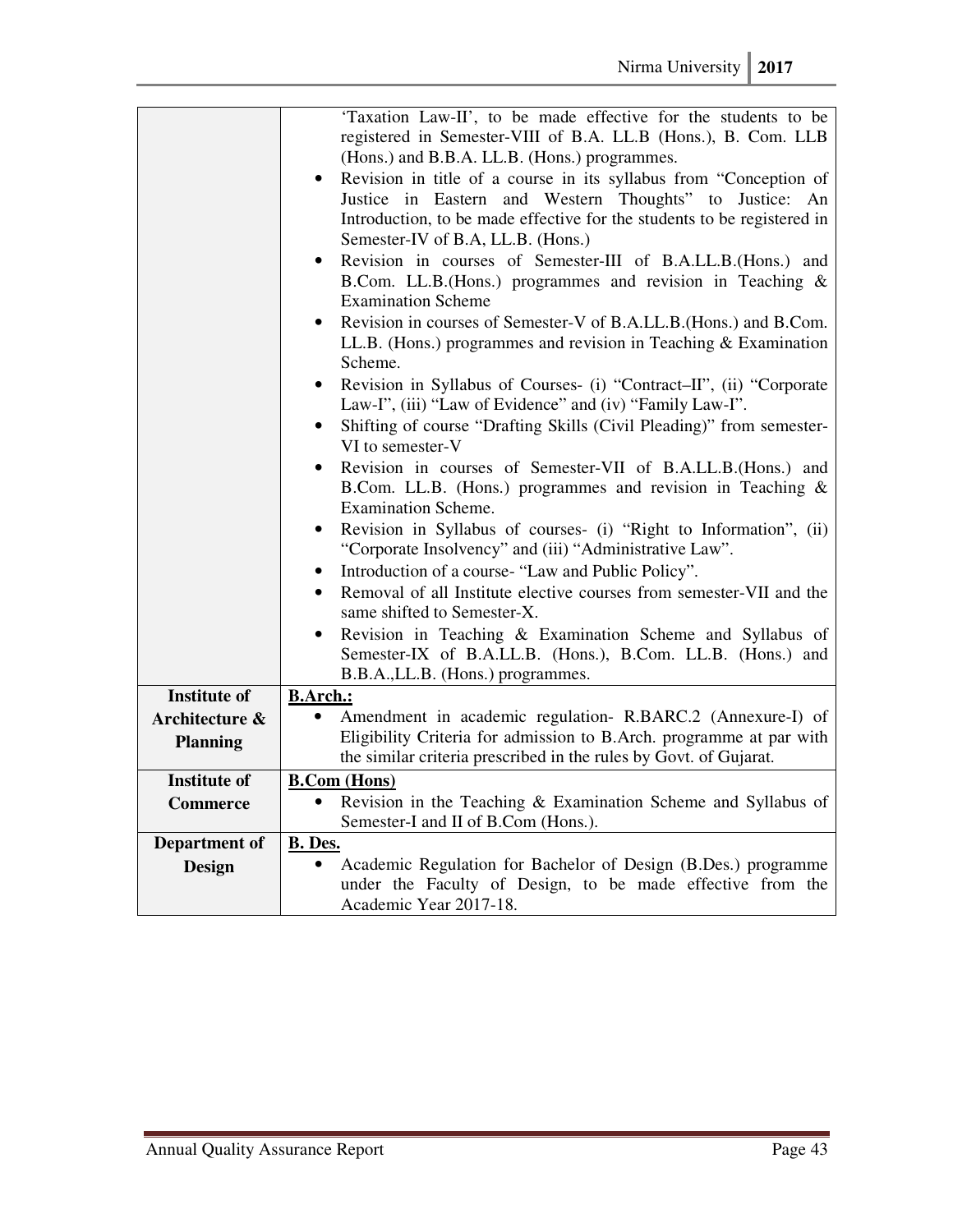|                     | 'Taxation Law-II', to be made effective for the students to be                    |
|---------------------|-----------------------------------------------------------------------------------|
|                     | registered in Semester-VIII of B.A. LL.B (Hons.), B. Com. LLB                     |
|                     | (Hons.) and B.B.A. LL.B. (Hons.) programmes.                                      |
|                     | Revision in title of a course in its syllabus from "Conception of<br>$\bullet$    |
|                     | Justice in Eastern and Western Thoughts" to Justice: An                           |
|                     | Introduction, to be made effective for the students to be registered in           |
|                     | Semester-IV of B.A, LL.B. (Hons.)                                                 |
|                     | Revision in courses of Semester-III of B.A.LL.B.(Hons.) and<br>$\bullet$          |
|                     | B.Com. LL.B. (Hons.) programmes and revision in Teaching &                        |
|                     | <b>Examination Scheme</b>                                                         |
|                     | Revision in courses of Semester-V of B.A.LL.B.(Hons.) and B.Com.<br>$\bullet$     |
|                     | LL.B. (Hons.) programmes and revision in Teaching $& Examination$                 |
|                     | Scheme.                                                                           |
|                     | Revision in Syllabus of Courses- (i) "Contract-II", (ii) "Corporate<br>$\bullet$  |
|                     | Law-I", (iii) "Law of Evidence" and (iv) "Family Law-I".                          |
|                     | Shifting of course "Drafting Skills (Civil Pleading)" from semester-<br>$\bullet$ |
|                     | VI to semester-V                                                                  |
|                     | Revision in courses of Semester-VII of B.A.LL.B.(Hons.) and<br>$\bullet$          |
|                     | B.Com. LL.B. (Hons.) programmes and revision in Teaching &                        |
|                     | <b>Examination Scheme.</b>                                                        |
|                     | Revision in Syllabus of courses- (i) "Right to Information", (ii)                 |
|                     | "Corporate Insolvency" and (iii) "Administrative Law".                            |
|                     | Introduction of a course- "Law and Public Policy".<br>$\bullet$                   |
|                     | Removal of all Institute elective courses from semester-VII and the<br>$\bullet$  |
|                     | same shifted to Semester-X.                                                       |
|                     | Revision in Teaching & Examination Scheme and Syllabus of                         |
|                     | Semester-IX of B.A.LL.B. (Hons.), B.Com. LL.B. (Hons.) and                        |
|                     | B.B.A., LL.B. (Hons.) programmes.                                                 |
| <b>Institute of</b> | <b>B.Arch.:</b>                                                                   |
| Architecture &      | Amendment in academic regulation- R.BARC.2 (Annexure-I) of<br>$\bullet$           |
| <b>Planning</b>     | Eligibility Criteria for admission to B.Arch. programme at par with               |
|                     | the similar criteria prescribed in the rules by Govt. of Gujarat.                 |
| <b>Institute of</b> | <b>B.Com</b> (Hons)                                                               |
| <b>Commerce</b>     | Revision in the Teaching & Examination Scheme and Syllabus of<br>$\bullet$        |
|                     | Semester-I and II of B.Com (Hons.).                                               |
| Department of       | B. Des.                                                                           |
| <b>Design</b>       | Academic Regulation for Bachelor of Design (B.Des.) programme                     |
|                     | under the Faculty of Design, to be made effective from the                        |
|                     | Academic Year 2017-18.                                                            |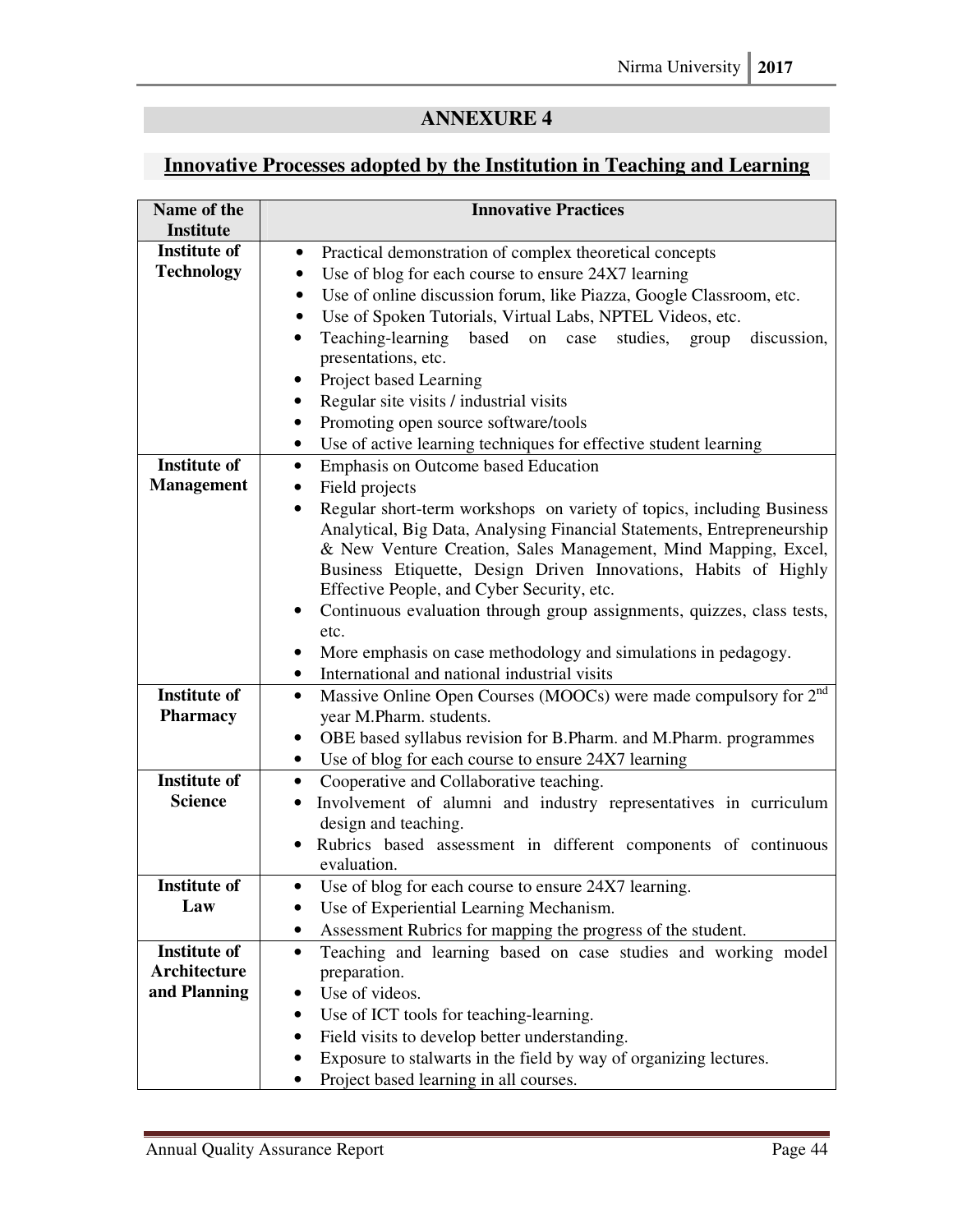# **Innovative Processes adopted by the Institution in Teaching and Learning**

| Name of the<br><b>Institute</b> | <b>Innovative Practices</b>                                                               |
|---------------------------------|-------------------------------------------------------------------------------------------|
| <b>Institute of</b>             | Practical demonstration of complex theoretical concepts<br>$\bullet$                      |
| <b>Technology</b>               | Use of blog for each course to ensure 24X7 learning                                       |
|                                 | Use of online discussion forum, like Piazza, Google Classroom, etc.<br>$\bullet$          |
|                                 |                                                                                           |
|                                 | Use of Spoken Tutorials, Virtual Labs, NPTEL Videos, etc.<br>$\bullet$                    |
|                                 | Teaching-learning<br>based on<br>case<br>studies,<br>group<br>discussion,                 |
|                                 | presentations, etc.                                                                       |
|                                 | Project based Learning                                                                    |
|                                 | Regular site visits / industrial visits<br>٠                                              |
|                                 | Promoting open source software/tools                                                      |
|                                 | Use of active learning techniques for effective student learning<br>$\bullet$             |
| <b>Institute of</b>             | Emphasis on Outcome based Education<br>$\bullet$                                          |
| <b>Management</b>               | Field projects<br>$\bullet$                                                               |
|                                 | Regular short-term workshops on variety of topics, including Business<br>$\bullet$        |
|                                 | Analytical, Big Data, Analysing Financial Statements, Entrepreneurship                    |
|                                 | & New Venture Creation, Sales Management, Mind Mapping, Excel,                            |
|                                 | Business Etiquette, Design Driven Innovations, Habits of Highly                           |
|                                 | Effective People, and Cyber Security, etc.                                                |
|                                 | Continuous evaluation through group assignments, quizzes, class tests,                    |
|                                 | etc.                                                                                      |
|                                 | More emphasis on case methodology and simulations in pedagogy.<br>٠                       |
|                                 | International and national industrial visits<br>٠                                         |
| <b>Institute of</b>             | Massive Online Open Courses (MOOCs) were made compulsory for 2 <sup>nd</sup><br>$\bullet$ |
| <b>Pharmacy</b>                 | year M.Pharm. students.                                                                   |
|                                 | OBE based syllabus revision for B.Pharm. and M.Pharm. programmes                          |
|                                 | Use of blog for each course to ensure 24X7 learning                                       |
| <b>Institute of</b>             | Cooperative and Collaborative teaching.<br>$\bullet$                                      |
| <b>Science</b>                  | Involvement of alumni and industry representatives in curriculum                          |
|                                 | design and teaching.                                                                      |
|                                 | Rubrics based assessment in different components of continuous                            |
|                                 | evaluation.                                                                               |
| <b>Institute of</b>             | Use of blog for each course to ensure 24X7 learning.<br>$\bullet$                         |
| Law                             | Use of Experiential Learning Mechanism.                                                   |
|                                 | Assessment Rubrics for mapping the progress of the student.                               |
| <b>Institute of</b>             | Teaching and learning based on case studies and working model<br>$\bullet$                |
| <b>Architecture</b>             | preparation.                                                                              |
| and Planning                    | Use of videos.                                                                            |
|                                 | Use of ICT tools for teaching-learning.<br>٠                                              |
|                                 | Field visits to develop better understanding.                                             |
|                                 | Exposure to stalwarts in the field by way of organizing lectures.                         |
|                                 | Project based learning in all courses.                                                    |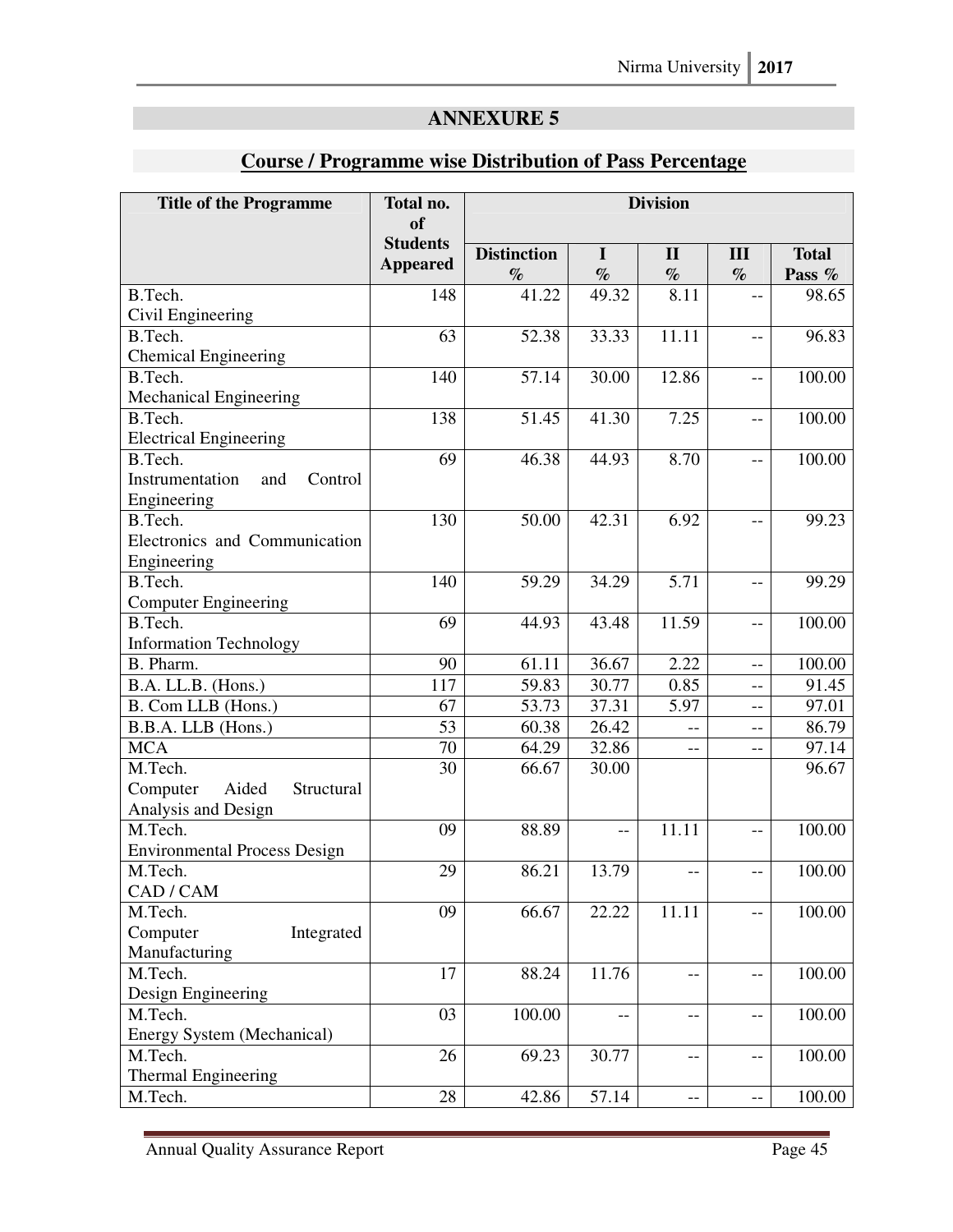# **Course / Programme wise Distribution of Pass Percentage**

| <b>Title of the Programme</b>       | Total no.       | <b>Division</b>    |             |                          |                   |              |
|-------------------------------------|-----------------|--------------------|-------------|--------------------------|-------------------|--------------|
|                                     | <b>of</b>       |                    |             |                          |                   |              |
|                                     | <b>Students</b> | <b>Distinction</b> | $\mathbf I$ | $\mathbf{I}$             | III               | <b>Total</b> |
|                                     | <b>Appeared</b> | $\%$               | $\%$        | $\%$                     | $\%$              | Pass %       |
| B.Tech.                             | 148             | 41.22              | 49.32       | 8.11                     | $-$               | 98.65        |
| Civil Engineering                   |                 |                    |             |                          |                   |              |
| B.Tech.                             | 63              | 52.38              | 33.33       | 11.11                    | $-$               | 96.83        |
| <b>Chemical Engineering</b>         |                 |                    |             |                          |                   |              |
| B.Tech.                             | 140             | 57.14              | 30.00       | 12.86                    | $-$               | 100.00       |
| Mechanical Engineering              |                 |                    |             |                          |                   |              |
| B.Tech.                             | 138             | 51.45              | 41.30       | 7.25                     | $-$               | 100.00       |
| <b>Electrical Engineering</b>       |                 |                    |             |                          |                   |              |
| B.Tech.                             | 69              | 46.38              | 44.93       | 8.70                     | $-$               | 100.00       |
| Instrumentation<br>and<br>Control   |                 |                    |             |                          |                   |              |
| Engineering                         |                 |                    |             |                          |                   |              |
| B.Tech.                             | 130             | 50.00              | 42.31       | 6.92                     | $-$               | 99.23        |
| Electronics and Communication       |                 |                    |             |                          |                   |              |
| Engineering                         |                 |                    |             |                          |                   |              |
| B.Tech.                             | 140             | 59.29              | 34.29       | $\overline{5.71}$        | $-$               | 99.29        |
| <b>Computer Engineering</b>         |                 |                    |             |                          |                   |              |
| B.Tech.                             | 69              | 44.93              | 43.48       | 11.59                    | $-$               | 100.00       |
| <b>Information Technology</b>       |                 |                    |             |                          |                   |              |
| B. Pharm.                           | 90              | 61.11              | 36.67       | 2.22                     | $-$               | 100.00       |
| B.A. LL.B. (Hons.)                  | 117             | 59.83              | 30.77       | 0.85                     | $-$               | 91.45        |
| B. Com LLB (Hons.)                  | 67              | 53.73              | 37.31       | 5.97                     | $-$               | 97.01        |
| B.B.A. LLB (Hons.)                  | 53              | 60.38              | 26.42       |                          |                   | 86.79        |
| <b>MCA</b>                          | 70              | 64.29              | 32.86       |                          | $-$               | 97.14        |
| M.Tech.                             | 30              | 66.67              | 30.00       |                          |                   | 96.67        |
| Aided<br>Computer<br>Structural     |                 |                    |             |                          |                   |              |
| Analysis and Design                 |                 |                    |             |                          |                   |              |
| M.Tech.                             | 09              | 88.89              | $-$         | 11.11                    | $-$               | 100.00       |
| <b>Environmental Process Design</b> |                 |                    |             |                          |                   |              |
| M.Tech.                             | 29              | 86.21              | 13.79       | $-$                      | $-$               | 100.00       |
| CAD / CAM                           |                 |                    |             |                          |                   |              |
| M.Tech.                             | 09              | 66.67              | 22.22       | 11.11                    | $-$               | 100.00       |
| Computer<br>Integrated              |                 |                    |             |                          |                   |              |
| Manufacturing                       |                 |                    |             |                          |                   |              |
| M.Tech.                             | 17              | 88.24              | 11.76       | $- -$                    | $\qquad \qquad -$ | 100.00       |
| Design Engineering                  |                 |                    |             |                          |                   |              |
| M.Tech.                             | 03              | 100.00             | --          | $\overline{\phantom{m}}$ | $\qquad \qquad -$ | 100.00       |
| Energy System (Mechanical)          |                 |                    |             |                          |                   |              |
| M.Tech.                             | 26              | 69.23              | 30.77       | $-$                      | $-$               | 100.00       |
| <b>Thermal Engineering</b>          |                 |                    |             |                          |                   |              |
| M.Tech.                             | 28              | 42.86              | 57.14       | $-$                      | $-$               | 100.00       |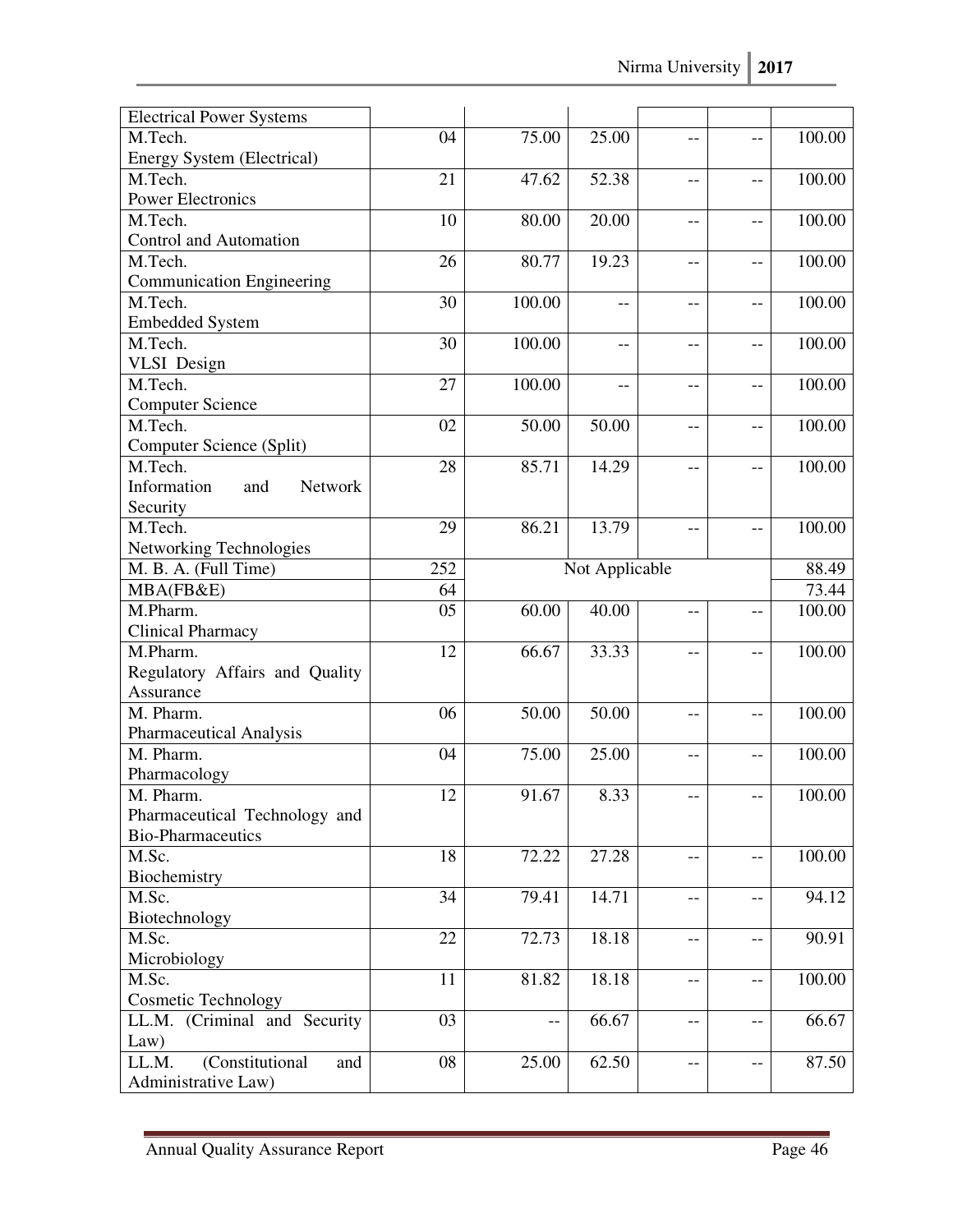| <b>Electrical Power Systems</b>              |     |                          |       |     |       |        |
|----------------------------------------------|-----|--------------------------|-------|-----|-------|--------|
| M.Tech.                                      | 04  | 75.00                    | 25.00 | --  | --    | 100.00 |
|                                              |     |                          |       |     |       |        |
| <b>Energy System (Electrical)</b><br>M.Tech. | 21  | 47.62                    | 52.38 |     |       | 100.00 |
|                                              |     |                          |       | $-$ | --    |        |
| <b>Power Electronics</b>                     |     |                          |       |     |       |        |
| M.Tech.                                      | 10  | 80.00                    | 20.00 | --  | --    | 100.00 |
| Control and Automation                       |     |                          |       |     |       |        |
| M.Tech.                                      | 26  | 80.77                    | 19.23 | $-$ | --    | 100.00 |
| <b>Communication Engineering</b>             |     |                          |       |     |       |        |
| M.Tech.                                      | 30  | 100.00                   | $-$   | $-$ | --    | 100.00 |
| <b>Embedded System</b>                       |     |                          |       |     |       |        |
| M.Tech.                                      | 30  | 100.00                   | $-$   | --  | $-$   | 100.00 |
| VLSI Design                                  |     |                          |       |     |       |        |
| M.Tech.                                      | 27  | 100.00                   | $-$   | $-$ | $-$   | 100.00 |
| <b>Computer Science</b>                      |     |                          |       |     |       |        |
| $\overline{M}$ . Tech.                       | 02  | 50.00                    | 50.00 | --  | --    | 100.00 |
| Computer Science (Split)                     |     |                          |       |     |       |        |
| M.Tech.                                      | 28  | 85.71                    | 14.29 | --  | --    | 100.00 |
| Information<br>Network<br>and                |     |                          |       |     |       |        |
| Security                                     |     |                          |       |     |       |        |
| M.Tech.                                      | 29  | 86.21                    | 13.79 | --  | --    | 100.00 |
| <b>Networking Technologies</b>               |     |                          |       |     |       |        |
|                                              |     |                          |       |     |       |        |
| M. B. A. (Full Time)                         | 252 | Not Applicable           |       |     | 88.49 |        |
| MBA(FB&E)                                    | 64  |                          |       |     |       | 73.44  |
| M.Pharm.                                     | 05  | 60.00                    | 40.00 | $-$ | --    | 100.00 |
| <b>Clinical Pharmacy</b>                     |     |                          |       |     |       |        |
| M.Pharm.                                     | 12  | 66.67                    | 33.33 | --  | --    | 100.00 |
| Regulatory Affairs and Quality               |     |                          |       |     |       |        |
| Assurance                                    |     |                          |       |     |       |        |
| M. Pharm.                                    | 06  | 50.00                    | 50.00 | --  | --    | 100.00 |
| <b>Pharmaceutical Analysis</b>               |     |                          |       |     |       |        |
| M. Pharm.                                    | 04  | 75.00                    | 25.00 | --  | --    | 100.00 |
| Pharmacology                                 |     |                          |       |     |       |        |
| M. Pharm                                     | 12  | 91.67                    | 8.33  | --  | --    | 100.00 |
| Pharmaceutical Technology and                |     |                          |       |     |       |        |
| <b>Bio-Pharmaceutics</b>                     |     |                          |       |     |       |        |
| M.Sc.                                        | 18  | 72.22                    | 27.28 | --  | $-$   | 100.00 |
| Biochemistry                                 |     |                          |       |     |       |        |
| M.Sc.                                        | 34  | 79.41                    |       |     |       |        |
|                                              |     |                          | 14.71 | $-$ | $-$   | 94.12  |
| Biotechnology                                |     |                          |       |     |       |        |
| M.Sc.                                        | 22  | 72.73                    | 18.18 | $-$ | --    | 90.91  |
| Microbiology                                 |     |                          |       |     |       |        |
| M.Sc.                                        | 11  | 81.82                    | 18.18 | $-$ | --    | 100.00 |
| <b>Cosmetic Technology</b>                   |     |                          |       |     |       |        |
| LL.M. (Criminal and Security                 | 03  | $\overline{\phantom{m}}$ | 66.67 | $-$ | $-$   | 66.67  |
| Law)                                         |     |                          |       |     |       |        |
| (Constitutional<br>LL.M.<br>and              | 08  | 25.00                    | 62.50 | --  | --    | 87.50  |
| Administrative Law)                          |     |                          |       |     |       |        |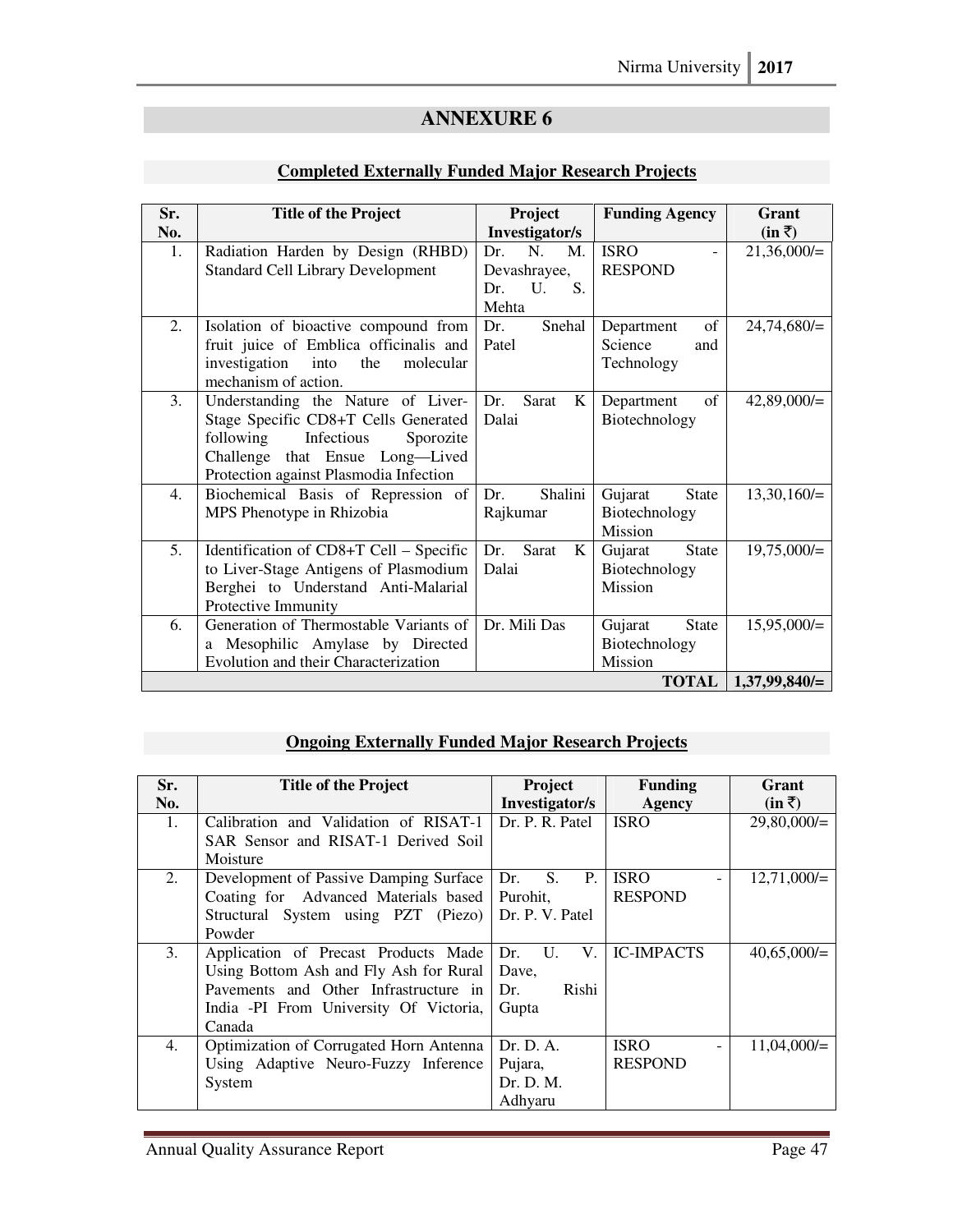#### **Sr. No.**  Title of the Project **Project Investigator/s**  Funding Agency Grant **(in** `**)**  1. Radiation Harden by Design (RHBD) Standard Cell Library Development Dr. N. M. Devashrayee, Dr. U. S. Mehta ISRO - RESPOND  $21,36,000/=$ 2. Isolation of bioactive compound from fruit juice of Emblica officinalis and investigation into the molecular mechanism of action. Dr. Snehal Patel Department of Science and Technology  $24,74,680/=$ 3. Understanding the Nature of Liver-Stage Specific CD8+T Cells Generated<br>following Infectious Sporozite Infectious Sporozite Challenge that Ensue Long—Lived Protection against Plasmodia Infection Dr. Sarat K Dalai Department of Biotechnology 42,89,000/= 4. Biochemical Basis of Repression of MPS Phenotype in Rhizobia Dr. Shalini Rajkumar Gujarat State Biotechnology Mission 13,30,160/= 5. Identification of CD8+T Cell – Specific to Liver-Stage Antigens of Plasmodium Berghei to Understand Anti-Malarial Protective Immunity Dr. Sarat K Dalai Gujarat State Biotechnology Mission  $19,75,000/\equiv$ 6. Generation of Thermostable Variants of a Mesophilic Amylase by Directed Evolution and their Characterization Dr. Mili Das Gujarat State Biotechnology Mission  $15,95,000/=$ **TOTAL 1,37,99,840/=**

## **Completed Externally Funded Major Research Projects**

#### **Ongoing Externally Funded Major Research Projects**

| Sr.<br>No. | <b>Title of the Project</b>             | Project<br>Investigator/s | <b>Funding</b><br><b>Agency</b> | Grant<br>$(in \bar{z})$ |
|------------|-----------------------------------------|---------------------------|---------------------------------|-------------------------|
| 1.         | Calibration and Validation of RISAT-1   | Dr. P. R. Patel           | <b>ISRO</b>                     | 29,80,000/              |
|            | SAR Sensor and RISAT-1 Derived Soil     |                           |                                 |                         |
|            | Moisture                                |                           |                                 |                         |
| 2.         | Development of Passive Damping Surface  | S.<br>P.<br>Dr.           | <b>ISRO</b>                     | $12,71,000/=$           |
|            | Coating for Advanced Materials based    | Purohit,                  | <b>RESPOND</b>                  |                         |
|            | Structural System using PZT (Piezo)     | Dr. P. V. Patel           |                                 |                         |
|            |                                         |                           |                                 |                         |
|            | Powder                                  |                           |                                 |                         |
| 3.         | Application of Precast Products Made    | $V_{\cdot}$<br>$Dr.$ U.   | <b>IC-IMPACTS</b>               | 40,65,000/              |
|            | Using Bottom Ash and Fly Ash for Rural  | Dave,                     |                                 |                         |
|            | Pavements and Other Infrastructure in   | Rishi<br>$Dr_{\perp}$     |                                 |                         |
|            | India -PI From University Of Victoria,  | Gupta                     |                                 |                         |
|            | Canada                                  |                           |                                 |                         |
| 4.         | Optimization of Corrugated Horn Antenna | Dr. D. A.                 | <b>ISRO</b><br>-                | $11,04,000/=$           |
|            | Using Adaptive Neuro-Fuzzy Inference    | Pujara,                   | <b>RESPOND</b>                  |                         |
|            | System                                  | Dr. D. M.                 |                                 |                         |
|            |                                         | Adhyaru                   |                                 |                         |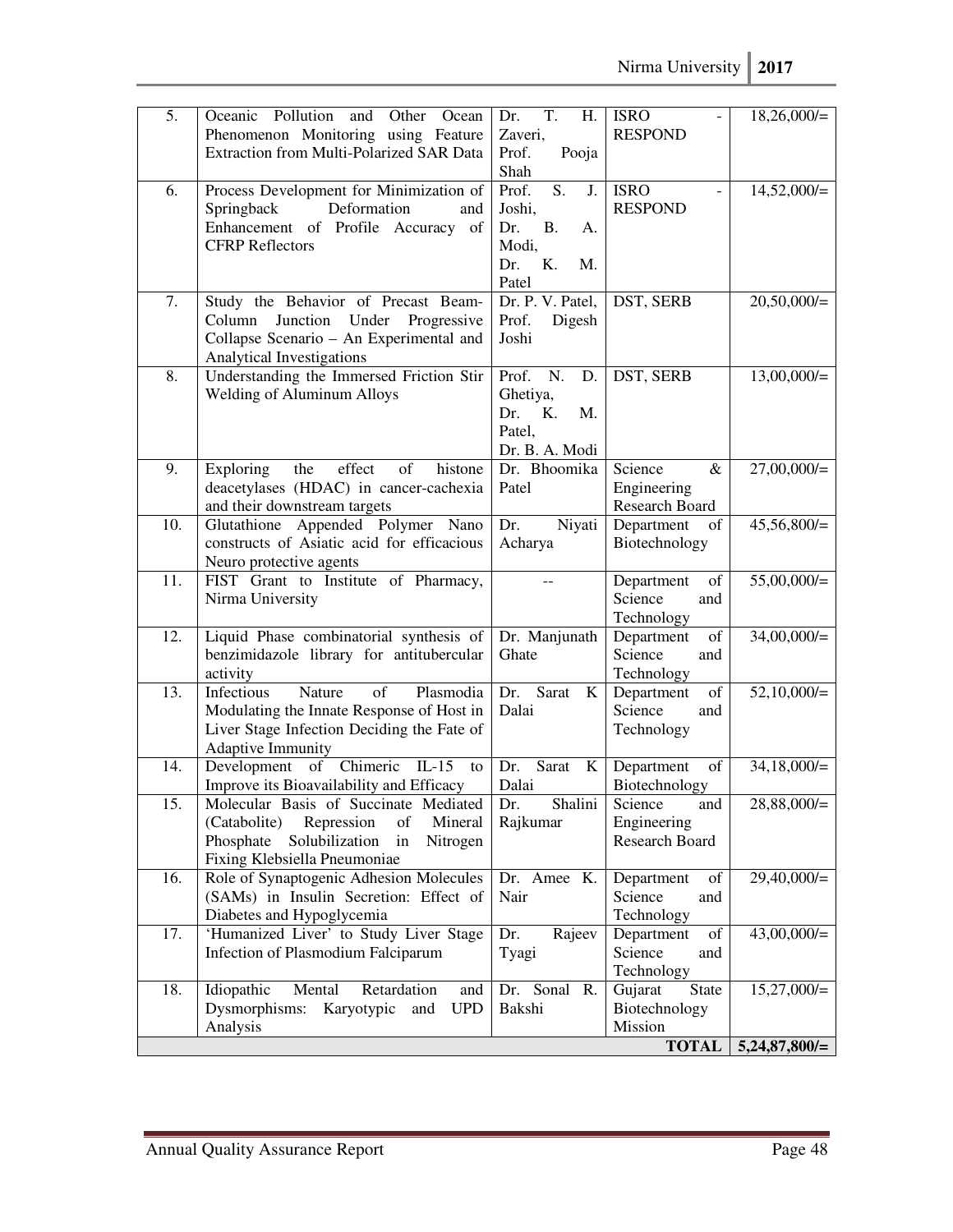| 5.  | Oceanic Pollution<br>and<br>Other<br>Ocean                                          | T.<br>Dr.<br>Н.                 | <b>ISRO</b>                  | $18,26,000/=$   |
|-----|-------------------------------------------------------------------------------------|---------------------------------|------------------------------|-----------------|
|     | Phenomenon Monitoring using Feature                                                 | Zaveri,                         | <b>RESPOND</b>               |                 |
|     | <b>Extraction from Multi-Polarized SAR Data</b>                                     | Prof.<br>Pooja                  |                              |                 |
|     |                                                                                     | Shah                            |                              |                 |
| 6.  | Process Development for Minimization of                                             | $\overline{S}$ .<br>Prof.<br>J. | <b>ISRO</b>                  | $14,52,000/=$   |
|     | Springback<br>Deformation<br>and                                                    | Joshi,                          | <b>RESPOND</b>               |                 |
|     | Enhancement of Profile Accuracy of                                                  | <b>B.</b><br>Dr.<br>А.          |                              |                 |
|     | <b>CFRP Reflectors</b>                                                              | Modi,                           |                              |                 |
|     |                                                                                     | K.<br>Dr.<br>M.                 |                              |                 |
|     |                                                                                     | Patel                           |                              |                 |
| 7.  | Study the Behavior of Precast Beam-                                                 | Dr. P. V. Patel,                | DST, SERB                    | $20,50,000/=$   |
|     | Junction<br>Under<br>Progressive<br>Column                                          | Prof.<br>Digesh                 |                              |                 |
|     | Collapse Scenario - An Experimental and                                             | Joshi                           |                              |                 |
|     | Analytical Investigations                                                           |                                 |                              |                 |
| 8.  | Understanding the Immersed Friction Stir<br><b>Welding of Aluminum Alloys</b>       | Prof.<br>N.<br>D.<br>Ghetiya,   | DST, SERB                    | $13,00,000/=$   |
|     |                                                                                     | K.<br>M.<br>Dr.                 |                              |                 |
|     |                                                                                     | Patel,                          |                              |                 |
|     |                                                                                     | Dr. B. A. Modi                  |                              |                 |
| 9.  | effect<br>the<br>of<br>histone<br>Exploring                                         | Dr. Bhoomika                    | Science<br>$\&$              | $27,00,000/$ =  |
|     | deacetylases (HDAC) in cancer-cachexia                                              | Patel                           | Engineering                  |                 |
|     | and their downstream targets                                                        |                                 | Research Board               |                 |
| 10. | Glutathione Appended Polymer Nano                                                   | Niyati<br>Dr.                   | Department<br>of             | $45,56,800/=$   |
|     | constructs of Asiatic acid for efficacious                                          | Acharya                         | Biotechnology                |                 |
|     | Neuro protective agents                                                             |                                 |                              |                 |
| 11. | FIST Grant to Institute of Pharmacy,                                                |                                 | Department<br>of             | $55,00,000/$ =  |
|     | Nirma University                                                                    |                                 | Science<br>and               |                 |
|     |                                                                                     |                                 | Technology                   |                 |
| 12. | Liquid Phase combinatorial synthesis of<br>benzimidazole library for antitubercular | Dr. Manjunath<br>Ghate          | of<br>Department<br>Science  | $34,00,000/$ =  |
|     | activity                                                                            |                                 | and<br>Technology            |                 |
| 13. | Infectious<br>Nature<br>of<br>Plasmodia                                             | Sarat<br>Dr.<br>K               | of<br>Department             | $52,10,000/=$   |
|     | Modulating the Innate Response of Host in                                           | Dalai                           | Science<br>and               |                 |
|     | Liver Stage Infection Deciding the Fate of                                          |                                 | Technology                   |                 |
|     | Adaptive Immunity                                                                   |                                 |                              |                 |
| 14. | Development of Chimeric<br>$IL-15$<br>to                                            | Sarat<br>Dr.<br>K               | Department<br>of             | $34,18,000/=$   |
|     | Improve its Bioavailability and Efficacy                                            | Dalai                           | Biotechnology                |                 |
| 15. | Molecular Basis of Succinate Mediated                                               | Shalini<br>Dr.                  | Science<br>and               | $28,88,000/=$   |
|     | (Catabolite)<br>Mineral<br>Repression<br>of                                         | Rajkumar                        | Engineering                  |                 |
|     | Phosphate<br>Solubilization<br>in<br>Nitrogen                                       |                                 | Research Board               |                 |
|     | Fixing Klebsiella Pneumoniae                                                        |                                 |                              |                 |
| 16. | Role of Synaptogenic Adhesion Molecules                                             | Dr. Amee K.                     | Department<br>of             | $29,40,000/=$   |
|     | (SAMs) in Insulin Secretion: Effect of<br>Diabetes and Hypoglycemia                 | Nair                            | Science<br>and<br>Technology |                 |
| 17. | 'Humanized Liver' to Study Liver Stage                                              | Rajeev<br>Dr.                   | Department<br>of             | $43,00,000/=$   |
|     | Infection of Plasmodium Falciparum                                                  | Tyagi                           | Science<br>and               |                 |
|     |                                                                                     |                                 | Technology                   |                 |
| 18. | Idiopathic<br>Mental<br>Retardation<br>and                                          | Dr. Sonal R.                    | Gujarat<br><b>State</b>      | $15,27,000/=$   |
|     | Dysmorphisms:<br><b>UPD</b><br>Karyotypic<br>and                                    | Bakshi                          | Biotechnology                |                 |
|     | Analysis                                                                            |                                 | Mission                      |                 |
|     |                                                                                     |                                 | <b>TOTAL</b>                 | $5,24,87,800/=$ |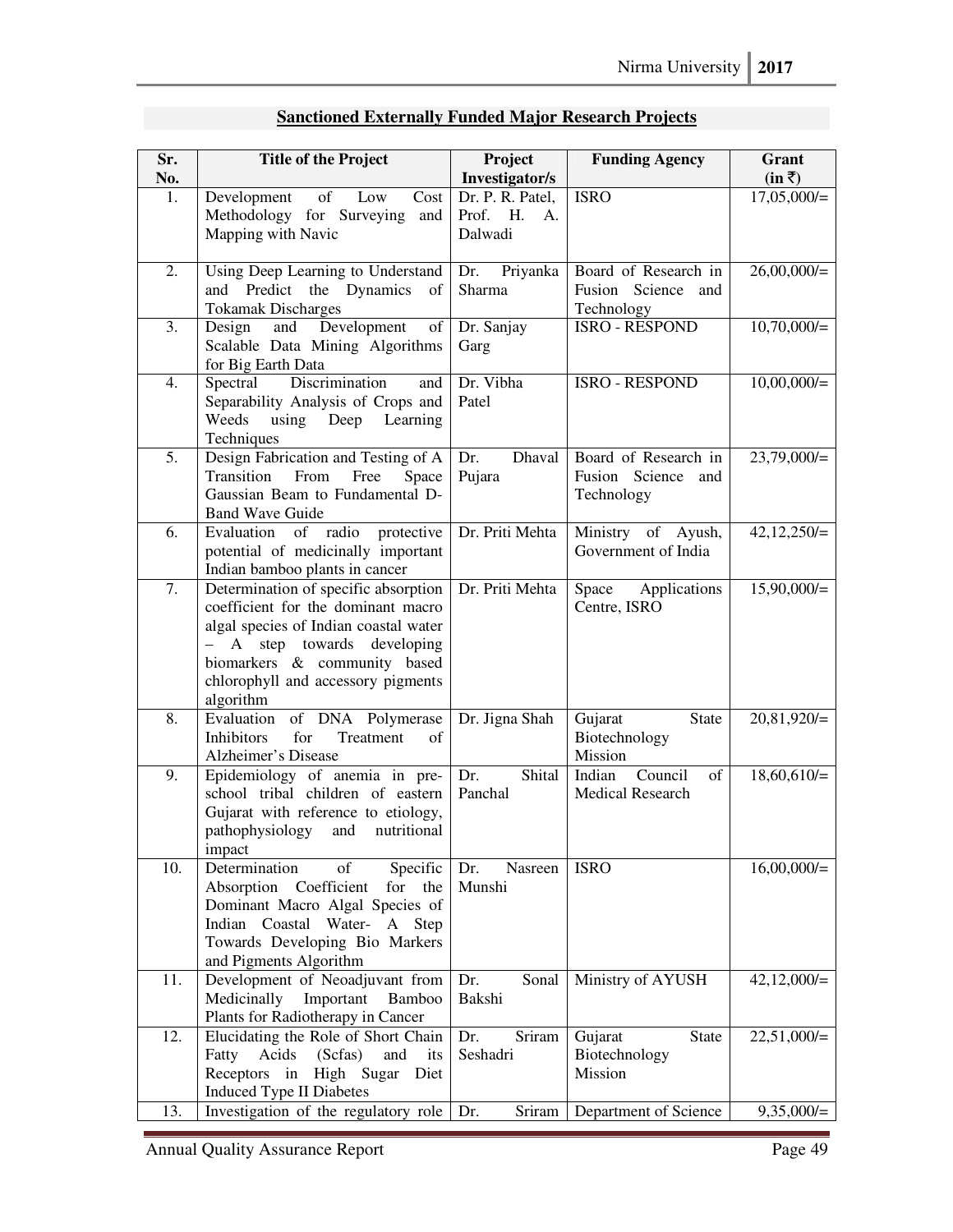| Sr.<br>No. | <b>Title of the Project</b>                                                                                                                                                                                                           | Project<br>Investigator/s                     | <b>Funding Agency</b>                                       | Grant<br>$(in \bar{z})$ |
|------------|---------------------------------------------------------------------------------------------------------------------------------------------------------------------------------------------------------------------------------------|-----------------------------------------------|-------------------------------------------------------------|-------------------------|
| 1.         | of<br>Development<br>Low<br>Cost<br>Methodology for Surveying and<br>Mapping with Navic                                                                                                                                               | Dr. P. R. Patel,<br>Prof. H.<br>A.<br>Dalwadi | <b>ISRO</b>                                                 | $17,05,000/=$           |
| 2.         | Using Deep Learning to Understand<br>and Predict the Dynamics of<br><b>Tokamak Discharges</b>                                                                                                                                         | Dr.<br>Priyanka<br>Sharma                     | Board of Research in<br>Fusion Science and<br>Technology    | $26,00,000/=$           |
| 3.         | Development<br>and<br>of<br>Design<br>Scalable Data Mining Algorithms<br>for Big Earth Data                                                                                                                                           | Dr. Sanjay<br>Garg                            | <b>ISRO - RESPOND</b>                                       | $10,70,000/=$           |
| 4.         | Discrimination<br>Spectral<br>and<br>Separability Analysis of Crops and<br>using Deep Learning<br>Weeds<br>Techniques                                                                                                                 | Dr. Vibha<br>Patel                            | <b>ISRO - RESPOND</b>                                       | $10,00,000/$ =          |
| 5.         | Design Fabrication and Testing of A<br>Transition<br>From<br>Free<br>Space<br>Gaussian Beam to Fundamental D-<br><b>Band Wave Guide</b>                                                                                               | Dhaval<br>Dr.<br>Pujara                       | Board of Research in<br>Fusion Science<br>and<br>Technology | $23,79,000/=$           |
| 6.         | of radio<br>protective<br>Evaluation<br>potential of medicinally important<br>Indian bamboo plants in cancer                                                                                                                          | Dr. Priti Mehta                               | Ministry of Ayush,<br>Government of India                   | $42,12,250/=$           |
| 7.         | Determination of specific absorption<br>coefficient for the dominant macro<br>algal species of Indian coastal water<br>- A step towards developing<br>biomarkers & community based<br>chlorophyll and accessory pigments<br>algorithm | Dr. Priti Mehta                               | Applications<br>Space<br>Centre, ISRO                       | $15,90,000/=$           |
| 8.         | Evaluation of DNA Polymerase<br>Inhibitors<br>for<br>Treatment<br>of<br>Alzheimer's Disease                                                                                                                                           | Dr. Jigna Shah                                | Gujarat<br>State<br>Biotechnology<br>Mission                | $20,81,920/=$           |
| 9.         | Epidemiology of anemia in pre-<br>school tribal children of eastern<br>Gujarat with reference to etiology,<br>pathophysiology<br>and<br>nutritional<br>impact                                                                         | Shital<br>Dr.<br>Panchal                      | Council<br>Indian<br>of<br><b>Medical Research</b>          | $18,60,610/=$           |
| 10.        | Determination<br>of<br>Specific<br>Absorption Coefficient<br>the<br>for<br>Dominant Macro Algal Species of<br>Indian Coastal Water- A Step<br>Towards Developing Bio Markers<br>and Pigments Algorithm                                | Dr.<br>Nasreen<br>Munshi                      | <b>ISRO</b>                                                 | $16,00,000/=$           |
| 11.        | Development of Neoadjuvant from<br>Medicinally<br>Important<br>Bamboo<br>Plants for Radiotherapy in Cancer                                                                                                                            | Dr.<br>Sonal<br>Bakshi                        | Ministry of AYUSH                                           | $42,12,000/=$           |
| 12.        | Elucidating the Role of Short Chain<br>Fatty<br>Acids<br>(Scfas)<br>and<br>its<br>Receptors in<br>High Sugar<br>Diet<br><b>Induced Type II Diabetes</b>                                                                               | Dr.<br>Sriram<br>Seshadri                     | Gujarat<br><b>State</b><br>Biotechnology<br>Mission         | $22,51,000/=$           |
| 13.        | Investigation of the regulatory role   Dr.                                                                                                                                                                                            | Sriram                                        | Department of Science                                       | $9,35,000/=$            |

# **Sanctioned Externally Funded Major Research Projects**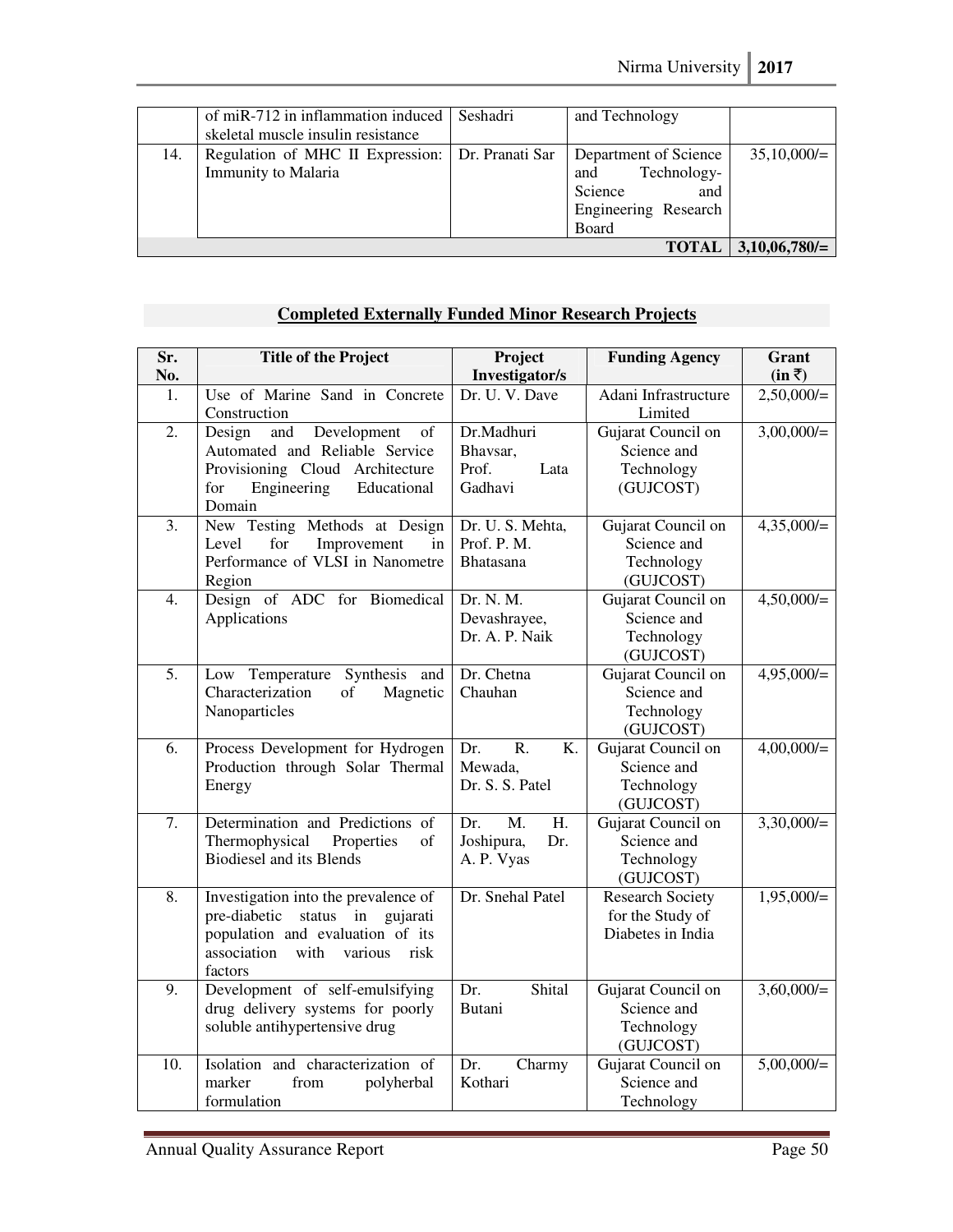|                                 | of miR-712 in inflammation induced<br>skeletal muscle insulin resistance | Seshadri        | and Technology                                                                                 |               |  |
|---------------------------------|--------------------------------------------------------------------------|-----------------|------------------------------------------------------------------------------------------------|---------------|--|
| 14.                             | Regulation of MHC II Expression:<br><b>Immunity to Malaria</b>           | Dr. Pranati Sar | Department of Science<br>Technology-<br>and<br>Science<br>and<br>Engineering Research<br>Board | $35,10,000/=$ |  |
| $3,10,06,780/=$<br><b>TOTAL</b> |                                                                          |                 |                                                                                                |               |  |

**Completed Externally Funded Minor Research Projects**

#### **Sr. No.**  Title of the Project Project **Investigator/s Funding Agency Grant**   $(in \overline{\tau})$ 1. Use of Marine Sand in Concrete Construction Dr. U. V. Dave Adani Infrastructure Limited  $2,50,000/=$ 2. Design and Development of Automated and Reliable Service Provisioning Cloud Architecture for Engineering Educational Domain Dr.Madhuri Bhavsar, Prof. Lata Gadhavi Gujarat Council on Science and Technology (GUJCOST)  $3,00,000/$ = 3. New Testing Methods at Design Level for Improvement in Performance of VLSI in Nanometre Region Dr. U. S. Mehta, Prof. P. M. Bhatasana Gujarat Council on Science and Technology (GUJCOST) 4. Design of ADC for Biomedical Applications Dr. N. M. Devashrayee, Dr. A. P. Naik Gujarat Council on Science and Technology (GUJCOST)

|     | for<br>Engineering<br>Educational<br>Domain                                                                                                                         | Gadhavi                                                   | (GUJCOST)                                                        |              |
|-----|---------------------------------------------------------------------------------------------------------------------------------------------------------------------|-----------------------------------------------------------|------------------------------------------------------------------|--------------|
| 3.  | New Testing Methods at Design<br>Improvement<br>Level<br>for<br>in<br>Performance of VLSI in Nanometre<br>Region                                                    | Dr. U. S. Mehta,<br>Prof. P. M.<br><b>Bhatasana</b>       | Gujarat Council on<br>Science and<br>Technology<br>(GUJCOST)     | $4,35,000/=$ |
| 4.  | Design of ADC for Biomedical<br>Applications                                                                                                                        | Dr. N. M.<br>Devashrayee,<br>Dr. A. P. Naik               | Gujarat Council on<br>Science and<br>Technology<br>(GUJCOST)     | $4,50,000/=$ |
| 5.  | Low Temperature Synthesis and<br>Characterization<br>of<br>Magnetic<br>Nanoparticles                                                                                | Dr. Chetna<br>Chauhan                                     | Gujarat Council on<br>Science and<br>Technology<br>(GUJCOST)     | $4,95,000/=$ |
| 6.  | Process Development for Hydrogen<br>Production through Solar Thermal<br>Energy                                                                                      | K.<br>$\mathbf{R}$ .<br>Dr.<br>Mewada,<br>Dr. S. S. Patel | Gujarat Council on<br>Science and<br>Technology<br>(GUJCOST)     | $4,00,000/=$ |
| 7.  | Determination and Predictions of<br>Thermophysical<br>Properties<br>of<br><b>Biodiesel and its Blends</b>                                                           | M.<br>Η.<br>Dr.<br>Joshipura,<br>Dr.<br>A. P. Vyas        | Gujarat Council on<br>Science and<br>Technology<br>(GUJCOST)     | $3,30,000/=$ |
| 8.  | Investigation into the prevalence of<br>pre-diabetic<br>status in gujarati<br>population and evaluation of its<br>association<br>with<br>various<br>risk<br>factors | Dr. Snehal Patel                                          | <b>Research Society</b><br>for the Study of<br>Diabetes in India | $1,95,000/=$ |
| 9.  | Development of self-emulsifying<br>drug delivery systems for poorly<br>soluble antihypertensive drug                                                                | Shital<br>Dr.<br><b>Butani</b>                            | Gujarat Council on<br>Science and<br>Technology<br>(GUJCOST)     | $3,60,000/=$ |
| 10. | Isolation and characterization of<br>marker<br>from<br>polyherbal<br>formulation                                                                                    | Dr.<br>Charmy<br>Kothari                                  | Gujarat Council on<br>Science and<br>Technology                  | $5,00,000/=$ |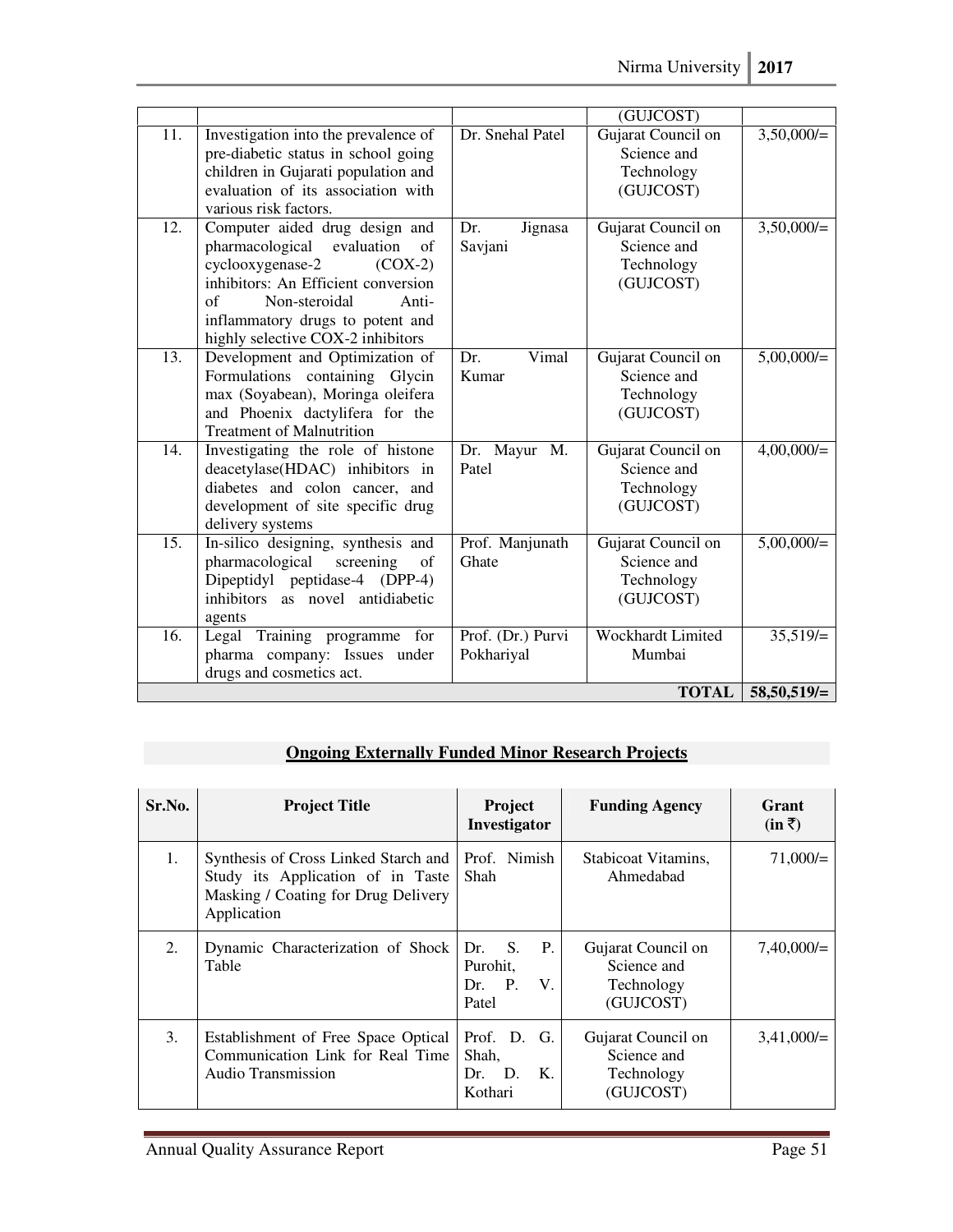|     |                                                                                                                                                                                                                                                        |                                 | (GUJCOST)                                                    |                             |
|-----|--------------------------------------------------------------------------------------------------------------------------------------------------------------------------------------------------------------------------------------------------------|---------------------------------|--------------------------------------------------------------|-----------------------------|
| 11. | Investigation into the prevalence of<br>pre-diabetic status in school going<br>children in Gujarati population and<br>evaluation of its association with<br>various risk factors.                                                                      | Dr. Snehal Patel                | Gujarat Council on<br>Science and<br>Technology<br>(GUJCOST) | $3,50,000/=$                |
| 12. | Computer aided drug design and<br>pharmacological<br>evaluation<br>of<br>cyclooxygenase-2<br>$(COX-2)$<br>inhibitors: An Efficient conversion<br>of<br>Non-steroidal<br>Anti-<br>inflammatory drugs to potent and<br>highly selective COX-2 inhibitors | Dr.<br>Jignasa<br>Savjani       | Gujarat Council on<br>Science and<br>Technology<br>(GUJCOST) | $3,50,000/=$                |
| 13. | Development and Optimization of<br>Formulations<br>containing Glycin<br>max (Soyabean), Moringa oleifera<br>and Phoenix dactylifera for the<br><b>Treatment of Malnutrition</b>                                                                        | Vimal<br>Dr.<br>Kumar           | Gujarat Council on<br>Science and<br>Technology<br>(GUJCOST) | $5,00,000/=$                |
| 14. | Investigating the role of histone<br>deacetylase(HDAC) inhibitors in<br>diabetes and colon cancer, and<br>development of site specific drug<br>delivery systems                                                                                        | Dr. Mayur M.<br>Patel           | Gujarat Council on<br>Science and<br>Technology<br>(GUJCOST) | $4,00,000/=$                |
| 15. | In-silico designing, synthesis and<br>pharmacological<br>screening<br>of<br>Dipeptidyl peptidase-4 (DPP-4)<br>inhibitors as novel antidiabetic<br>agents                                                                                               | Prof. Manjunath<br>Ghate        | Gujarat Council on<br>Science and<br>Technology<br>(GUJCOST) | $5,00,000/$ =               |
| 16. | Training programme for<br>Legal<br>pharma company: Issues under<br>drugs and cosmetics act.                                                                                                                                                            | Prof. (Dr.) Purvi<br>Pokhariyal | Wockhardt Limited<br>Mumbai<br><b>TOTAL</b>                  | $35,519/=$<br>$58,50,519/=$ |
|     |                                                                                                                                                                                                                                                        |                                 |                                                              |                             |

# **Ongoing Externally Funded Minor Research Projects**

| Sr.No. | <b>Project Title</b>                                                                                                            | <b>Project</b><br>Investigator                                  | <b>Funding Agency</b>                                        | Grant<br>$(in \bar{z})$ |
|--------|---------------------------------------------------------------------------------------------------------------------------------|-----------------------------------------------------------------|--------------------------------------------------------------|-------------------------|
| 1.     | Synthesis of Cross Linked Starch and<br>Study its Application of in Taste<br>Masking / Coating for Drug Delivery<br>Application | Prof. Nimish<br>Shah                                            | Stabicoat Vitamins,<br>Ahmedabad                             | 71,000/                 |
| 2.     | Dynamic Characterization of Shock<br>Table                                                                                      | P.<br>S.<br>Dr.<br>Purohit,<br>$V_{\cdot}$<br>$Dr.$ P.<br>Patel | Gujarat Council on<br>Science and<br>Technology<br>(GUJCOST) | $7,40,000/=$            |
| 3.     | Establishment of Free Space Optical<br>Communication Link for Real Time<br>Audio Transmission                                   | Prof. D. G.<br>Shah,<br>Dr. D. K.<br>Kothari                    | Gujarat Council on<br>Science and<br>Technology<br>(GUJCOST) | $3,41,000/=$            |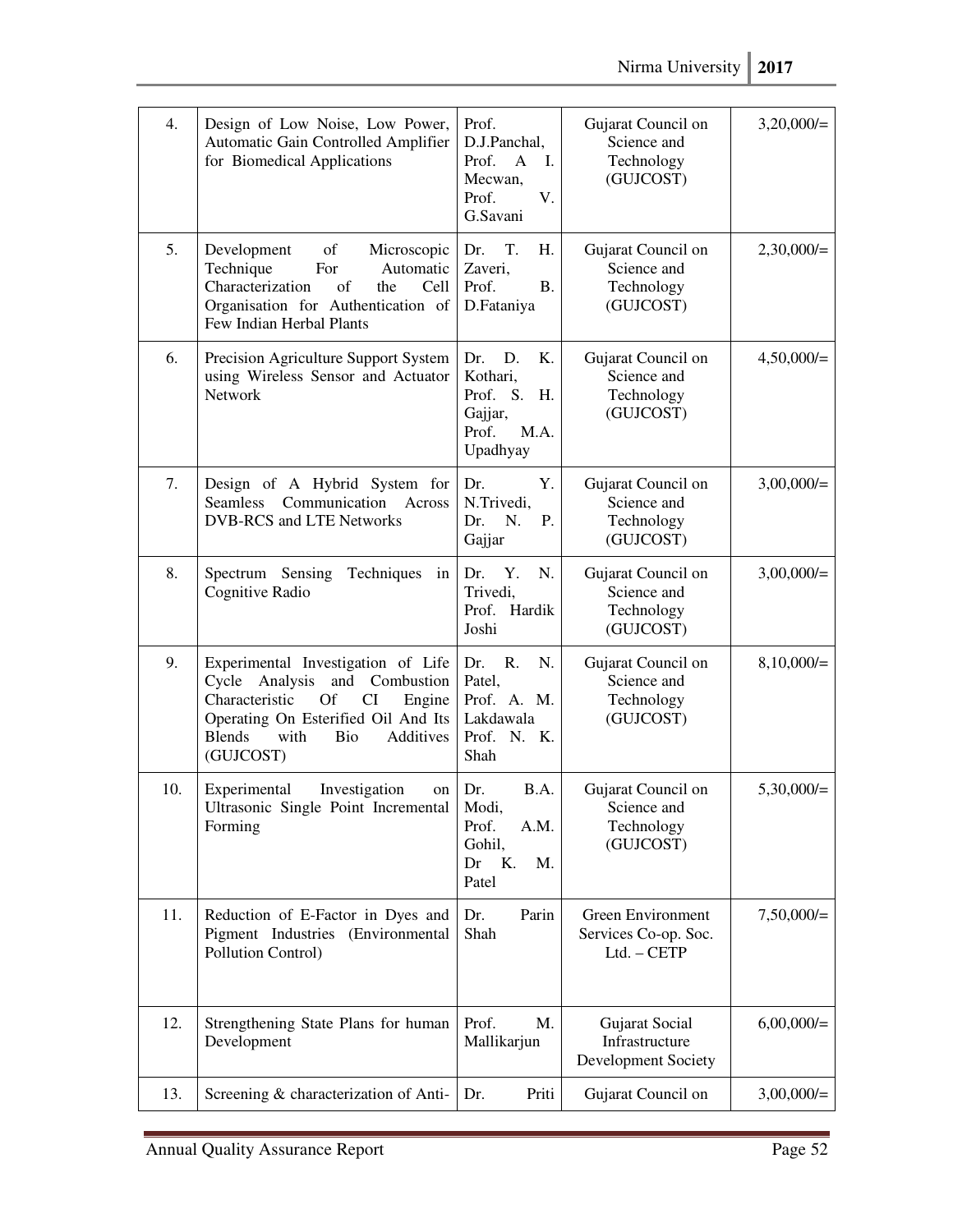| 4.  | Design of Low Noise, Low Power,<br>Automatic Gain Controlled Amplifier<br>for Biomedical Applications                                                                                                                        | Prof.<br>D.J.Panchal,<br>Prof.<br>$\boldsymbol{A}$<br>I.<br>Mecwan,<br>Prof.<br>V.<br>G.Savani | Gujarat Council on<br>Science and<br>Technology<br>(GUJCOST) | $3,20,000/=$  |
|-----|------------------------------------------------------------------------------------------------------------------------------------------------------------------------------------------------------------------------------|------------------------------------------------------------------------------------------------|--------------------------------------------------------------|---------------|
| 5.  | of<br>Development<br>Microscopic<br>Technique<br>For<br>Automatic<br>Characterization<br>of<br>the<br>Cell<br>Organisation for Authentication of<br>Few Indian Herbal Plants                                                 | T.<br>Η.<br>Dr.<br>Zaveri,<br>Prof.<br><b>B.</b><br>D.Fataniya                                 | Gujarat Council on<br>Science and<br>Technology<br>(GUJCOST) | $2,30,000/=$  |
| 6.  | Precision Agriculture Support System<br>using Wireless Sensor and Actuator<br>Network                                                                                                                                        | Κ.<br>Dr.<br>D.<br>Kothari,<br>Prof. S.<br>Η.<br>Gajjar,<br>Prof.<br>M.A.<br>Upadhyay          | Gujarat Council on<br>Science and<br>Technology<br>(GUJCOST) | $4,50,000/=$  |
| 7.  | Design of A Hybrid System for<br>Communication<br><b>Seamless</b><br>Across<br><b>DVB-RCS</b> and LTE Networks                                                                                                               | Y.<br>Dr.<br>N.Trivedi,<br>N.<br>P.<br>Dr.<br>Gajjar                                           | Gujarat Council on<br>Science and<br>Technology<br>(GUJCOST) | $3,00,000/=$  |
| 8.  | Spectrum Sensing<br>Techniques<br>in<br>Cognitive Radio                                                                                                                                                                      | Υ.<br>N.<br>Dr.<br>Trivedi,<br>Prof. Hardik<br>Joshi                                           | Gujarat Council on<br>Science and<br>Technology<br>(GUJCOST) | $3,00,000/=$  |
| 9.  | Experimental Investigation of Life<br>Cycle<br>Analysis<br>Combustion<br>and<br><b>Of</b><br>Characteristic<br>CI<br>Engine<br>Operating On Esterified Oil And Its<br>with<br>Bio<br>Additives<br><b>Blends</b><br>(GUJCOST) | R.<br>N.<br>Dr.<br>Patel,<br>Prof. A. M.<br>Lakdawala<br>Prof. N. K.<br>Shah                   | Gujarat Council on<br>Science and<br>Technology<br>(GUJCOST) | $8,10,000/=$  |
| 10. | Experimental<br>Investigation<br>on<br>Ultrasonic Single Point Incremental<br>Forming                                                                                                                                        | Dr.<br>B.A.<br>Modi,<br>Prof.<br>A.M.<br>Gohil,<br>Κ.<br>Dr<br>M.<br>Patel                     | Gujarat Council on<br>Science and<br>Technology<br>(GUJCOST) | $5,30,000/=$  |
| 11. | Reduction of E-Factor in Dyes and<br>Pigment Industries (Environmental<br>Pollution Control)                                                                                                                                 | Parin<br>Dr.<br>Shah                                                                           | Green Environment<br>Services Co-op. Soc.<br>Ltd. - CETP     | $7,50,000/=$  |
| 12. | Strengthening State Plans for human<br>Development                                                                                                                                                                           | Prof.<br>M.<br>Mallikarjun                                                                     | Gujarat Social<br>Infrastructure<br>Development Society      | $6,00,000/$ = |
| 13. | Screening & characterization of Anti-                                                                                                                                                                                        | Dr.<br>Priti                                                                                   | Gujarat Council on                                           | $3,00,000/=$  |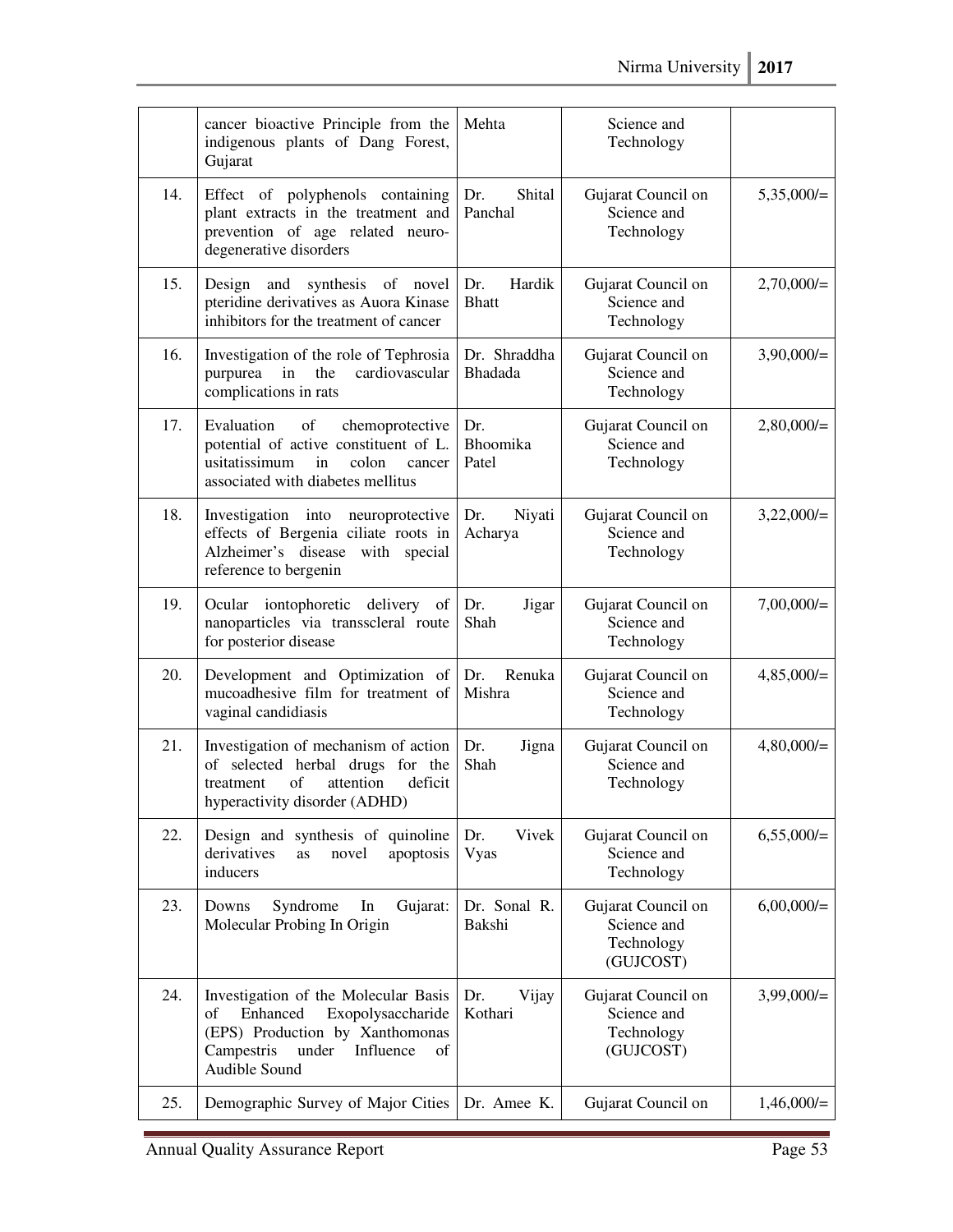|     | cancer bioactive Principle from the<br>indigenous plants of Dang Forest,<br>Gujarat                                                                                       | Mehta                          | Science and<br>Technology                                    |               |
|-----|---------------------------------------------------------------------------------------------------------------------------------------------------------------------------|--------------------------------|--------------------------------------------------------------|---------------|
| 14. | Effect of polyphenols containing<br>plant extracts in the treatment and<br>prevention of age related neuro-<br>degenerative disorders                                     | Shital<br>Dr.<br>Panchal       | Gujarat Council on<br>Science and<br>Technology              | $5,35,000/=$  |
| 15. | synthesis<br>and<br>of novel<br>Design<br>pteridine derivatives as Auora Kinase<br>inhibitors for the treatment of cancer                                                 | Hardik<br>Dr.<br><b>Bhatt</b>  | Gujarat Council on<br>Science and<br>Technology              | $2,70,000/=$  |
| 16. | Investigation of the role of Tephrosia<br>the<br>purpurea in<br>cardiovascular<br>complications in rats                                                                   | Dr. Shraddha<br><b>Bhadada</b> | Gujarat Council on<br>Science and<br>Technology              | $3,90,000/=$  |
| 17. | of<br>Evaluation<br>chemoprotective<br>potential of active constituent of L.<br>usitatissimum<br>colon<br>in<br>cancer<br>associated with diabetes mellitus               | Dr.<br>Bhoomika<br>Patel       | Gujarat Council on<br>Science and<br>Technology              | $2,80,000/=$  |
| 18. | Investigation into<br>neuroprotective<br>effects of Bergenia ciliate roots in<br>Alzheimer's disease<br>with<br>special<br>reference to bergenin                          | Niyati<br>Dr.<br>Acharya       | Gujarat Council on<br>Science and<br>Technology              | $3,22,000/=$  |
| 19. | Ocular iontophoretic delivery<br>of<br>nanoparticles via transscleral route<br>for posterior disease                                                                      | Dr.<br>Jigar<br>Shah           | Gujarat Council on<br>Science and<br>Technology              | $7,00,000/=$  |
| 20. | Development and Optimization of<br>mucoadhesive film for treatment of<br>vaginal candidiasis                                                                              | Renuka<br>Dr.<br>Mishra        | Gujarat Council on<br>Science and<br>Technology              | $4,85,000/=$  |
| 21. | Investigation of mechanism of action<br>of selected herbal drugs for the<br>of<br>attention<br>deficit<br>treatment<br>hyperactivity disorder (ADHD)                      | Dr.<br>Jigna<br>Shah           | Gujarat Council on<br>Science and<br>Technology              | $4,80,000/=$  |
| 22. | Design and synthesis of quinoline<br>derivatives<br>novel<br>apoptosis<br>as<br>inducers                                                                                  | Vivek<br>Dr.<br>Vyas           | Gujarat Council on<br>Science and<br>Technology              | $6,55,000/=$  |
| 23. | Syndrome<br>Gujarat:<br>Downs<br>In<br>Molecular Probing In Origin                                                                                                        | Dr. Sonal R.<br>Bakshi         | Gujarat Council on<br>Science and<br>Technology<br>(GUJCOST) | $6,00,000/$ = |
| 24. | Investigation of the Molecular Basis<br>of<br>Enhanced<br>Exopolysaccharide<br>(EPS) Production by Xanthomonas<br>Campestris<br>under<br>Influence<br>of<br>Audible Sound | Dr.<br>Vijay<br>Kothari        | Gujarat Council on<br>Science and<br>Technology<br>(GUJCOST) | $3,99,000/=$  |
| 25. | Demographic Survey of Major Cities                                                                                                                                        | Dr. Amee K.                    | Gujarat Council on                                           | $1,46,000/=$  |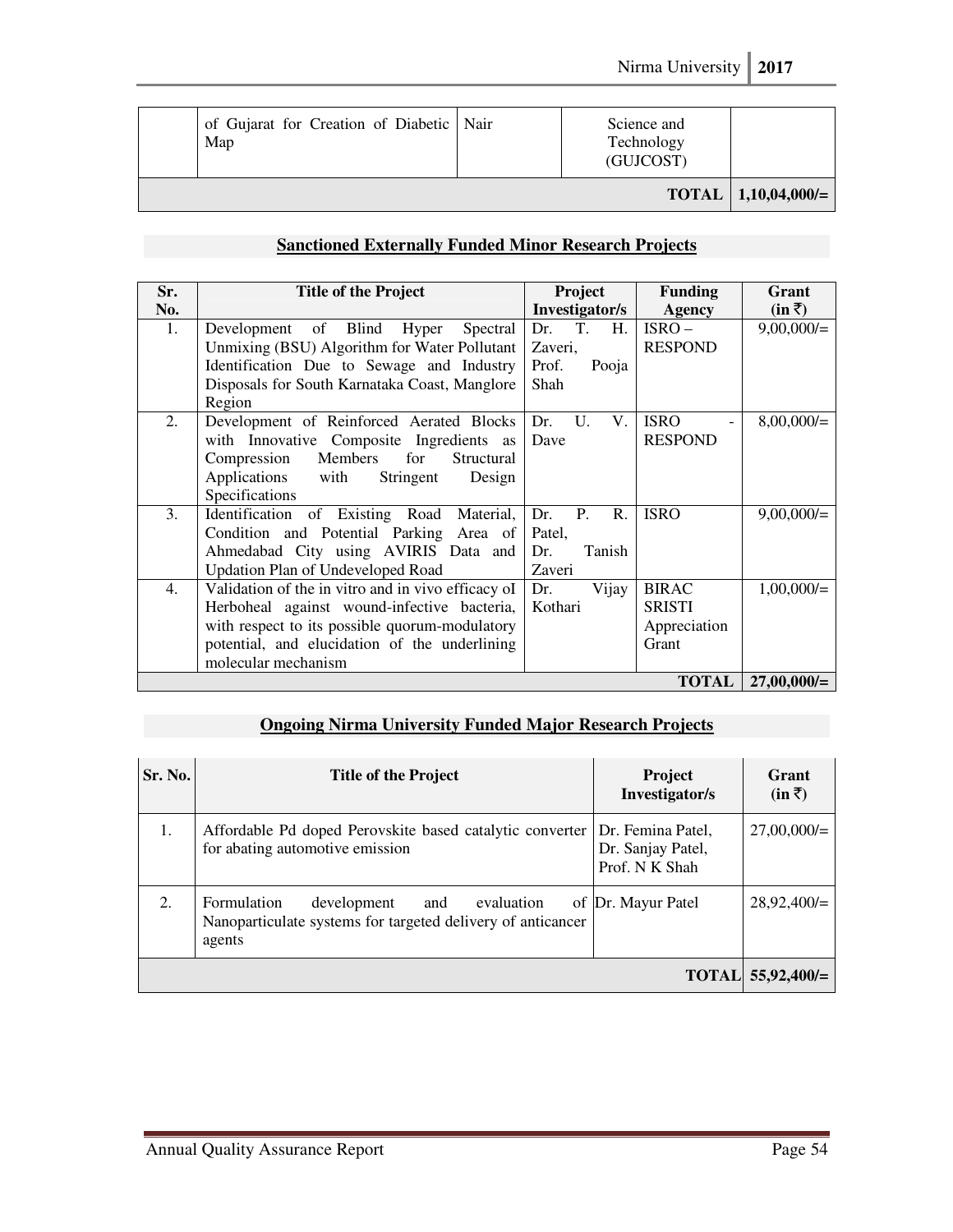| Map                                        | Technology<br>(GUJCOST) | TOTAL   $1,10,04,000/=$ |
|--------------------------------------------|-------------------------|-------------------------|
| of Gujarat for Creation of Diabetic   Nair | Science and             |                         |

# **Sanctioned Externally Funded Minor Research Projects**

| Sr.              | <b>Title of the Project</b>                        | Project                  | <b>Funding</b> | Grant          |
|------------------|----------------------------------------------------|--------------------------|----------------|----------------|
| No.              |                                                    | Investigator/s           | <b>Agency</b>  | $(in \bar{z})$ |
| 1.               | Development of Blind<br>Hyper<br>Spectral          | T.<br>Н.<br>Dr.          | $ISRO-$        | $9,00,000/$ =  |
|                  | Unmixing (BSU) Algorithm for Water Pollutant       | Zaveri,                  | <b>RESPOND</b> |                |
|                  | Identification Due to Sewage and Industry          | Prof.<br>Pooja           |                |                |
|                  | Disposals for South Karnataka Coast, Manglore      | Shah                     |                |                |
|                  | Region                                             |                          |                |                |
| $\overline{2}$ . | Development of Reinforced Aerated Blocks           | V.<br>U.<br>Dr.          | <b>ISRO</b>    | 8,00,000/      |
|                  | with Innovative Composite Ingredients as           | Dave                     | <b>RESPOND</b> |                |
|                  | for<br>Members<br>Compression<br>Structural        |                          |                |                |
|                  | Applications<br>with<br>Stringent<br>Design        |                          |                |                |
|                  | Specifications                                     |                          |                |                |
| 3.               | Identification of Existing Road Material,          | P.<br>$R_{\cdot}$<br>Dr. | <b>ISRO</b>    | $9,00,000/$ =  |
|                  | Condition and Potential Parking Area of            | Patel,                   |                |                |
|                  | Ahmedabad City using AVIRIS Data and               | Tanish<br>Dr.            |                |                |
|                  | <b>Updation Plan of Undeveloped Road</b>           | Zaveri                   |                |                |
| $\overline{4}$ . | Validation of the in vitro and in vivo efficacy ol | Vijay<br>Dr.             | <b>BIRAC</b>   | $1,00,000/=$   |
|                  | Herboheal against wound-infective bacteria,        | Kothari                  | <b>SRISTI</b>  |                |
|                  | with respect to its possible quorum-modulatory     |                          | Appreciation   |                |
|                  | potential, and elucidation of the underlining      |                          | Grant          |                |
|                  | molecular mechanism                                |                          |                |                |
| <b>TOTAL</b>     |                                                    |                          |                | 27,00,000/     |

# **Ongoing Nirma University Funded Major Research Projects**

| Sr. No. | <b>Title of the Project</b>                                                                                           | Project<br>Investigator/s                                | <b>Grant</b><br>$(in \bar{z})$ |
|---------|-----------------------------------------------------------------------------------------------------------------------|----------------------------------------------------------|--------------------------------|
| 1.      | Affordable Pd doped Perovskite based catalytic converter<br>for abating automotive emission                           | Dr. Femina Patel,<br>Dr. Sanjay Patel,<br>Prof. N K Shah | $27,00,000/=$                  |
| 2.      | Formulation<br>evaluation<br>development and<br>Nanoparticulate systems for targeted delivery of anticancer<br>agents | of Dr. Mayur Patel                                       | $28,92,400/=$                  |
|         |                                                                                                                       |                                                          | TOTAL $55,92,400/=$            |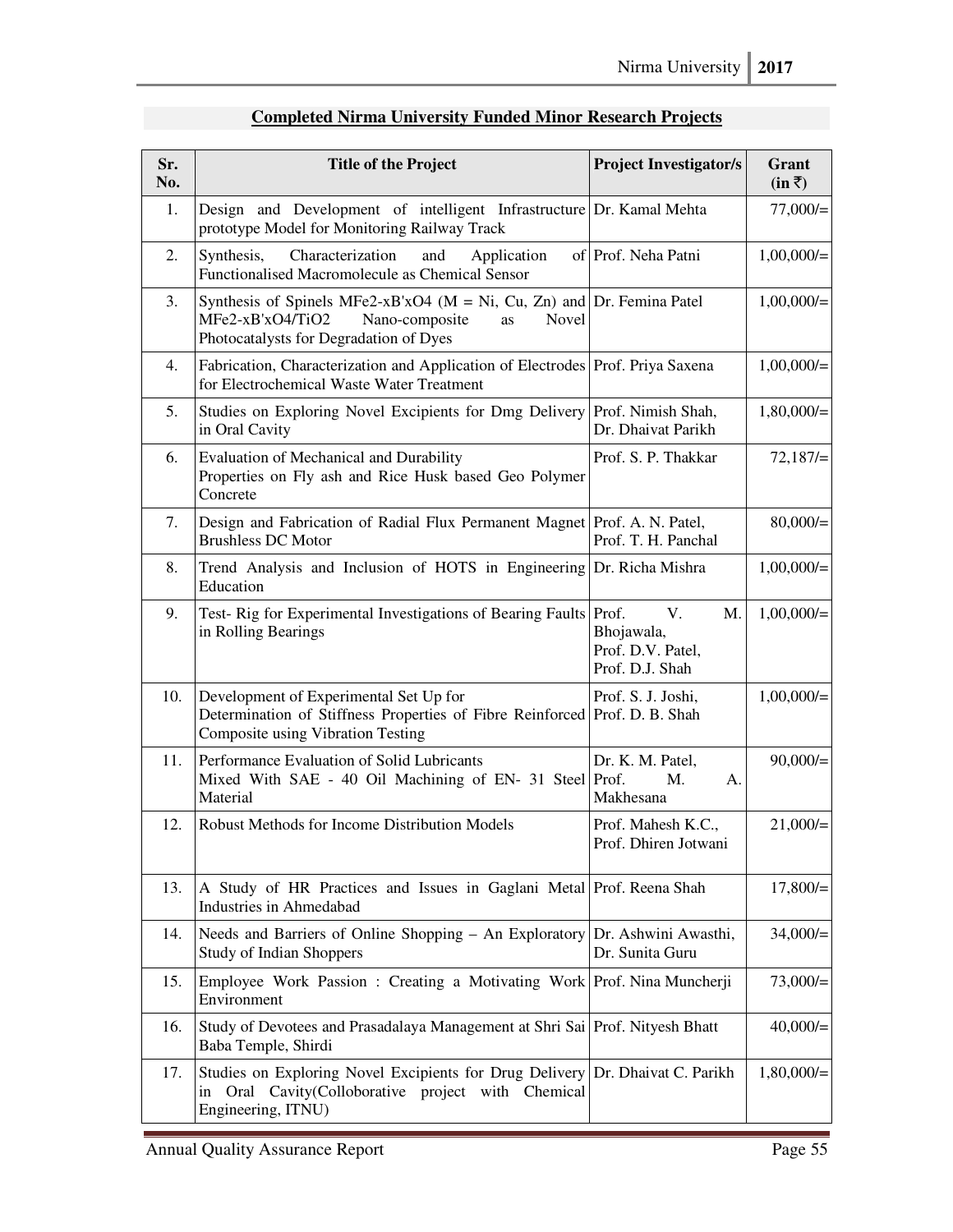| Sr.<br>No. | <b>Title of the Project</b>                                                                                                                                               | <b>Project Investigator/s</b>                                  | Grant<br>$(in \bar{z})$ |
|------------|---------------------------------------------------------------------------------------------------------------------------------------------------------------------------|----------------------------------------------------------------|-------------------------|
| 1.         | Design and Development of intelligent Infrastructure Dr. Kamal Mehta<br>prototype Model for Monitoring Railway Track                                                      |                                                                | $77,000/$ =             |
| 2.         | Characterization<br>Synthesis,<br>and<br>Application<br>Functionalised Macromolecule as Chemical Sensor                                                                   | of Prof. Neha Patni                                            | $1,00,000/=$            |
| 3.         | Synthesis of Spinels MFe2-xB'xO4 ( $M = Ni$ , Cu, Zn) and Dr. Femina Patel<br>MFe2-xB'xO4/TiO2<br>Nano-composite<br>Novel<br>as<br>Photocatalysts for Degradation of Dyes |                                                                | $1,00,000/=$            |
| 4.         | Fabrication, Characterization and Application of Electrodes Prof. Priya Saxena<br>for Electrochemical Waste Water Treatment                                               |                                                                | $1,00,000/=$            |
| 5.         | Studies on Exploring Novel Excipients for Dmg Delivery Prof. Nimish Shah,<br>in Oral Cavity                                                                               | Dr. Dhaivat Parikh                                             | $1,80,000/=$            |
| 6.         | Evaluation of Mechanical and Durability<br>Properties on Fly ash and Rice Husk based Geo Polymer<br>Concrete                                                              | Prof. S. P. Thakkar                                            | $72,187/=$              |
| 7.         | Design and Fabrication of Radial Flux Permanent Magnet Prof. A. N. Patel,<br><b>Brushless DC Motor</b>                                                                    | Prof. T. H. Panchal                                            | $80,000/=$              |
| 8.         | Trend Analysis and Inclusion of HOTS in Engineering Dr. Richa Mishra<br>Education                                                                                         |                                                                | $1,00,000/=$            |
| 9.         | Test-Rig for Experimental Investigations of Bearing Faults Prof.<br>in Rolling Bearings                                                                                   | V.<br>M.<br>Bhojawala,<br>Prof. D.V. Patel,<br>Prof. D.J. Shah | $1,00,000/=$            |
| 10.        | Development of Experimental Set Up for<br>Determination of Stiffness Properties of Fibre Reinforced Prof. D. B. Shah<br>Composite using Vibration Testing                 | Prof. S. J. Joshi,                                             | $1,00,000/=$            |
| 11.        | Performance Evaluation of Solid Lubricants<br>Mixed With SAE - 40 Oil Machining of EN- 31 Steel Prof.<br>Material                                                         | Dr. K. M. Patel,<br>M.<br>А.<br>Makhesana                      | $90,000/$ =             |
| 12.        | Robust Methods for Income Distribution Models                                                                                                                             | Prof. Mahesh K.C.,<br>Prof. Dhiren Jotwani                     | $21,000/=$              |
| 13.        | A Study of HR Practices and Issues in Gaglani Metal Prof. Reena Shah<br>Industries in Ahmedabad                                                                           |                                                                | 17,800/                 |
| 14.        | Needs and Barriers of Online Shopping – An Exploratory Dr. Ashwini Awasthi,<br><b>Study of Indian Shoppers</b>                                                            | Dr. Sunita Guru                                                | $34,000/=$              |
| 15.        | Employee Work Passion: Creating a Motivating Work Prof. Nina Muncherji<br>Environment                                                                                     |                                                                | $73,000/=$              |
| 16.        | Study of Devotees and Prasadalaya Management at Shri Sai Prof. Nityesh Bhatt<br>Baba Temple, Shirdi                                                                       |                                                                | $40,000/=$              |
| 17.        | Studies on Exploring Novel Excipients for Drug Delivery Dr. Dhaivat C. Parikh<br>in Oral Cavity(Colloborative project with Chemical<br>Engineering, ITNU)                 |                                                                | $1,80,000/=$            |

# **Completed Nirma University Funded Minor Research Projects**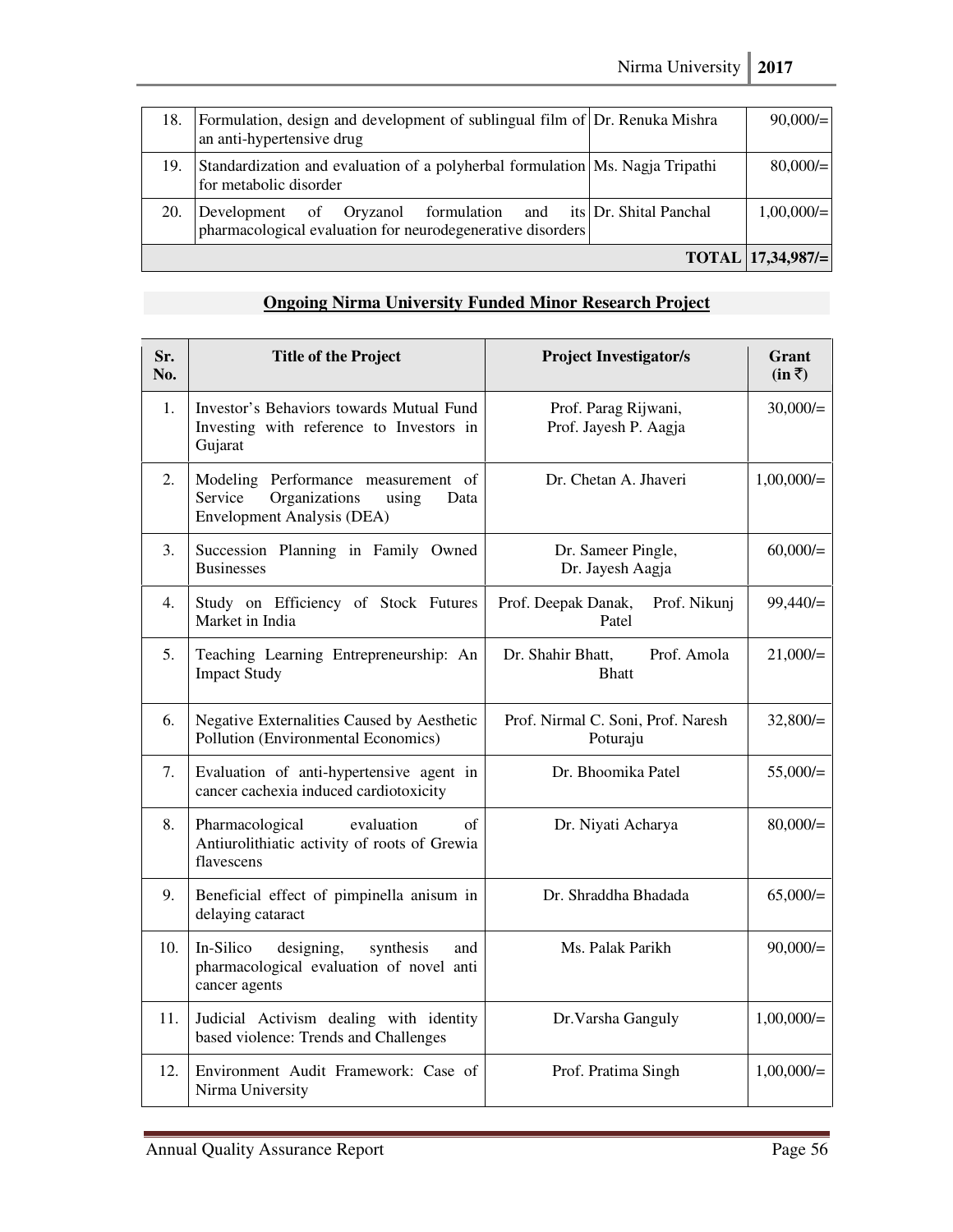| 18. | Formulation, design and development of sublingual film of Dr. Renuka Mishra<br>an anti-hypertensive drug                     | $90,000/=\square$     |
|-----|------------------------------------------------------------------------------------------------------------------------------|-----------------------|
| 19. | Standardization and evaluation of a polyherbal formulation Ms. Nagja Tripathi<br>for metabolic disorder                      | $80,000/=$            |
| 20. | Development of Oryzanol formulation and its Dr. Shital Panchal<br>pharmacological evaluation for neurodegenerative disorders | $1,00,000/=$          |
|     |                                                                                                                              | $TOTAL   17,34,987/=$ |

#### **Sr. No.**  Title of the Project **Project Investigator**/s **Crant**  $(in ₹)$ 1. Investor's Behaviors towards Mutual Fund Investing with reference to Investors in Gujarat Prof. Parag Rijwani, Prof. Jayesh P. Aagja  $30,000/=$ 2. Modeling Performance measurement of Service Organizations using Data Envelopment Analysis (DEA) Dr. Chetan A. Jhaveri  $1,00,000/=$ 3. Succession Planning in Family Owned Businesses Dr. Sameer Pingle, Dr. Jayesh Aagja  $60,000/=$ 4. Study on Efficiency of Stock Futures Market in India Prof. Deepak Danak, Prof. Nikunj Patel  $99,440/$ 5. Teaching Learning Entrepreneurship: An Impact Study Dr. Shahir Bhatt, Prof. Amola **Bhatt**  $21,000/=$ 6. Negative Externalities Caused by Aesthetic Pollution (Environmental Economics) Prof. Nirmal C. Soni, Prof. Naresh Poturaju  $32,800/=$ 7. Evaluation of anti-hypertensive agent in cancer cachexia induced cardiotoxicity Dr. Bhoomika Patel  $55,000/=$ 8. Pharmacological evaluation of Antiurolithiatic activity of roots of Grewia flavescens Dr. Niyati Acharya  $80,000/=$ 9. Beneficial effect of pimpinella anisum in delaying cataract Dr. Shraddha Bhadada  $65,000/=$ 10. In-Silico designing, synthesis and pharmacological evaluation of novel anti cancer agents Ms. Palak Parikh  $90,000/=$ 11. Judicial Activism dealing with identity based violence: Trends and Challenges Dr.Varsha Ganguly 1,00,000/=

## **Ongoing Nirma University Funded Minor Research Project**

Nirma University

12. Environment Audit Framework: Case of

Prof. Pratima Singh  $1,00,000/=$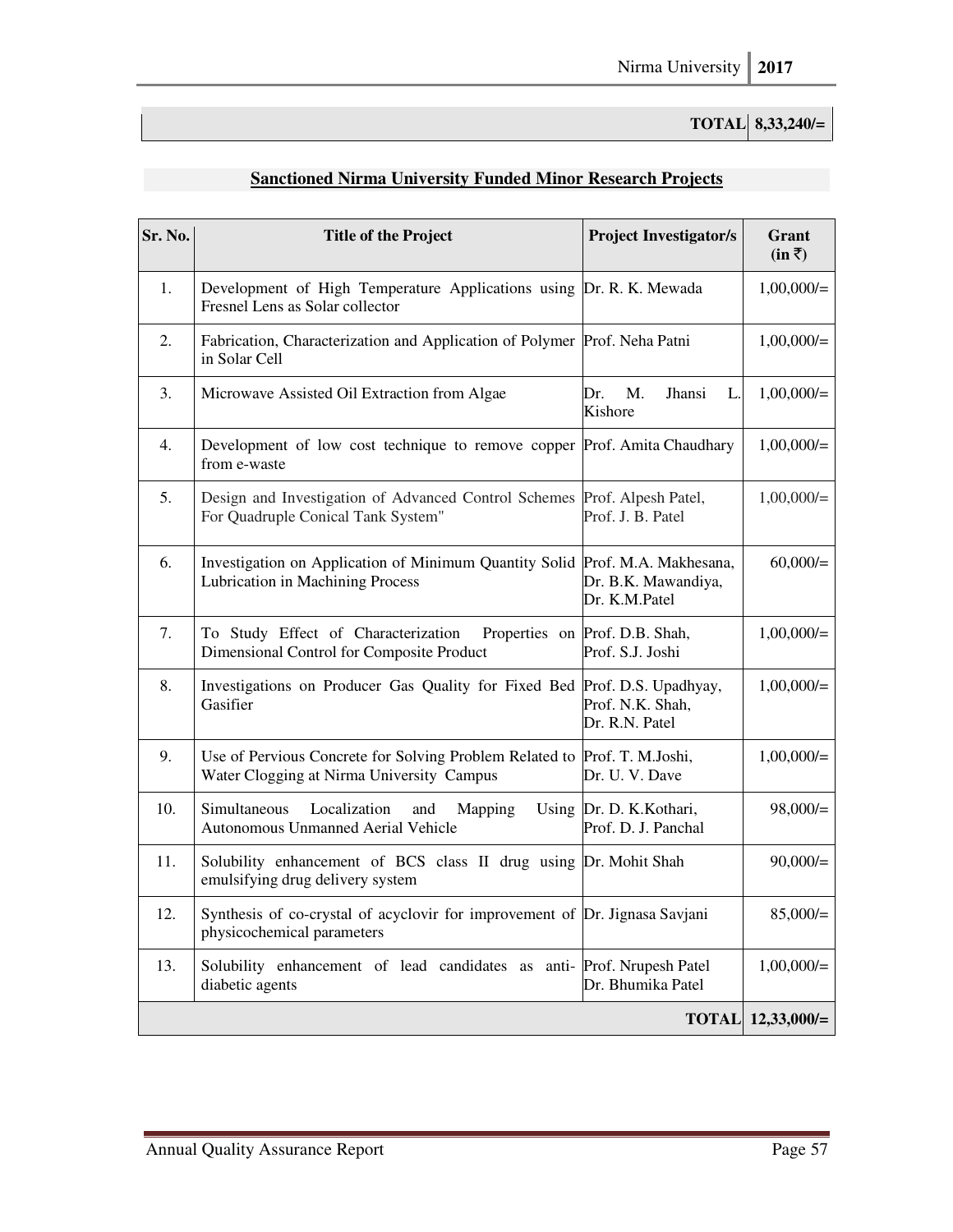**TOTAL 8,33,240/=**

| Sr. No. | <b>Title of the Project</b>                                                                                            | <b>Project Investigator/s</b>                      | Grant<br>$(in \bar{z})$ |
|---------|------------------------------------------------------------------------------------------------------------------------|----------------------------------------------------|-------------------------|
| 1.      | Development of High Temperature Applications using Dr. R. K. Mewada<br>Fresnel Lens as Solar collector                 |                                                    | $1,00,000/=$            |
| 2.      | Fabrication, Characterization and Application of Polymer Prof. Neha Patni<br>in Solar Cell                             |                                                    | $1,00,000/=$            |
| 3.      | Microwave Assisted Oil Extraction from Algae                                                                           | M.<br>Jhansi<br>Dr.<br>L.<br>Kishore               | $1,00,000/=$            |
| 4.      | Development of low cost technique to remove copper Prof. Amita Chaudhary<br>from e-waste                               |                                                    | $1,00,000/=$            |
| 5.      | Design and Investigation of Advanced Control Schemes Prof. Alpesh Patel,<br>For Quadruple Conical Tank System"         | Prof. J. B. Patel                                  | $1,00,000/=$            |
| 6.      | Investigation on Application of Minimum Quantity Solid Prof. M.A. Makhesana,<br>Lubrication in Machining Process       | Dr. B.K. Mawandiya,<br>Dr. K.M.Patel               | $60,000/=$              |
| 7.      | To Study Effect of Characterization<br>Dimensional Control for Composite Product                                       | Properties on Prof. D.B. Shah,<br>Prof. S.J. Joshi | $1,00,000/=$            |
| 8.      | Investigations on Producer Gas Quality for Fixed Bed Prof. D.S. Upadhyay,<br>Gasifier                                  | Prof. N.K. Shah,<br>Dr. R.N. Patel                 | $1,00,000/=$            |
| 9.      | Use of Pervious Concrete for Solving Problem Related to Prof. T. M.Joshi,<br>Water Clogging at Nirma University Campus | Dr. U. V. Dave                                     | $1,00,000/=$            |
| 10.     | Localization<br>Mapping<br>Simultaneous<br>and<br>Autonomous Unmanned Aerial Vehicle                                   | Using Dr. D. K. Kothari,<br>Prof. D. J. Panchal    | $98,000/$ =             |
| 11.     | Solubility enhancement of BCS class II drug using Dr. Mohit Shah<br>emulsifying drug delivery system                   |                                                    | $90,000/$ =             |
| 12.     | Synthesis of co-crystal of acyclovir for improvement of Dr. Jignasa Savjani<br>physicochemical parameters              |                                                    | $85,000/=$              |
| 13.     | Solubility enhancement of lead candidates as anti- Prof. Nrupesh Patel<br>diabetic agents                              | Dr. Bhumika Patel                                  | $1,00,000/=$            |
|         |                                                                                                                        | <b>TOTAL</b>                                       | $12,33,000/=$           |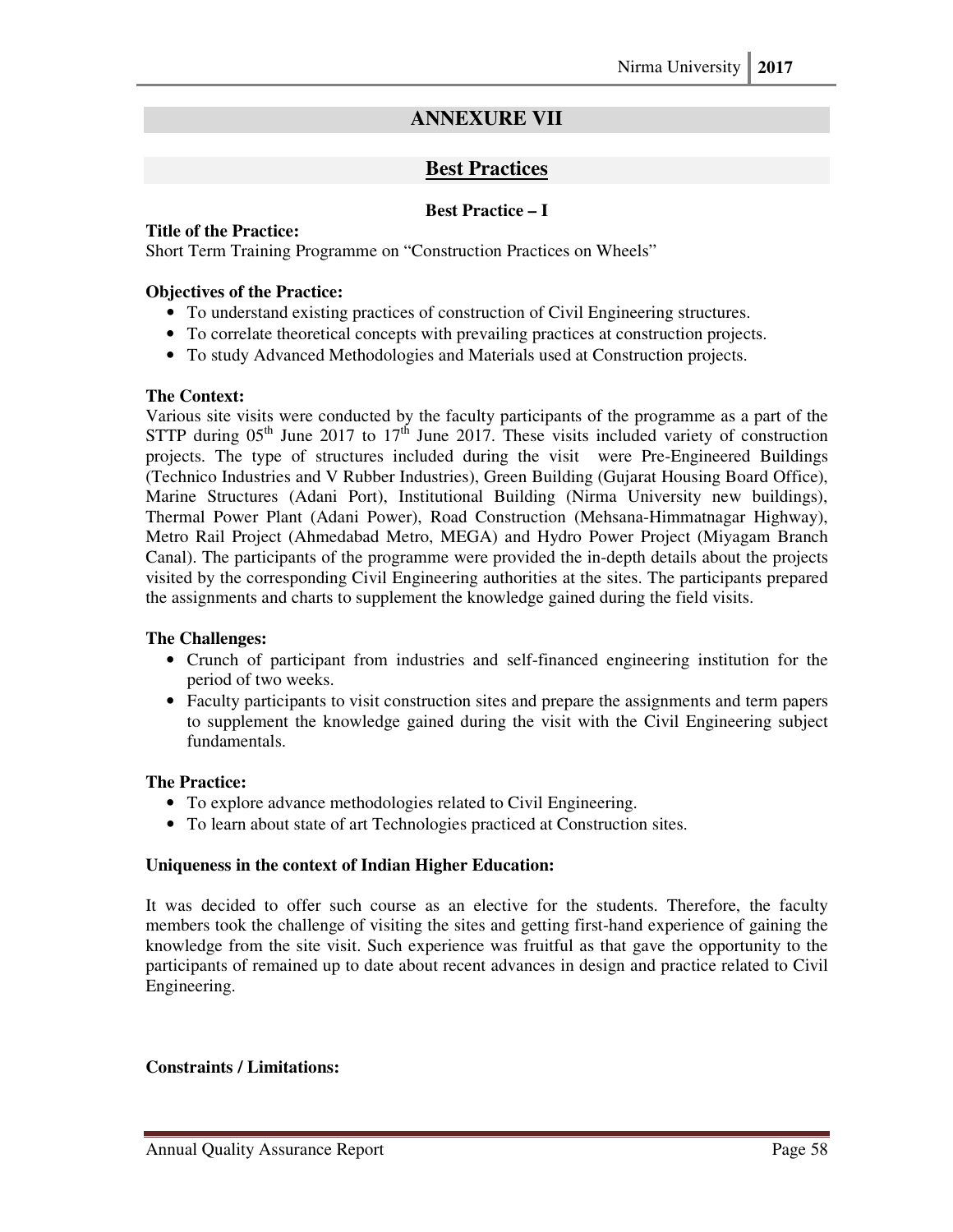# **ANNEXURE VII**

# **Best Practices**

## **Best Practice – I**

## **Title of the Practice:**

Short Term Training Programme on "Construction Practices on Wheels"

#### **Objectives of the Practice:**

- To understand existing practices of construction of Civil Engineering structures.
- To correlate theoretical concepts with prevailing practices at construction projects.
- To study Advanced Methodologies and Materials used at Construction projects.

#### **The Context:**

Various site visits were conducted by the faculty participants of the programme as a part of the STTP during  $05<sup>th</sup>$  June 2017 to 17<sup>th</sup> June 2017. These visits included variety of construction projects. The type of structures included during the visit were Pre-Engineered Buildings (Technico Industries and V Rubber Industries), Green Building (Gujarat Housing Board Office), Marine Structures (Adani Port), Institutional Building (Nirma University new buildings), Thermal Power Plant (Adani Power), Road Construction (Mehsana-Himmatnagar Highway), Metro Rail Project (Ahmedabad Metro, MEGA) and Hydro Power Project (Miyagam Branch Canal). The participants of the programme were provided the in-depth details about the projects visited by the corresponding Civil Engineering authorities at the sites. The participants prepared the assignments and charts to supplement the knowledge gained during the field visits.

#### **The Challenges:**

- Crunch of participant from industries and self-financed engineering institution for the period of two weeks.
- Faculty participants to visit construction sites and prepare the assignments and term papers to supplement the knowledge gained during the visit with the Civil Engineering subject fundamentals.

#### **The Practice:**

- To explore advance methodologies related to Civil Engineering.
- To learn about state of art Technologies practiced at Construction sites.

#### **Uniqueness in the context of Indian Higher Education:**

It was decided to offer such course as an elective for the students. Therefore, the faculty members took the challenge of visiting the sites and getting first-hand experience of gaining the knowledge from the site visit. Such experience was fruitful as that gave the opportunity to the participants of remained up to date about recent advances in design and practice related to Civil Engineering.

#### **Constraints / Limitations:**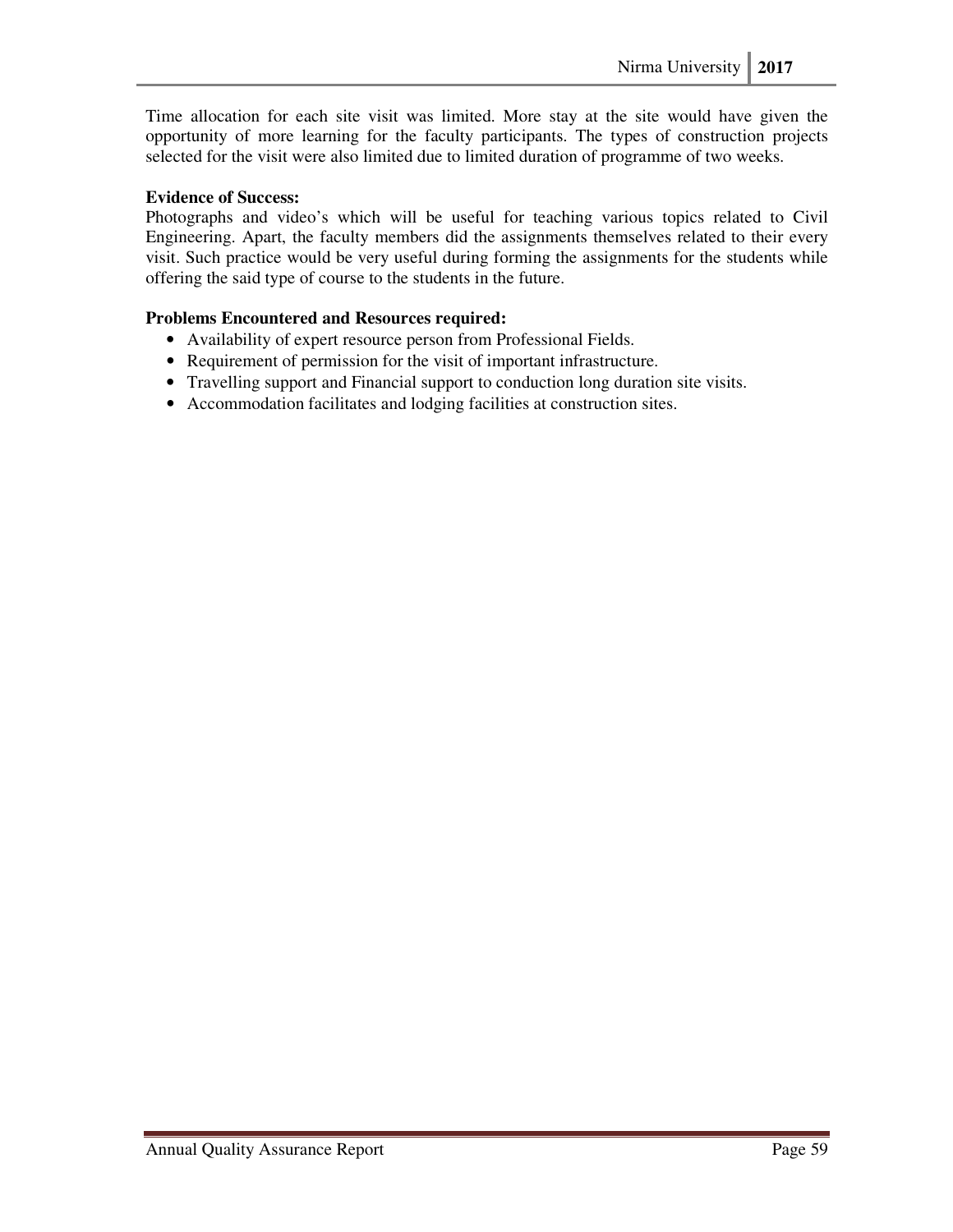Time allocation for each site visit was limited. More stay at the site would have given the opportunity of more learning for the faculty participants. The types of construction projects selected for the visit were also limited due to limited duration of programme of two weeks.

### **Evidence of Success:**

Photographs and video's which will be useful for teaching various topics related to Civil Engineering. Apart, the faculty members did the assignments themselves related to their every visit. Such practice would be very useful during forming the assignments for the students while offering the said type of course to the students in the future.

## **Problems Encountered and Resources required:**

- Availability of expert resource person from Professional Fields.
- Requirement of permission for the visit of important infrastructure.
- Travelling support and Financial support to conduction long duration site visits.
- Accommodation facilitates and lodging facilities at construction sites.